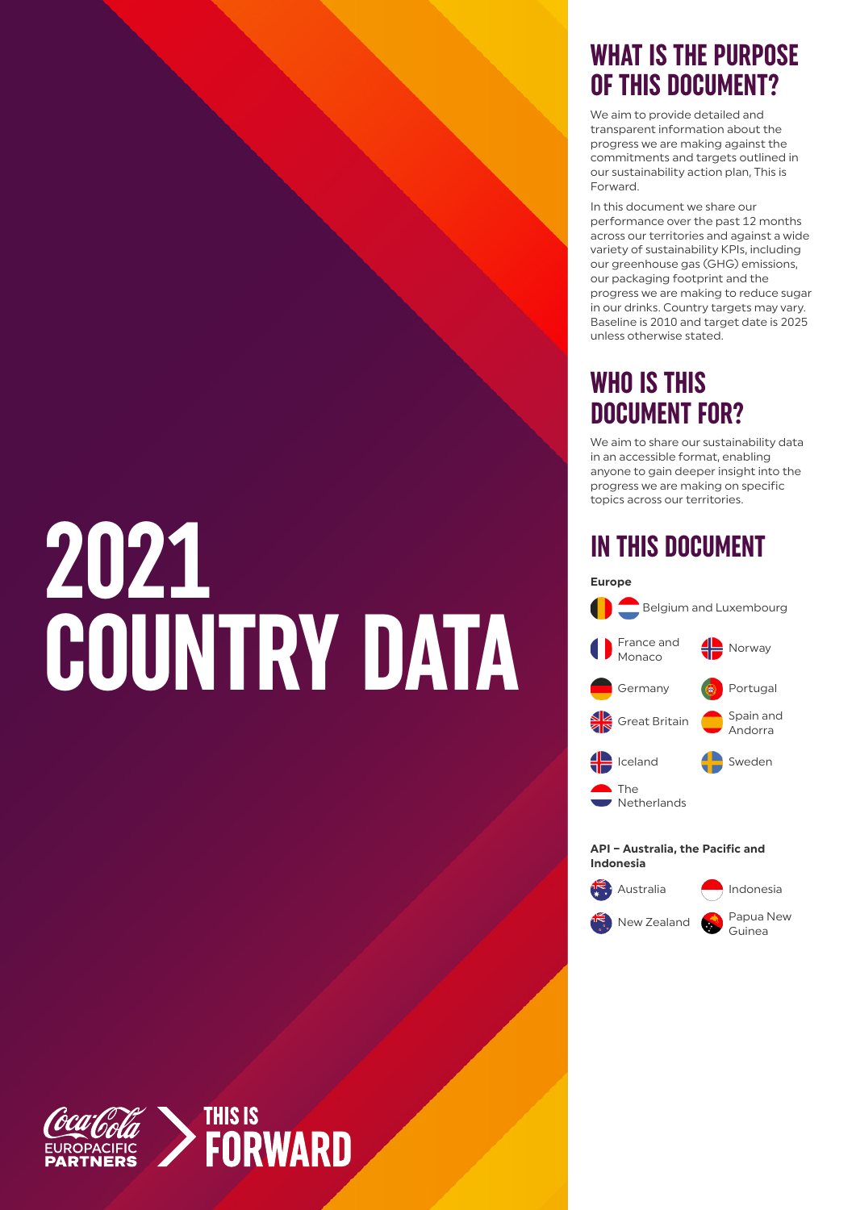# **2021 COUNTRY DATA**

#### **WHAT IS THE PURPOSE OF THIS DOCUMENT?**

We aim to provide detailed and transparent information about the progress we are making against the commitments and targets outlined in our sustainability action plan, This is Forward.

In this document we share our performance over the past 12 months across our territories and against a wide variety of sustainability KPIs, including our greenhouse gas (GHG) emissions, our packaging footprint and the progress we are making to reduce sugar in our drinks. Country targets may vary. Baseline is 2010 and target date is 2025 unless otherwise stated.

#### **WHO IS THIS DOCUMENT FOR?**

We aim to share our sustainability data in an accessible format, enabling anyone to gain deeper insight into the progress we are making on specific topics across our territories.

#### **IN THIS DOCUMENT**



Australia **Indonesia New Zealand B** Papua New Guinea

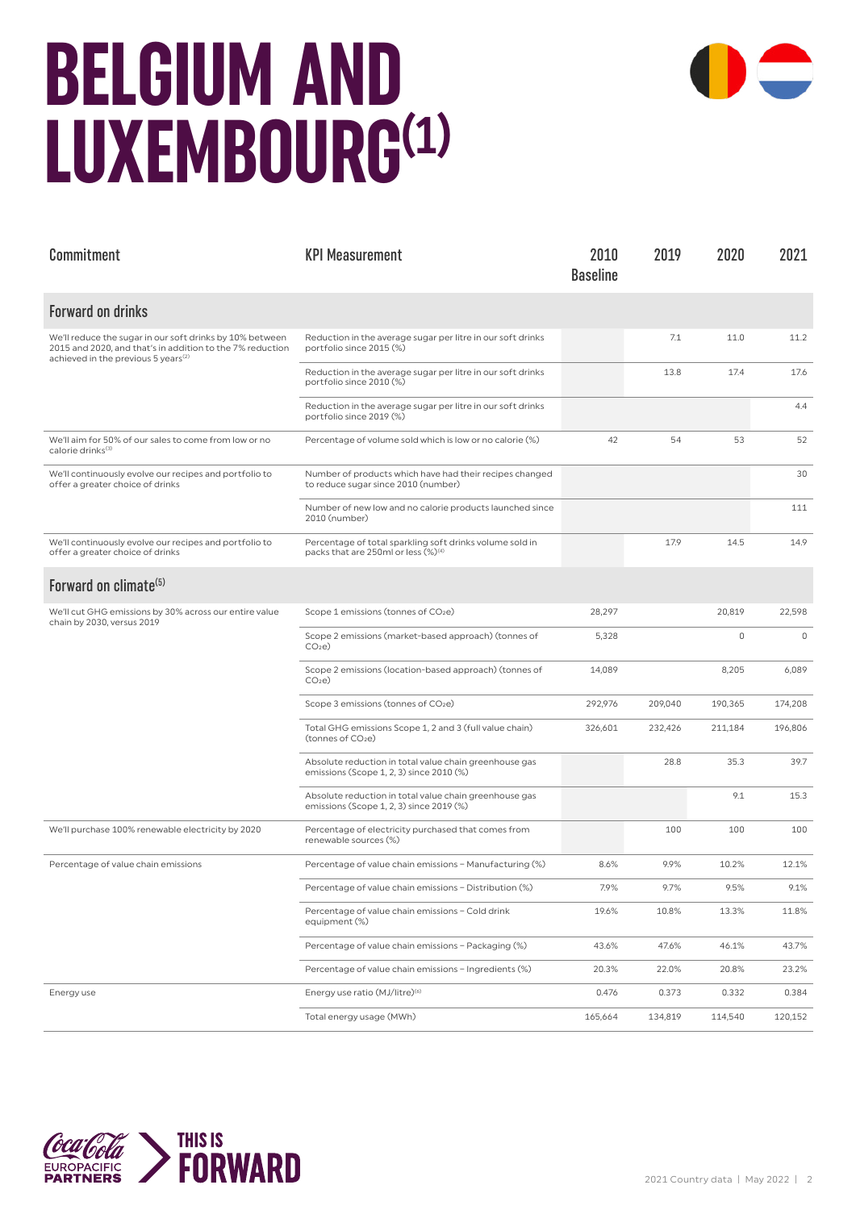#### **BELGIUM AND LUXEMBOURG(1)**



| Commitment                                                                                                                                                               | <b>KPI Measurement</b>                                                                                      | 2010<br><b>Baseline</b> | 2019    | 2020    | 2021        |
|--------------------------------------------------------------------------------------------------------------------------------------------------------------------------|-------------------------------------------------------------------------------------------------------------|-------------------------|---------|---------|-------------|
| <b>Forward on drinks</b>                                                                                                                                                 |                                                                                                             |                         |         |         |             |
| We'll reduce the sugar in our soft drinks by 10% between<br>2015 and 2020, and that's in addition to the 7% reduction<br>achieved in the previous 5 years <sup>(2)</sup> | Reduction in the average sugar per litre in our soft drinks<br>portfolio since 2015 (%)                     |                         | 7.1     | 11.0    | 11.2        |
|                                                                                                                                                                          | Reduction in the average sugar per litre in our soft drinks<br>portfolio since 2010 (%)                     |                         | 13.8    | 17.4    | 17.6        |
|                                                                                                                                                                          | Reduction in the average sugar per litre in our soft drinks<br>portfolio since 2019 (%)                     |                         |         |         | 4.4         |
| We'll aim for 50% of our sales to come from low or no<br>calorie drinks <sup>(3)</sup>                                                                                   | Percentage of volume sold which is low or no calorie (%)                                                    | 42                      | 54      | 53      | 52          |
| We'll continuously evolve our recipes and portfolio to<br>offer a greater choice of drinks                                                                               | Number of products which have had their recipes changed<br>to reduce sugar since 2010 (number)              |                         |         |         | 30          |
|                                                                                                                                                                          | Number of new low and no calorie products launched since<br>2010 (number)                                   |                         |         |         | 111         |
| We'll continuously evolve our recipes and portfolio to<br>offer a greater choice of drinks                                                                               | Percentage of total sparkling soft drinks volume sold in<br>packs that are 250ml or less (%) <sup>(4)</sup> |                         | 17.9    | 14.5    | 14.9        |
| Forward on climate <sup>(5)</sup>                                                                                                                                        |                                                                                                             |                         |         |         |             |
| We'll cut GHG emissions by 30% across our entire value<br>chain by 2030, versus 2019                                                                                     | Scope 1 emissions (tonnes of CO <sub>2</sub> e)                                                             | 28,297                  |         | 20,819  | 22,598      |
|                                                                                                                                                                          | Scope 2 emissions (market-based approach) (tonnes of<br>CO <sub>2</sub> e                                   | 5,328                   |         | 0       | $\mathbf 0$ |
|                                                                                                                                                                          | Scope 2 emissions (location-based approach) (tonnes of<br>CO <sub>2</sub> e                                 | 14,089                  |         | 8,205   | 6,089       |
|                                                                                                                                                                          | Scope 3 emissions (tonnes of CO2e)                                                                          | 292,976                 | 209,040 | 190,365 | 174,208     |
|                                                                                                                                                                          | Total GHG emissions Scope 1, 2 and 3 (full value chain)<br>(tonnes of CO <sub>2</sub> e)                    | 326,601                 | 232,426 | 211,184 | 196,806     |
|                                                                                                                                                                          | Absolute reduction in total value chain greenhouse gas<br>emissions (Scope 1, 2, 3) since 2010 (%)          |                         | 28.8    | 35.3    | 39.7        |
|                                                                                                                                                                          | Absolute reduction in total value chain greenhouse gas<br>emissions (Scope 1, 2, 3) since 2019 (%)          |                         |         | 9.1     | 15.3        |
| We'll purchase 100% renewable electricity by 2020                                                                                                                        | Percentage of electricity purchased that comes from<br>renewable sources (%)                                |                         | 100     | 100     | 100         |
| Percentage of value chain emissions                                                                                                                                      | Percentage of value chain emissions - Manufacturing (%)                                                     | 8.6%                    | 9.9%    | 10.2%   | 12.1%       |
|                                                                                                                                                                          | Percentage of value chain emissions - Distribution (%)                                                      | 7.9%                    | 9.7%    | 9.5%    | 9.1%        |
|                                                                                                                                                                          | Percentage of value chain emissions - Cold drink<br>equipment (%)                                           | 19.6%                   | 10.8%   | 13.3%   | 11.8%       |
|                                                                                                                                                                          | Percentage of value chain emissions - Packaging (%)                                                         | 43.6%                   | 47.6%   | 46.1%   | 43.7%       |
|                                                                                                                                                                          | Percentage of value chain emissions - Ingredients (%)                                                       | 20.3%                   | 22.0%   | 20.8%   | 23.2%       |
| Energy use                                                                                                                                                               | Energy use ratio (MJ/litre) <sup>(6)</sup>                                                                  | 0.476                   | 0.373   | 0.332   | 0.384       |
|                                                                                                                                                                          | Total energy usage (MWh)                                                                                    | 165,664                 | 134,819 | 114,540 | 120,152     |

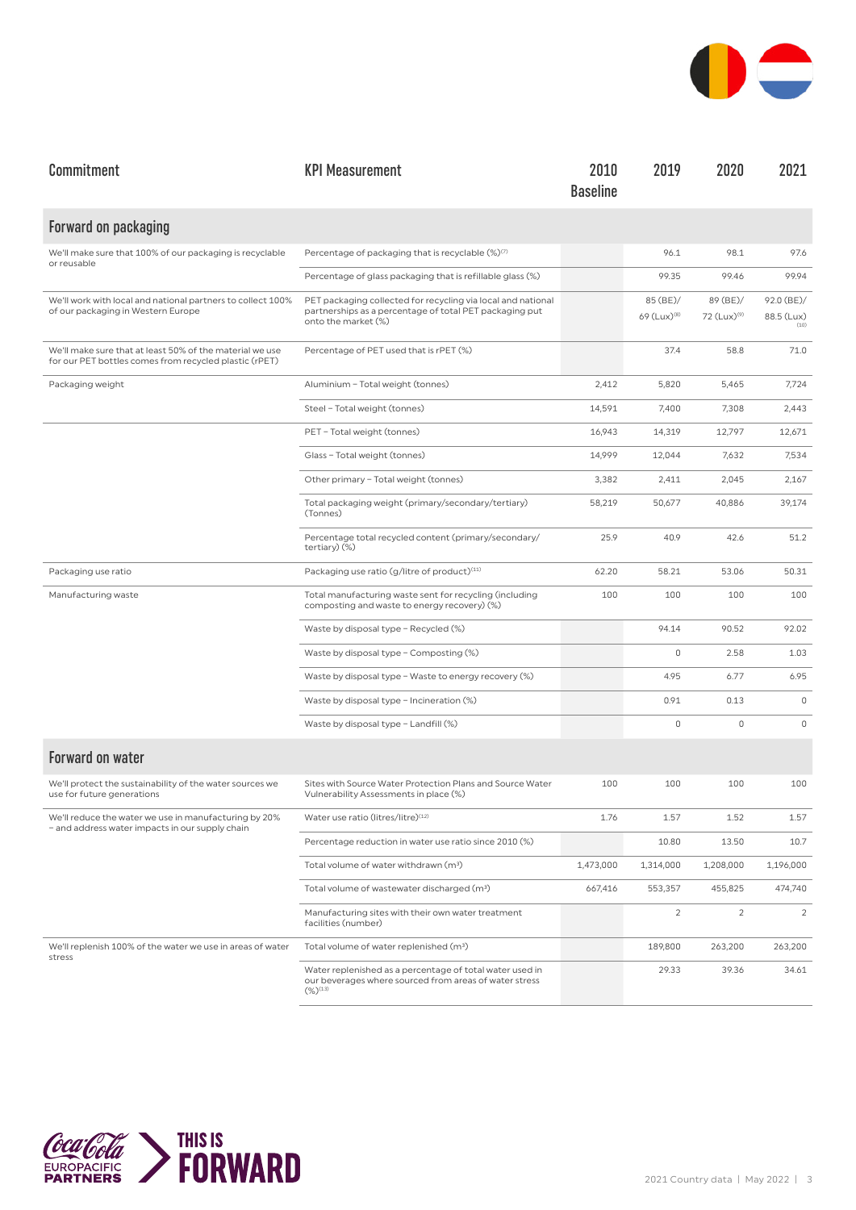

| Commitment                                                                                                         | <b>KPI Measurement</b>                                                                                                                         | 2010<br><b>Baseline</b> | 2019                                | 2020                                | 2021                             |
|--------------------------------------------------------------------------------------------------------------------|------------------------------------------------------------------------------------------------------------------------------------------------|-------------------------|-------------------------------------|-------------------------------------|----------------------------------|
| Forward on packaging                                                                                               |                                                                                                                                                |                         |                                     |                                     |                                  |
| We'll make sure that 100% of our packaging is recyclable<br>or reusable                                            | Percentage of packaging that is recyclable (%) <sup>(7)</sup>                                                                                  |                         | 96.1                                | 98.1                                | 97.6                             |
|                                                                                                                    | Percentage of glass packaging that is refillable glass (%)                                                                                     |                         | 99.35                               | 99.46                               | 99.94                            |
| We'll work with local and national partners to collect 100%<br>of our packaging in Western Europe                  | PET packaging collected for recycling via local and national<br>partnerships as a percentage of total PET packaging put<br>onto the market (%) |                         | 85 (BE)/<br>69 (Lux) <sup>(8)</sup> | 89 (BE)/<br>72 (Lux) <sup>(9)</sup> | 92.0 (BE)/<br>88.5 (Lux)<br>(10) |
| We'll make sure that at least 50% of the material we use<br>for our PET bottles comes from recycled plastic (rPET) | Percentage of PET used that is rPET (%)                                                                                                        |                         | 37.4                                | 58.8                                | 71.0                             |
| Packaging weight                                                                                                   | Aluminium - Total weight (tonnes)                                                                                                              | 2,412                   | 5,820                               | 5,465                               | 7,724                            |
|                                                                                                                    | Steel - Total weight (tonnes)                                                                                                                  | 14,591                  | 7,400                               | 7,308                               | 2,443                            |
|                                                                                                                    | PET - Total weight (tonnes)                                                                                                                    | 16,943                  | 14,319                              | 12,797                              | 12,671                           |
|                                                                                                                    | Glass - Total weight (tonnes)                                                                                                                  | 14,999                  | 12,044                              | 7,632                               | 7,534                            |
|                                                                                                                    | Other primary - Total weight (tonnes)                                                                                                          | 3,382                   | 2,411                               | 2,045                               | 2,167                            |
|                                                                                                                    | Total packaging weight (primary/secondary/tertiary)<br>(Tonnes)                                                                                | 58,219                  | 50,677                              | 40,886                              | 39,174                           |
|                                                                                                                    | Percentage total recycled content (primary/secondary/<br>tertiary) (%)                                                                         | 25.9                    | 40.9                                | 42.6                                | 51.2                             |
| Packaging use ratio                                                                                                | Packaging use ratio (g/litre of product) <sup>(11)</sup>                                                                                       | 62.20                   | 58.21                               | 53.06                               | 50.31                            |
| Manufacturing waste                                                                                                | Total manufacturing waste sent for recycling (including<br>composting and waste to energy recovery) (%)                                        | 100                     | 100                                 | 100                                 | 100                              |
|                                                                                                                    | Waste by disposal type - Recycled (%)                                                                                                          |                         | 94.14                               | 90.52                               | 92.02                            |
|                                                                                                                    | Waste by disposal type - Composting (%)                                                                                                        |                         | $\mathbb O$                         | 2.58                                | 1.03                             |
|                                                                                                                    | Waste by disposal type - Waste to energy recovery (%)                                                                                          |                         | 4.95                                | 6.77                                | 6.95                             |
|                                                                                                                    | Waste by disposal type - Incineration (%)                                                                                                      |                         | 0.91                                | 0.13                                | $\mathbf 0$                      |
|                                                                                                                    | Waste by disposal type - Landfill (%)                                                                                                          |                         | $\mathbb O$                         | $\mathbf 0$                         | $\mathbf 0$                      |
| <b>Forward on water</b>                                                                                            |                                                                                                                                                |                         |                                     |                                     |                                  |
| We'll protect the sustainability of the water sources we<br>use for future generations                             | Sites with Source Water Protection Plans and Source Water<br>Vulnerability Assessments in place (%)                                            | 100                     | 100                                 | 100                                 | 100                              |
| We'll reduce the water we use in manufacturing by 20%<br>- and address water impacts in our supply chain           | Water use ratio (litres/litre)(12)                                                                                                             | 1.76                    | 1.57                                | 1.52                                | 1.57                             |
|                                                                                                                    | Percentage reduction in water use ratio since 2010 (%)                                                                                         |                         | 10.80                               | 13.50                               | 10.7                             |
|                                                                                                                    | Total volume of water withdrawn (m <sup>3</sup> )                                                                                              | 1,473,000               | 1,314,000                           | 1,208,000                           | 1,196,000                        |
|                                                                                                                    | Total volume of wastewater discharged (m <sup>3</sup> )                                                                                        | 667,416                 | 553,357                             | 455,825                             | 474,740                          |
|                                                                                                                    | Manufacturing sites with their own water treatment<br>facilities (number)                                                                      |                         | $\overline{2}$                      | 2                                   | $\overline{2}$                   |
| We'll replenish 100% of the water we use in areas of water<br>stress                                               | Total volume of water replenished (m <sup>3</sup> )                                                                                            |                         | 189,800                             | 263,200                             | 263,200                          |
|                                                                                                                    | Water replenished as a percentage of total water used in<br>our beverages where sourced from areas of water stress<br>$(\%)^{(13)}$            |                         | 29.33                               | 39.36                               | 34.61                            |

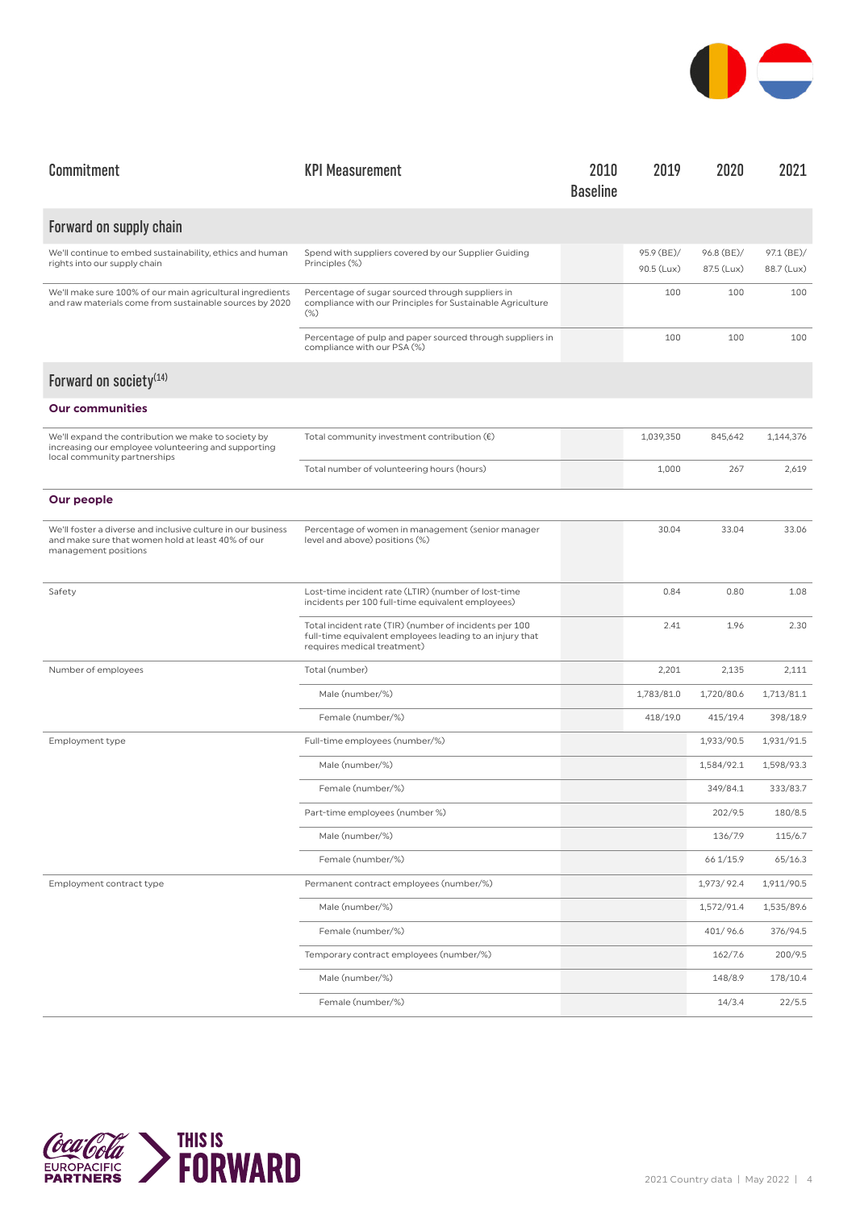

| Commitment                                                                                                                                 | <b>KPI Measurement</b>                                                                                                                            | 2010<br><b>Baseline</b> | 2019                     | 2020                     | 2021                     |
|--------------------------------------------------------------------------------------------------------------------------------------------|---------------------------------------------------------------------------------------------------------------------------------------------------|-------------------------|--------------------------|--------------------------|--------------------------|
| Forward on supply chain                                                                                                                    |                                                                                                                                                   |                         |                          |                          |                          |
| We'll continue to embed sustainability, ethics and human<br>rights into our supply chain                                                   | Spend with suppliers covered by our Supplier Guiding<br>Principles (%)                                                                            |                         | 95.9 (BE)/<br>90.5 (Lux) | 96.8 (BE)/<br>87.5 (Lux) | 97.1 (BE)/<br>88.7 (Lux) |
| We'll make sure 100% of our main agricultural ingredients<br>and raw materials come from sustainable sources by 2020                       | Percentage of sugar sourced through suppliers in<br>compliance with our Principles for Sustainable Agriculture<br>$(\%)$                          |                         | 100                      | 100                      | 100                      |
|                                                                                                                                            | Percentage of pulp and paper sourced through suppliers in<br>compliance with our PSA (%)                                                          |                         | 100                      | 100                      | 100                      |
| Forward on society <sup>(14)</sup>                                                                                                         |                                                                                                                                                   |                         |                          |                          |                          |
| <b>Our communities</b>                                                                                                                     |                                                                                                                                                   |                         |                          |                          |                          |
| We'll expand the contribution we make to society by<br>increasing our employee volunteering and supporting<br>local community partnerships | Total community investment contribution $(\epsilon)$                                                                                              |                         | 1,039,350                | 845,642                  | 1,144,376                |
|                                                                                                                                            | Total number of volunteering hours (hours)                                                                                                        |                         | 1,000                    | 267                      | 2,619                    |
| Our people                                                                                                                                 |                                                                                                                                                   |                         |                          |                          |                          |
| We'll foster a diverse and inclusive culture in our business<br>and make sure that women hold at least 40% of our<br>management positions  | Percentage of women in management (senior manager<br>level and above) positions (%)                                                               |                         | 30.04                    | 33.04                    | 33.06                    |
| Safety                                                                                                                                     | Lost-time incident rate (LTIR) (number of lost-time<br>incidents per 100 full-time equivalent employees)                                          |                         | 0.84                     | 0.80                     | 1.08                     |
|                                                                                                                                            | Total incident rate (TIR) (number of incidents per 100<br>full-time equivalent employees leading to an injury that<br>requires medical treatment) |                         | 2.41                     | 1.96                     | 2.30                     |
| Number of employees                                                                                                                        | Total (number)                                                                                                                                    |                         | 2,201                    | 2,135                    | 2,111                    |
|                                                                                                                                            | Male (number/%)                                                                                                                                   |                         | 1,783/81.0               | 1,720/80.6               | 1,713/81.1               |
|                                                                                                                                            | Female (number/%)                                                                                                                                 |                         | 418/19.0                 | 415/19.4                 | 398/18.9                 |
| Employment type                                                                                                                            | Full-time employees (number/%)                                                                                                                    |                         |                          | 1,933/90.5               | 1,931/91.5               |
|                                                                                                                                            | Male (number/%)                                                                                                                                   |                         |                          | 1,584/92.1               | 1,598/93.3               |
|                                                                                                                                            | Female (number/%)                                                                                                                                 |                         |                          | 349/84.1                 | 333/83.7                 |
|                                                                                                                                            | Part-time employees (number %)                                                                                                                    |                         |                          | 202/9.5                  | 180/8.5                  |
|                                                                                                                                            | Male (number/%)                                                                                                                                   |                         |                          | 136/7.9                  | 115/6.7                  |
|                                                                                                                                            | Female (number/%)                                                                                                                                 |                         |                          | 66 1/15.9                | 65/16.3                  |
| Employment contract type                                                                                                                   | Permanent contract employees (number/%)                                                                                                           |                         |                          | 1,973/92.4               | 1,911/90.5               |
|                                                                                                                                            | Male (number/%)                                                                                                                                   |                         |                          | 1,572/91.4               | 1,535/89.6               |
|                                                                                                                                            | Female (number/%)                                                                                                                                 |                         |                          | 401/96.6                 | 376/94.5                 |
|                                                                                                                                            | Temporary contract employees (number/%)                                                                                                           |                         |                          | 162/7.6                  | 200/9.5                  |
|                                                                                                                                            | Male (number/%)                                                                                                                                   |                         |                          | 148/8.9                  | 178/10.4                 |
|                                                                                                                                            | Female (number/%)                                                                                                                                 |                         |                          | 14/3.4                   | 22/5.5                   |

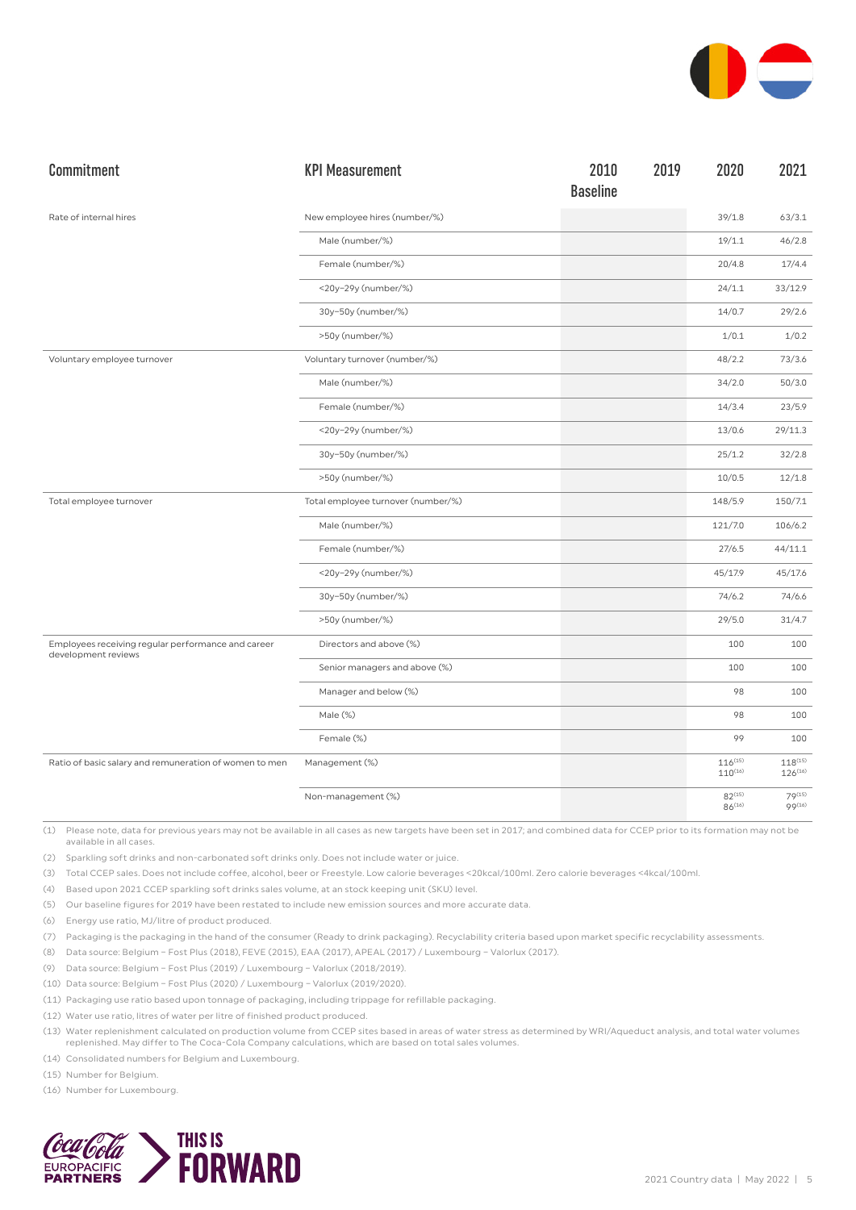

| Commitment                                                                | <b>KPI Measurement</b>             | 2010<br><b>Baseline</b> | 2019 | 2020                         | 2021                         |
|---------------------------------------------------------------------------|------------------------------------|-------------------------|------|------------------------------|------------------------------|
| Rate of internal hires                                                    | New employee hires (number/%)      |                         |      | 39/1.8                       | 63/3.1                       |
|                                                                           | Male (number/%)                    |                         |      | 19/1.1                       | 46/2.8                       |
|                                                                           | Female (number/%)                  |                         |      | 20/4.8                       | 17/4.4                       |
|                                                                           | <20y-29y (number/%)                |                         |      | 24/1.1                       | 33/12.9                      |
|                                                                           | 30y-50y (number/%)                 |                         |      | 14/0.7                       | 29/2.6                       |
|                                                                           | >50y (number/%)                    |                         |      | 1/0.1                        | 1/0.2                        |
| Voluntary employee turnover                                               | Voluntary turnover (number/%)      |                         |      | 48/2.2                       | 73/3.6                       |
|                                                                           | Male (number/%)                    |                         |      | 34/2.0                       | 50/3.0                       |
|                                                                           | Female (number/%)                  |                         |      | 14/3.4                       | 23/5.9                       |
|                                                                           | <20y-29y (number/%)                |                         |      | 13/0.6                       | 29/11.3                      |
|                                                                           | 30y-50y (number/%)                 |                         |      | 25/1.2                       | 32/2.8                       |
|                                                                           | >50y (number/%)                    |                         |      | 10/0.5                       | 12/1.8                       |
| Total employee turnover                                                   | Total employee turnover (number/%) |                         |      | 148/5.9                      | 150/7.1                      |
|                                                                           | Male (number/%)                    |                         |      | 121/7.0                      | 106/6.2                      |
|                                                                           | Female (number/%)                  |                         |      | 27/6.5                       | 44/11.1                      |
|                                                                           | <20y-29y (number/%)                |                         |      | 45/17.9                      | 45/17.6                      |
|                                                                           | 30y-50y (number/%)                 |                         |      | 74/6.2                       | 74/6.6                       |
|                                                                           | >50y (number/%)                    |                         |      | 29/5.0                       | 31/4.7                       |
| Employees receiving regular performance and career<br>development reviews | Directors and above (%)            |                         |      | 100                          | 100                          |
|                                                                           | Senior managers and above (%)      |                         |      | 100                          | 100                          |
|                                                                           | Manager and below (%)              |                         |      | 98                           | 100                          |
|                                                                           | Male (%)                           |                         |      | 98                           | 100                          |
|                                                                           | Female (%)                         |                         |      | 99                           | 100                          |
| Ratio of basic salary and remuneration of women to men                    | Management (%)                     |                         |      | $116^{(15)}$<br>$110^{(16)}$ | $118^{(15)}$<br>$126^{(16)}$ |
|                                                                           | Non-management (%)                 |                         |      | $82^{(15)}$<br>$86^{(16)}$   | 79(15)<br>99(16)             |

(2) Sparkling soft drinks and non-carbonated soft drinks only. Does not include water or juice.

(3) Total CCEP sales. Does not include coffee, alcohol, beer or Freestyle. Low calorie beverages <20kcal/100ml. Zero calorie beverages <4kcal/100ml.

(4) Based upon 2021 CCEP sparkling soft drinks sales volume, at an stock keeping unit (SKU) level.

(5) Our baseline figures for 2019 have been restated to include new emission sources and more accurate data.

(6) Energy use ratio, MJ/litre of product produced.

(7) Packaging is the packaging in the hand of the consumer (Ready to drink packaging). Recyclability criteria based upon market specific recyclability assessments.

(8) Data source: Belgium – Fost Plus (2018), FEVE (2015), EAA (2017), APEAL (2017) / Luxembourg – Valorlux (2017).

(9) Data source: Belgium – Fost Plus (2019) / Luxembourg – Valorlux (2018/2019).

(10) Data source: Belgium – Fost Plus (2020) / Luxembourg – Valorlux (2019/2020).

(11) Packaging use ratio based upon tonnage of packaging, including trippage for refillable packaging.

(12) Water use ratio, litres of water per litre of finished product produced.

(13) Water replenishment calculated on production volume from CCEP sites based in areas of water stress as determined by WRI/Aqueduct analysis, and total water volumes replenished. May differ to The Coca-Cola Company calculations, which are based on total sales volumes.

(14) Consolidated numbers for Belgium and Luxembourg.

(15) Number for Belgium.

(16) Number for Luxembourg.

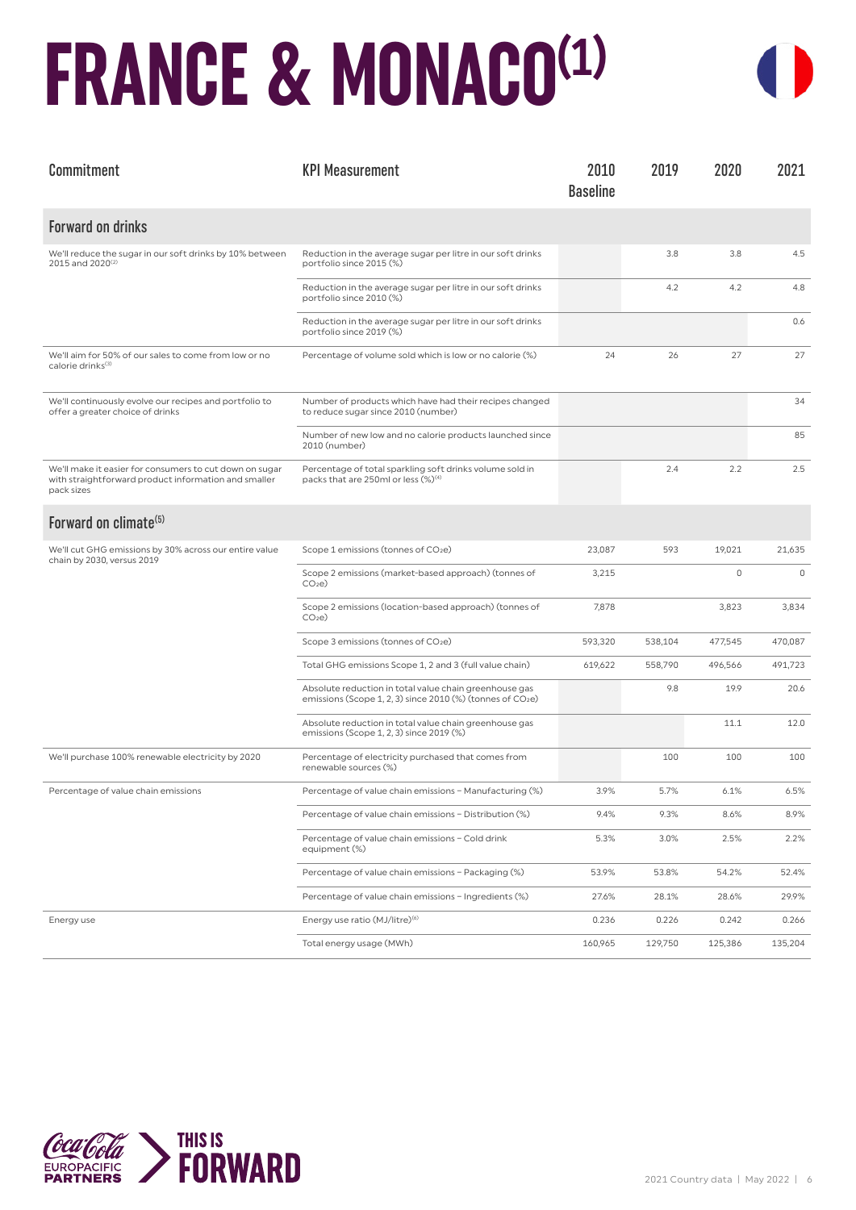### **FRANCE & MONACO(1)**



| Commitment                                                                                                                    | <b>KPI Measurement</b>                                                                                                           | 2010<br><b>Baseline</b> | 2019    | 2020    | 2021        |
|-------------------------------------------------------------------------------------------------------------------------------|----------------------------------------------------------------------------------------------------------------------------------|-------------------------|---------|---------|-------------|
| <b>Forward on drinks</b>                                                                                                      |                                                                                                                                  |                         |         |         |             |
| We'll reduce the sugar in our soft drinks by 10% between<br>2015 and 2020 <sup>(2)</sup>                                      | Reduction in the average sugar per litre in our soft drinks<br>portfolio since 2015 (%)                                          |                         | 3.8     | 3.8     | 4.5         |
|                                                                                                                               | Reduction in the average sugar per litre in our soft drinks<br>portfolio since 2010 (%)                                          |                         | 4.2     | 4.2     | 4.8         |
|                                                                                                                               | Reduction in the average sugar per litre in our soft drinks<br>portfolio since 2019 (%)                                          |                         |         |         | 0.6         |
| We'll aim for 50% of our sales to come from low or no<br>calorie drinks <sup>(3)</sup>                                        | Percentage of volume sold which is low or no calorie (%)                                                                         | 24                      | 26      | 27      | 27          |
| We'll continuously evolve our recipes and portfolio to<br>offer a greater choice of drinks                                    | Number of products which have had their recipes changed<br>to reduce sugar since 2010 (number)                                   |                         |         |         | 34          |
|                                                                                                                               | Number of new low and no calorie products launched since<br>2010 (number)                                                        |                         |         |         | 85          |
| We'll make it easier for consumers to cut down on sugar<br>with straightforward product information and smaller<br>pack sizes | Percentage of total sparkling soft drinks volume sold in<br>packs that are 250ml or less (%) <sup>(4)</sup>                      |                         | 2.4     | 2.2     | 2.5         |
| Forward on climate <sup>(5)</sup>                                                                                             |                                                                                                                                  |                         |         |         |             |
| We'll cut GHG emissions by 30% across our entire value<br>chain by 2030, versus 2019                                          | Scope 1 emissions (tonnes of CO <sub>2</sub> e)                                                                                  | 23,087                  | 593     | 19,021  | 21,635      |
|                                                                                                                               | Scope 2 emissions (market-based approach) (tonnes of<br>CO <sub>2</sub> e                                                        | 3,215                   |         | $\circ$ | $\mathbf 0$ |
|                                                                                                                               | Scope 2 emissions (location-based approach) (tonnes of<br>CO <sub>2</sub> e                                                      | 7,878                   |         | 3,823   | 3,834       |
|                                                                                                                               | Scope 3 emissions (tonnes of CO <sub>2</sub> e)                                                                                  | 593,320                 | 538,104 | 477,545 | 470,087     |
|                                                                                                                               | Total GHG emissions Scope 1, 2 and 3 (full value chain)                                                                          | 619,622                 | 558,790 | 496,566 | 491,723     |
|                                                                                                                               | Absolute reduction in total value chain greenhouse gas<br>emissions (Scope 1, 2, 3) since 2010 (%) (tonnes of CO <sub>2</sub> e) |                         | 9.8     | 19.9    | 20.6        |
|                                                                                                                               | Absolute reduction in total value chain greenhouse gas<br>emissions (Scope 1, 2, 3) since 2019 (%)                               |                         |         | 11.1    | 12.0        |
| We'll purchase 100% renewable electricity by 2020                                                                             | Percentage of electricity purchased that comes from<br>renewable sources (%)                                                     |                         | 100     | 100     | 100         |
| Percentage of value chain emissions                                                                                           | Percentage of value chain emissions - Manufacturing (%)                                                                          | 3.9%                    | 5.7%    | 6.1%    | 6.5%        |
|                                                                                                                               | Percentage of value chain emissions - Distribution (%)                                                                           | 9.4%                    | 9.3%    | 8.6%    | 8.9%        |
|                                                                                                                               | Percentage of value chain emissions - Cold drink<br>equipment (%)                                                                | 5.3%                    | 3.0%    | 2.5%    | 2.2%        |
|                                                                                                                               | Percentage of value chain emissions - Packaging (%)                                                                              | 53.9%                   | 53.8%   | 54.2%   | 52.4%       |
|                                                                                                                               | Percentage of value chain emissions - Ingredients (%)                                                                            | 27.6%                   | 28.1%   | 28.6%   | 29.9%       |
| Energy use                                                                                                                    | Energy use ratio (MJ/litre) <sup>(6)</sup>                                                                                       | 0.236                   | 0.226   | 0.242   | 0.266       |
|                                                                                                                               | Total energy usage (MWh)                                                                                                         | 160,965                 | 129,750 | 125,386 | 135,204     |

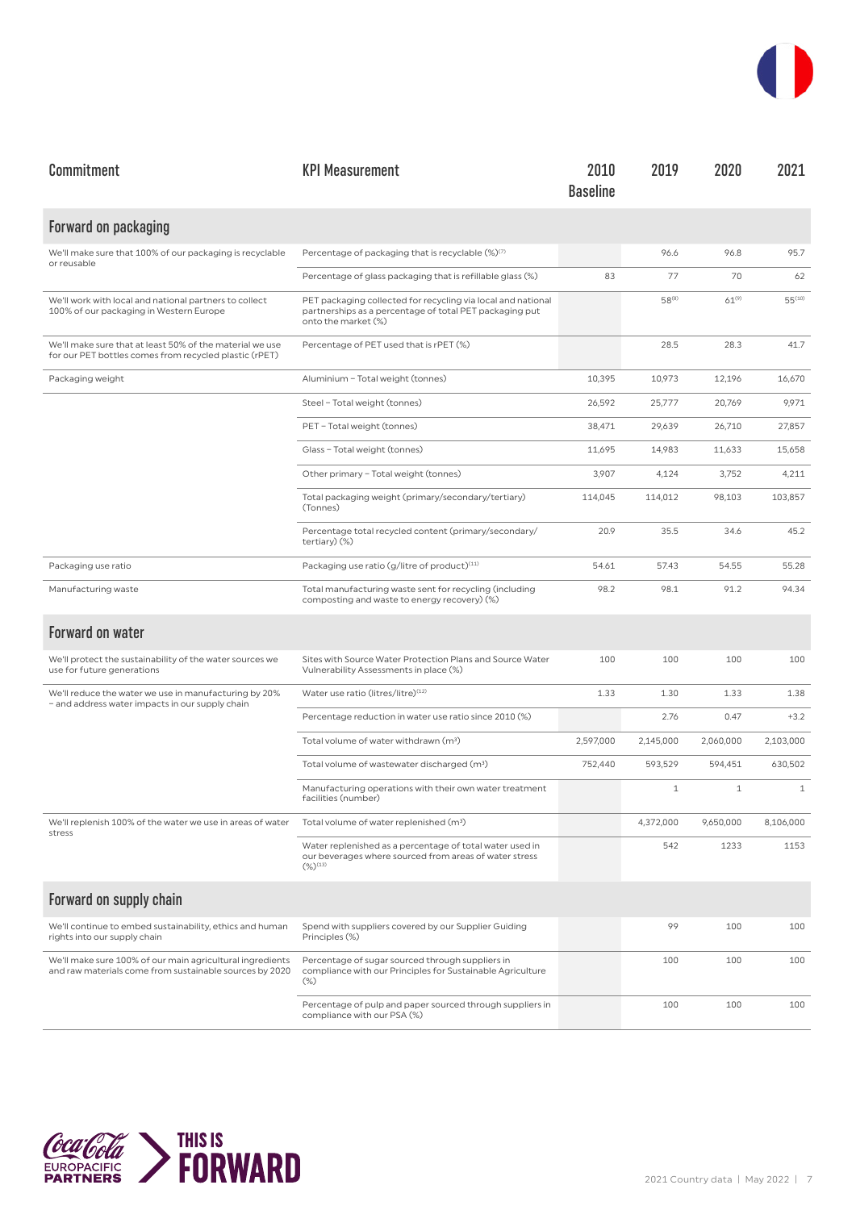| Commitment                                                                                                           | <b>KPI Measurement</b>                                                                                                                         | 2010<br><b>Baseline</b> | 2019         | 2020         | 2021        |
|----------------------------------------------------------------------------------------------------------------------|------------------------------------------------------------------------------------------------------------------------------------------------|-------------------------|--------------|--------------|-------------|
| Forward on packaging                                                                                                 |                                                                                                                                                |                         |              |              |             |
| We'll make sure that 100% of our packaging is recyclable<br>or reusable                                              | Percentage of packaging that is recyclable (%)(7)                                                                                              |                         | 96.6         | 96.8         | 95.7        |
|                                                                                                                      | Percentage of glass packaging that is refillable glass (%)                                                                                     | 83                      | 77           | 70           | 62          |
| We'll work with local and national partners to collect<br>100% of our packaging in Western Europe                    | PET packaging collected for recycling via local and national<br>partnerships as a percentage of total PET packaging put<br>onto the market (%) |                         | $58^{(8)}$   | $61^{(9)}$   | $55^{(10)}$ |
| We'll make sure that at least 50% of the material we use<br>for our PET bottles comes from recycled plastic (rPET)   | Percentage of PET used that is rPET (%)                                                                                                        |                         | 28.5         | 28.3         | 41.7        |
| Packaging weight                                                                                                     | Aluminium - Total weight (tonnes)                                                                                                              | 10,395                  | 10,973       | 12,196       | 16,670      |
|                                                                                                                      | Steel - Total weight (tonnes)                                                                                                                  | 26,592                  | 25,777       | 20,769       | 9,971       |
|                                                                                                                      | PET - Total weight (tonnes)                                                                                                                    | 38,471                  | 29,639       | 26,710       | 27,857      |
|                                                                                                                      | Glass - Total weight (tonnes)                                                                                                                  | 11,695                  | 14,983       | 11,633       | 15,658      |
|                                                                                                                      | Other primary - Total weight (tonnes)                                                                                                          | 3,907                   | 4,124        | 3,752        | 4,211       |
|                                                                                                                      | Total packaging weight (primary/secondary/tertiary)<br>(Tonnes)                                                                                | 114,045                 | 114,012      | 98,103       | 103,857     |
|                                                                                                                      | Percentage total recycled content (primary/secondary/<br>tertiary) (%)                                                                         | 20.9                    | 35.5         | 34.6         | 45.2        |
| Packaging use ratio                                                                                                  | Packaging use ratio (g/litre of product)(11)                                                                                                   | 54.61                   | 57.43        | 54.55        | 55.28       |
| Manufacturing waste                                                                                                  | Total manufacturing waste sent for recycling (including<br>composting and waste to energy recovery) (%)                                        | 98.2                    | 98.1         | 91.2         | 94.34       |
| <b>Forward on water</b>                                                                                              |                                                                                                                                                |                         |              |              |             |
| We'll protect the sustainability of the water sources we<br>use for future generations                               | Sites with Source Water Protection Plans and Source Water<br>Vulnerability Assessments in place (%)                                            | 100                     | 100          | 100          | 100         |
| We'll reduce the water we use in manufacturing by 20%<br>- and address water impacts in our supply chain             | Water use ratio (litres/litre)(12)                                                                                                             | 1.33                    | 1.30         | 1.33         | 1.38        |
|                                                                                                                      | Percentage reduction in water use ratio since 2010 (%)                                                                                         |                         | 2.76         | 0.47         | $+3.2$      |
|                                                                                                                      | Total volume of water withdrawn (m <sup>3</sup> )                                                                                              | 2,597,000               | 2,145,000    | 2,060,000    | 2,103,000   |
|                                                                                                                      | Total volume of wastewater discharged (m <sup>3</sup> )                                                                                        | 752,440                 | 593,529      | 594,451      | 630,502     |
|                                                                                                                      | Manufacturing operations with their own water treatment<br>facilities (number)                                                                 |                         | $\mathbf{1}$ | $\mathbf{1}$ | $1\,$       |
| We'll replenish 100% of the water we use in areas of water<br>stress                                                 | Total volume of water replenished (m <sup>3</sup> )                                                                                            |                         | 4,372,000    | 9,650,000    | 8,106,000   |
|                                                                                                                      | Water replenished as a percentage of total water used in<br>our beverages where sourced from areas of water stress<br>$(\%)^{(13)}$            |                         | 542          | 1233         | 1153        |
| Forward on supply chain                                                                                              |                                                                                                                                                |                         |              |              |             |
| We'll continue to embed sustainability, ethics and human<br>rights into our supply chain                             | Spend with suppliers covered by our Supplier Guiding<br>Principles (%)                                                                         |                         | 99           | 100          | 100         |
| We'll make sure 100% of our main agricultural ingredients<br>and raw materials come from sustainable sources by 2020 | Percentage of sugar sourced through suppliers in<br>compliance with our Principles for Sustainable Agriculture<br>$(\%)$                       |                         | 100          | 100          | 100         |
|                                                                                                                      | Percentage of pulp and paper sourced through suppliers in<br>compliance with our PSA (%)                                                       |                         | 100          | 100          | 100         |

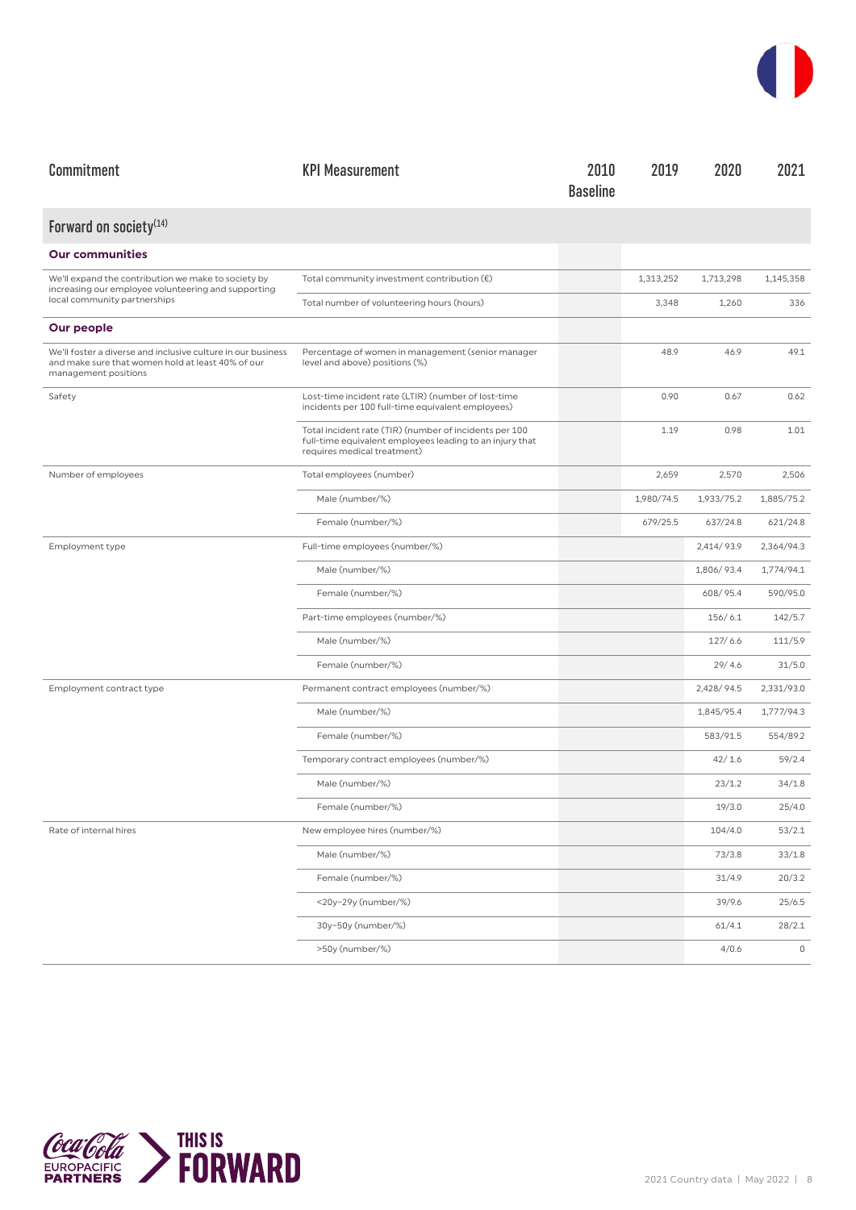

| Commitment                                                                                                                                | <b>KPI Measurement</b>                                                                                                                            | 2010<br><b>Baseline</b> | 2019       | 2020       | 2021        |
|-------------------------------------------------------------------------------------------------------------------------------------------|---------------------------------------------------------------------------------------------------------------------------------------------------|-------------------------|------------|------------|-------------|
| Forward on society <sup>(14)</sup>                                                                                                        |                                                                                                                                                   |                         |            |            |             |
| <b>Our communities</b>                                                                                                                    |                                                                                                                                                   |                         |            |            |             |
| We'll expand the contribution we make to society by<br>increasing our employee volunteering and supporting                                | Total community investment contribution $(\epsilon)$                                                                                              |                         | 1,313,252  | 1,713,298  | 1,145,358   |
| local community partnerships                                                                                                              | Total number of volunteering hours (hours)                                                                                                        |                         | 3,348      | 1,260      | 336         |
| Our people                                                                                                                                |                                                                                                                                                   |                         |            |            |             |
| We'll foster a diverse and inclusive culture in our business<br>and make sure that women hold at least 40% of our<br>management positions | Percentage of women in management (senior manager<br>level and above) positions (%)                                                               |                         | 48.9       | 46.9       | 49.1        |
| Safety                                                                                                                                    | Lost-time incident rate (LTIR) (number of lost-time<br>incidents per 100 full-time equivalent employees)                                          |                         | 0.90       | 0.67       | 0.62        |
|                                                                                                                                           | Total incident rate (TIR) (number of incidents per 100<br>full-time equivalent employees leading to an injury that<br>requires medical treatment) |                         | 1.19       | 0.98       | 1.01        |
| Number of employees                                                                                                                       | Total employees (number)                                                                                                                          |                         | 2,659      | 2,570      | 2,506       |
|                                                                                                                                           | Male (number/%)                                                                                                                                   |                         | 1,980/74.5 | 1,933/75.2 | 1,885/75.2  |
|                                                                                                                                           | Female (number/%)                                                                                                                                 |                         | 679/25.5   | 637/24.8   | 621/24.8    |
| Employment type                                                                                                                           | Full-time employees (number/%)                                                                                                                    |                         |            | 2,414/93.9 | 2,364/94.3  |
|                                                                                                                                           | Male (number/%)                                                                                                                                   |                         |            | 1,806/93.4 | 1,774/94.1  |
|                                                                                                                                           | Female (number/%)                                                                                                                                 |                         |            | 608/95.4   | 590/95.0    |
|                                                                                                                                           | Part-time employees (number/%)                                                                                                                    |                         |            | 156/6.1    | 142/5.7     |
|                                                                                                                                           | Male (number/%)                                                                                                                                   |                         |            | 127/6.6    | 111/5.9     |
|                                                                                                                                           | Female (number/%)                                                                                                                                 |                         |            | 29/4.6     | 31/5.0      |
| Employment contract type                                                                                                                  | Permanent contract employees (number/%)                                                                                                           |                         |            | 2,428/94.5 | 2,331/93.0  |
|                                                                                                                                           | Male (number/%)                                                                                                                                   |                         |            | 1,845/95.4 | 1,777/94.3  |
|                                                                                                                                           | Female (number/%)                                                                                                                                 |                         |            | 583/91.5   | 554/89.2    |
|                                                                                                                                           | Temporary contract employees (number/%)                                                                                                           |                         |            | 42/1.6     | 59/2.4      |
|                                                                                                                                           | Male (number/%)                                                                                                                                   |                         |            | 23/1.2     | 34/1.8      |
|                                                                                                                                           | Female (number/%)                                                                                                                                 |                         |            | 19/3.0     | 25/4.0      |
| Rate of internal hires                                                                                                                    | New employee hires (number/%)                                                                                                                     |                         |            | 104/4.0    | 53/2.1      |
|                                                                                                                                           | Male (number/%)                                                                                                                                   |                         |            | 73/3.8     | 33/1.8      |
|                                                                                                                                           | Female (number/%)                                                                                                                                 |                         |            | 31/4.9     | 20/3.2      |
|                                                                                                                                           | <20y-29y (number/%)                                                                                                                               |                         |            | 39/9.6     | 25/6.5      |
|                                                                                                                                           | 30y-50y (number/%)                                                                                                                                |                         |            | 61/4.1     | 28/2.1      |
|                                                                                                                                           | >50y (number/%)                                                                                                                                   |                         |            | 4/0.6      | $\mathbb O$ |

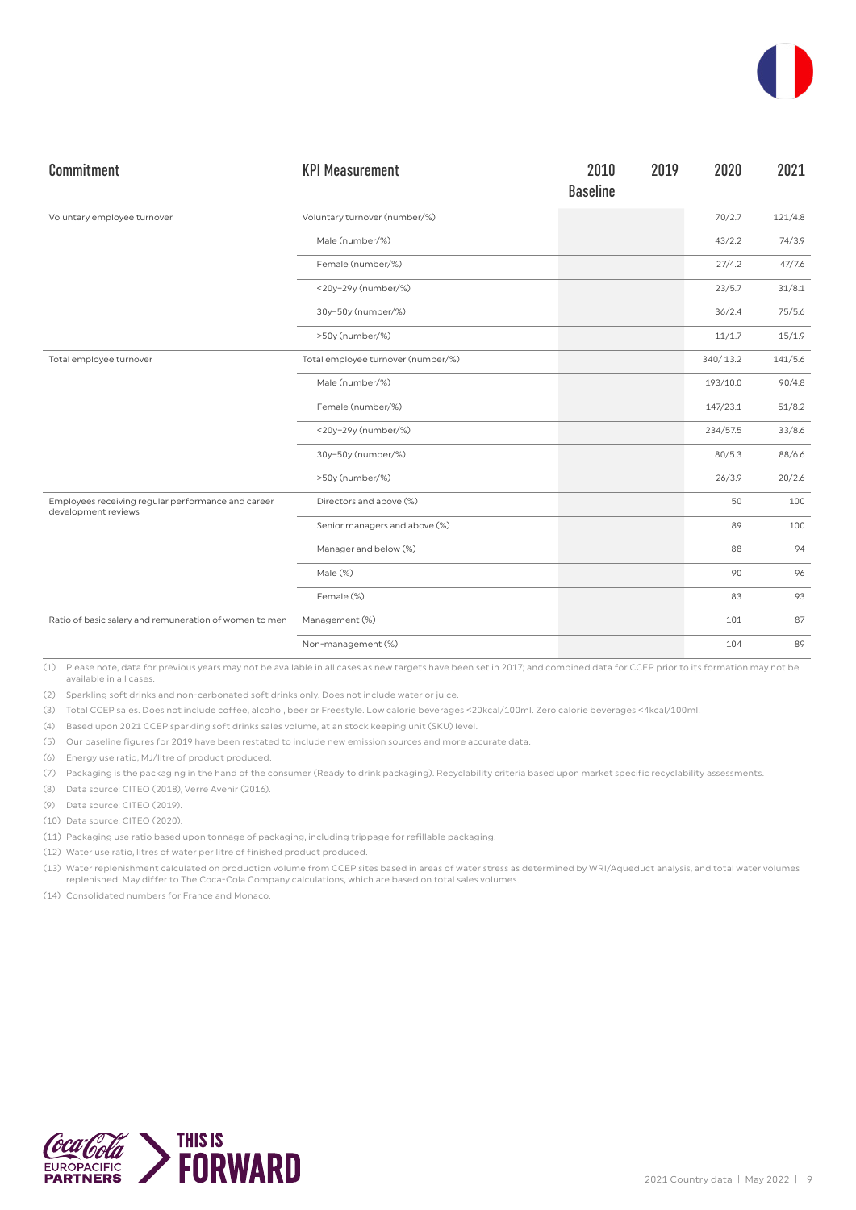| Commitment                                                                | <b>KPI Measurement</b>             | 2010<br><b>Baseline</b> | 2019 | 2020     | 2021    |
|---------------------------------------------------------------------------|------------------------------------|-------------------------|------|----------|---------|
| Voluntary employee turnover                                               | Voluntary turnover (number/%)      |                         |      | 70/2.7   | 121/4.8 |
|                                                                           | Male (number/%)                    |                         |      | 43/2.2   | 74/3.9  |
|                                                                           | Female (number/%)                  |                         |      | 27/4.2   | 47/7.6  |
|                                                                           | <20y-29y (number/%)                |                         |      | 23/5.7   | 31/8.1  |
|                                                                           | 30y-50y (number/%)                 |                         |      | 36/2.4   | 75/5.6  |
|                                                                           | >50y (number/%)                    |                         |      | 11/1.7   | 15/1.9  |
| Total employee turnover                                                   | Total employee turnover (number/%) |                         |      | 340/13.2 | 141/5.6 |
|                                                                           | Male (number/%)                    |                         |      | 193/10.0 | 90/4.8  |
|                                                                           | Female (number/%)                  |                         |      | 147/23.1 | 51/8.2  |
|                                                                           | <20y-29y (number/%)                |                         |      | 234/57.5 | 33/8.6  |
|                                                                           | 30y-50y (number/%)                 |                         |      | 80/5.3   | 88/6.6  |
|                                                                           | >50y (number/%)                    |                         |      | 26/3.9   | 20/2.6  |
| Employees receiving regular performance and career<br>development reviews | Directors and above (%)            |                         |      | 50       | 100     |
|                                                                           | Senior managers and above (%)      |                         |      | 89       | 100     |
|                                                                           | Manager and below (%)              |                         |      | 88       | 94      |
|                                                                           | Male (%)                           |                         |      | 90       | 96      |
|                                                                           | Female (%)                         |                         |      | 83       | 93      |
| Ratio of basic salary and remuneration of women to men                    | Management (%)                     |                         |      | 101      | 87      |
|                                                                           | Non-management (%)                 |                         |      | 104      | 89      |

(2) Sparkling soft drinks and non-carbonated soft drinks only. Does not include water or juice.

(3) Total CCEP sales. Does not include coffee, alcohol, beer or Freestyle. Low calorie beverages <20kcal/100ml. Zero calorie beverages <4kcal/100ml.

(4) Based upon 2021 CCEP sparkling soft drinks sales volume, at an stock keeping unit (SKU) level.

(5) Our baseline figures for 2019 have been restated to include new emission sources and more accurate data.

(6) Energy use ratio, MJ/litre of product produced.

(7) Packaging is the packaging in the hand of the consumer (Ready to drink packaging). Recyclability criteria based upon market specific recyclability assessments.

(8) Data source: CITEO (2018), Verre Avenir (2016).

(9) Data source: CITEO (2019).

(10) Data source: CITEO (2020).

(11) Packaging use ratio based upon tonnage of packaging, including trippage for refillable packaging.

(12) Water use ratio, litres of water per litre of finished product produced.

(13) Water replenishment calculated on production volume from CCEP sites based in areas of water stress as determined by WRI/Aqueduct analysis, and total water volumes replenished. May differ to The Coca-Cola Company calculations, which are based on total sales volumes.

(14) Consolidated numbers for France and Monaco.

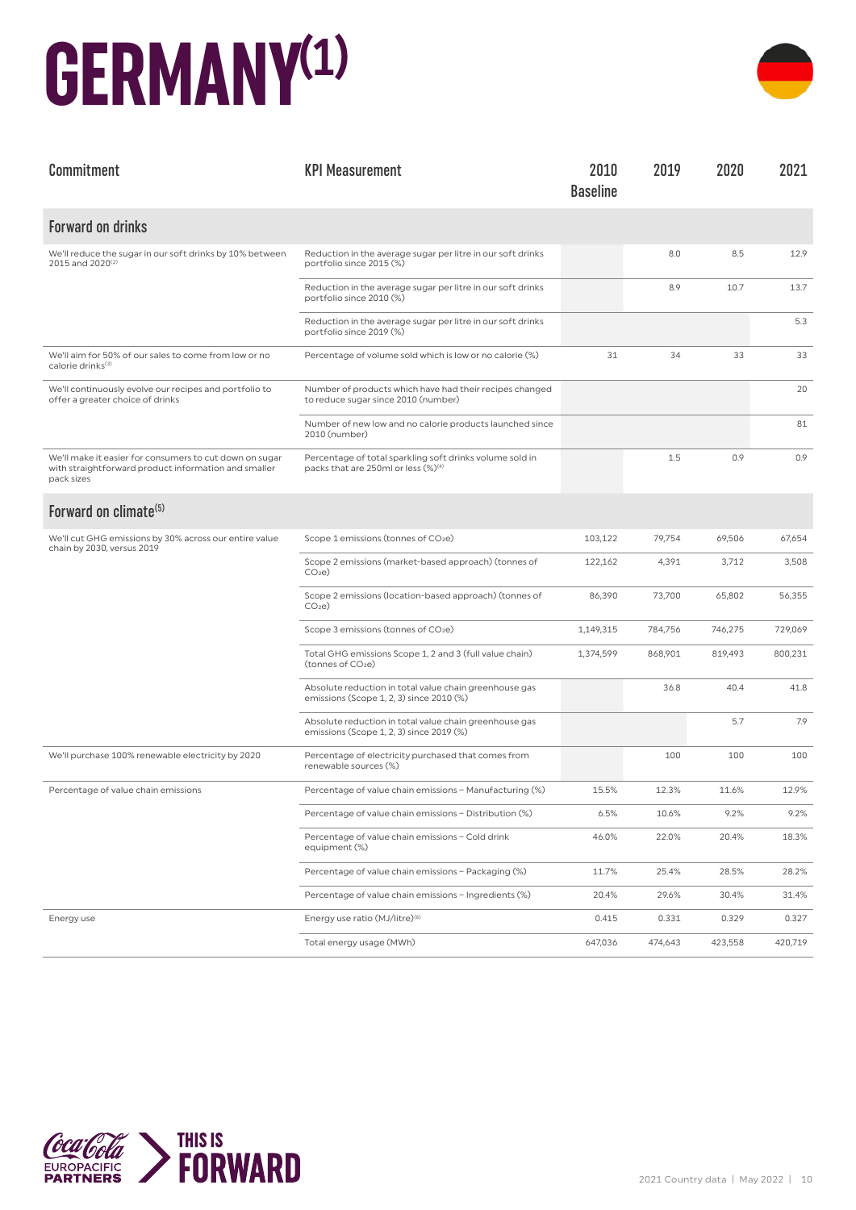#### **GERMANY(1)**



| Commitment                                                                                                                    | <b>KPI Measurement</b>                                                                                      | 2010<br><b>Baseline</b> | 2019    | 2020    | 2021    |
|-------------------------------------------------------------------------------------------------------------------------------|-------------------------------------------------------------------------------------------------------------|-------------------------|---------|---------|---------|
| <b>Forward on drinks</b>                                                                                                      |                                                                                                             |                         |         |         |         |
| We'll reduce the sugar in our soft drinks by 10% between<br>2015 and 2020 <sup>(2)</sup>                                      | Reduction in the average sugar per litre in our soft drinks<br>portfolio since 2015 (%)                     |                         | 8.0     | 8.5     | 12.9    |
|                                                                                                                               | Reduction in the average sugar per litre in our soft drinks<br>portfolio since 2010 (%)                     |                         | 8.9     | 10.7    | 13.7    |
|                                                                                                                               | Reduction in the average sugar per litre in our soft drinks<br>portfolio since 2019 (%)                     |                         |         |         | 5.3     |
| We'll aim for 50% of our sales to come from low or no<br>calorie drinks <sup>(3)</sup>                                        | Percentage of volume sold which is low or no calorie (%)                                                    | 31                      | 34      | 33      | 33      |
| We'll continuously evolve our recipes and portfolio to<br>offer a greater choice of drinks                                    | Number of products which have had their recipes changed<br>to reduce sugar since 2010 (number)              |                         |         |         | 20      |
|                                                                                                                               | Number of new low and no calorie products launched since<br>2010 (number)                                   |                         |         |         | 81      |
| We'll make it easier for consumers to cut down on sugar<br>with straightforward product information and smaller<br>pack sizes | Percentage of total sparkling soft drinks volume sold in<br>packs that are 250ml or less (%) <sup>(4)</sup> |                         | 1.5     | 0.9     | 0.9     |
| Forward on climate <sup>(5)</sup>                                                                                             |                                                                                                             |                         |         |         |         |
| We'll cut GHG emissions by 30% across our entire value<br>chain by 2030, versus 2019                                          | Scope 1 emissions (tonnes of CO2e)                                                                          | 103,122                 | 79,754  | 69,506  | 67,654  |
|                                                                                                                               | Scope 2 emissions (market-based approach) (tonnes of<br>CO <sub>2</sub> e                                   | 122,162                 | 4,391   | 3,712   | 3,508   |
|                                                                                                                               | Scope 2 emissions (location-based approach) (tonnes of<br>CO <sub>2</sub> e                                 | 86,390                  | 73,700  | 65,802  | 56,355  |
|                                                                                                                               | Scope 3 emissions (tonnes of CO2e)                                                                          | 1,149,315               | 784,756 | 746,275 | 729,069 |
|                                                                                                                               | Total GHG emissions Scope 1, 2 and 3 (full value chain)<br>(tonnes of CO <sub>2</sub> e)                    | 1,374,599               | 868,901 | 819,493 | 800,231 |
|                                                                                                                               | Absolute reduction in total value chain greenhouse gas<br>emissions (Scope 1, 2, 3) since 2010 (%)          |                         | 36.8    | 40.4    | 41.8    |
|                                                                                                                               | Absolute reduction in total value chain greenhouse gas<br>emissions (Scope 1, 2, 3) since 2019 (%)          |                         |         | 5.7     | 7.9     |
| We'll purchase 100% renewable electricity by 2020                                                                             | Percentage of electricity purchased that comes from<br>renewable sources (%)                                |                         | 100     | 100     | 100     |
| Percentage of value chain emissions                                                                                           | Percentage of value chain emissions - Manufacturing (%)                                                     | 15.5%                   | 12.3%   | 11.6%   | 12.9%   |
|                                                                                                                               | Percentage of value chain emissions - Distribution (%)                                                      | 6.5%                    | 10.6%   | 9.2%    | 9.2%    |
|                                                                                                                               | Percentage of value chain emissions - Cold drink<br>equipment (%)                                           | 46.0%                   | 22.0%   | 20.4%   | 18.3%   |
|                                                                                                                               | Percentage of value chain emissions - Packaging (%)                                                         | 11.7%                   | 25.4%   | 28.5%   | 28.2%   |
|                                                                                                                               | Percentage of value chain emissions - Ingredients (%)                                                       | 20.4%                   | 29.6%   | 30.4%   | 31.4%   |
| Energy use                                                                                                                    | Energy use ratio (MJ/litre) <sup>(6)</sup>                                                                  | 0.415                   | 0.331   | 0.329   | 0.327   |
|                                                                                                                               | Total energy usage (MWh)                                                                                    | 647,036                 | 474,643 | 423,558 | 420,719 |

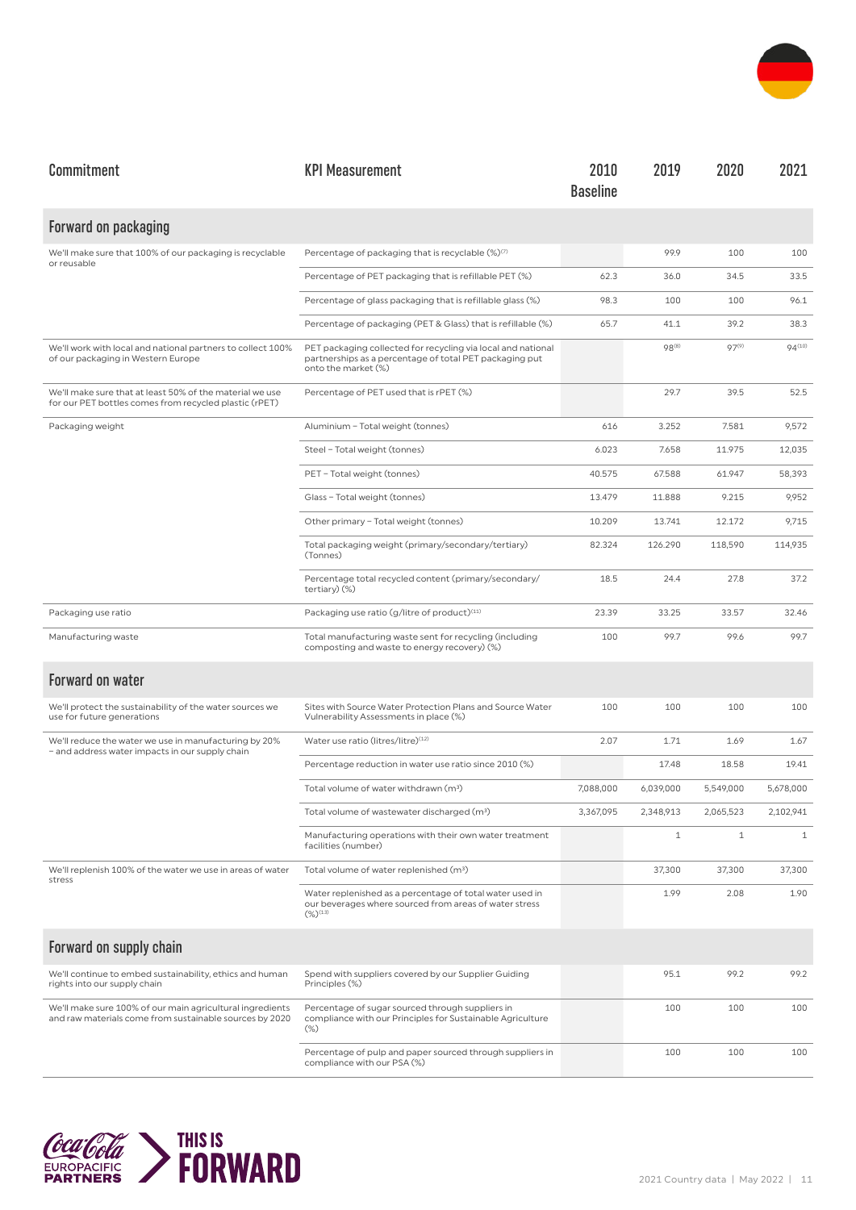

| Commitment                                                                                                           | <b>KPI Measurement</b>                                                                                                                         | 2010<br><b>Baseline</b> | 2019         | 2020         | 2021         |
|----------------------------------------------------------------------------------------------------------------------|------------------------------------------------------------------------------------------------------------------------------------------------|-------------------------|--------------|--------------|--------------|
| Forward on packaging                                                                                                 |                                                                                                                                                |                         |              |              |              |
| We'll make sure that 100% of our packaging is recyclable<br>or reusable                                              | Percentage of packaging that is recyclable (%) <sup>(7)</sup>                                                                                  |                         | 99.9         | 100          | 100          |
|                                                                                                                      | Percentage of PET packaging that is refillable PET (%)                                                                                         | 62.3                    | 36.0         | 34.5         | 33.5         |
|                                                                                                                      | Percentage of glass packaging that is refillable glass (%)                                                                                     | 98.3                    | 100          | 100          | 96.1         |
|                                                                                                                      | Percentage of packaging (PET & Glass) that is refillable (%)                                                                                   | 65.7                    | 41.1         | 39.2         | 38.3         |
| We'll work with local and national partners to collect 100%<br>of our packaging in Western Europe                    | PET packaging collected for recycling via local and national<br>partnerships as a percentage of total PET packaging put<br>onto the market (%) |                         | 98(8)        | $97^{(9)}$   | 94(10)       |
| We'll make sure that at least 50% of the material we use<br>for our PET bottles comes from recycled plastic (rPET)   | Percentage of PET used that is rPET (%)                                                                                                        |                         | 29.7         | 39.5         | 52.5         |
| Packaging weight                                                                                                     | Aluminium - Total weight (tonnes)                                                                                                              | 616                     | 3.252        | 7.581        | 9,572        |
|                                                                                                                      | Steel - Total weight (tonnes)                                                                                                                  | 6.023                   | 7.658        | 11.975       | 12,035       |
|                                                                                                                      | PET - Total weight (tonnes)                                                                                                                    | 40.575                  | 67.588       | 61.947       | 58,393       |
|                                                                                                                      | Glass - Total weight (tonnes)                                                                                                                  | 13.479                  | 11.888       | 9.215        | 9,952        |
|                                                                                                                      | Other primary - Total weight (tonnes)                                                                                                          | 10.209                  | 13.741       | 12.172       | 9,715        |
|                                                                                                                      | Total packaging weight (primary/secondary/tertiary)<br>(Tonnes)                                                                                | 82.324                  | 126.290      | 118,590      | 114,935      |
|                                                                                                                      | Percentage total recycled content (primary/secondary/<br>tertiary) (%)                                                                         | 18.5                    | 24.4         | 27.8         | 37.2         |
| Packaging use ratio                                                                                                  | Packaging use ratio (g/litre of product) <sup>(11)</sup>                                                                                       | 23.39                   | 33.25        | 33.57        | 32.46        |
| Manufacturing waste                                                                                                  | Total manufacturing waste sent for recycling (including<br>composting and waste to energy recovery) (%)                                        | 100                     | 99.7         | 99.6         | 99.7         |
| <b>Forward on water</b>                                                                                              |                                                                                                                                                |                         |              |              |              |
| We'll protect the sustainability of the water sources we<br>use for future generations                               | Sites with Source Water Protection Plans and Source Water<br>Vulnerability Assessments in place (%)                                            | 100                     | 100          | 100          | 100          |
| We'll reduce the water we use in manufacturing by 20%<br>- and address water impacts in our supply chain             | Water use ratio (litres/litre)(12)                                                                                                             | 2.07                    | 1.71         | 1.69         | 1.67         |
|                                                                                                                      | Percentage reduction in water use ratio since 2010 (%)                                                                                         |                         | 17.48        | 18.58        | 19.41        |
|                                                                                                                      | Total volume of water withdrawn (m <sup>3</sup> )                                                                                              | 7,088,000               | 6,039,000    | 5,549,000    | 5,678,000    |
|                                                                                                                      | Total volume of wastewater discharged (m <sup>3</sup> )                                                                                        | 3,367,095               | 2,348,913    | 2,065,523    | 2,102,941    |
|                                                                                                                      | Manufacturing operations with their own water treatment<br>facilities (number)                                                                 |                         | $\mathbf{1}$ | $\mathbf{1}$ | $\mathbf{1}$ |
| We'll replenish 100% of the water we use in areas of water<br>stress                                                 | Total volume of water replenished (m <sup>3</sup> )                                                                                            |                         | 37,300       | 37,300       | 37,300       |
|                                                                                                                      | Water replenished as a percentage of total water used in<br>our beverages where sourced from areas of water stress<br>$(\%)^{(13)}$            |                         | 1.99         | 2.08         | 1.90         |
| Forward on supply chain                                                                                              |                                                                                                                                                |                         |              |              |              |
| We'll continue to embed sustainability, ethics and human<br>rights into our supply chain                             | Spend with suppliers covered by our Supplier Guiding<br>Principles (%)                                                                         |                         | 95.1         | 99.2         | 99.2         |
| We'll make sure 100% of our main agricultural ingredients<br>and raw materials come from sustainable sources by 2020 | Percentage of sugar sourced through suppliers in<br>compliance with our Principles for Sustainable Agriculture<br>$(\%)$                       |                         | 100          | 100          | 100          |
|                                                                                                                      | Percentage of pulp and paper sourced through suppliers in<br>compliance with our PSA (%)                                                       |                         | 100          | 100          | 100          |

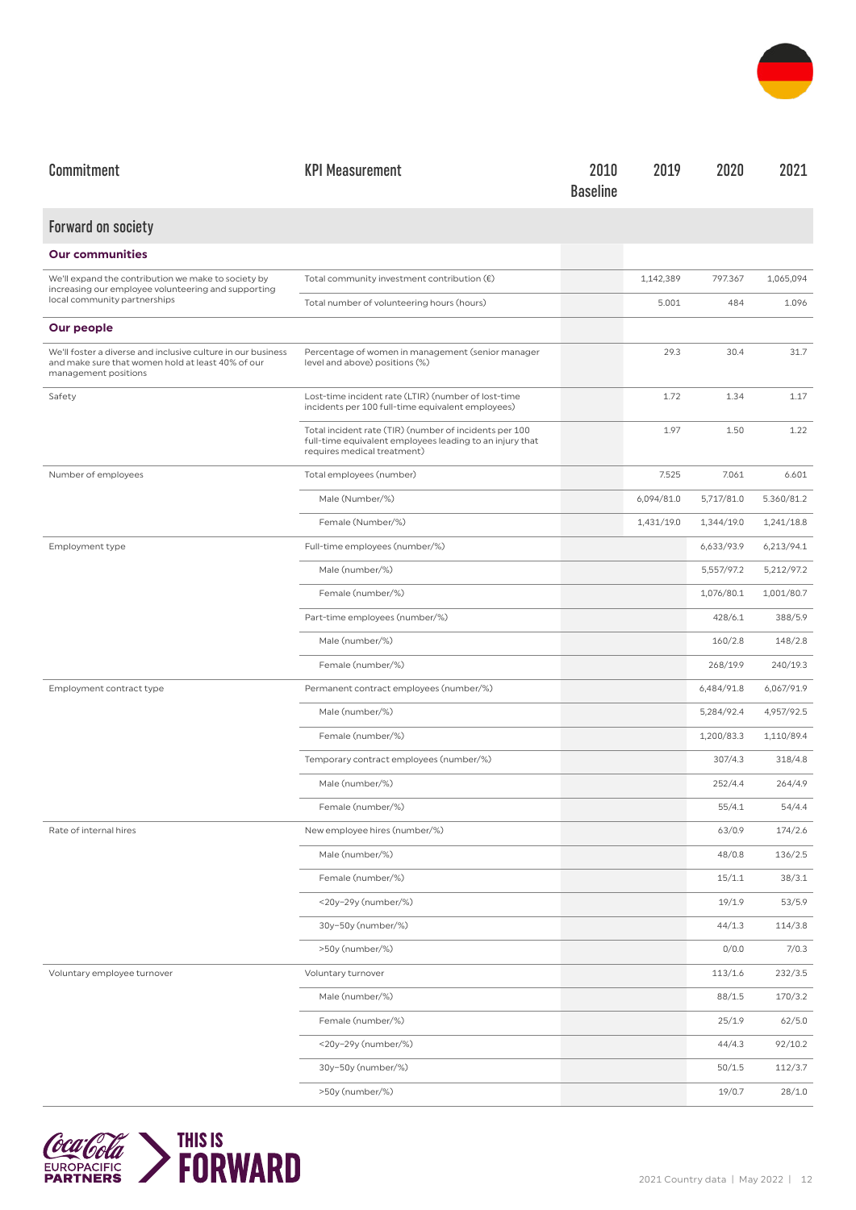

| Commitment                                                                                                                                | <b>KPI Measurement</b>                                                                                                                            | 2010<br><b>Baseline</b> | 2019       | 2020       | 2021       |
|-------------------------------------------------------------------------------------------------------------------------------------------|---------------------------------------------------------------------------------------------------------------------------------------------------|-------------------------|------------|------------|------------|
| Forward on society                                                                                                                        |                                                                                                                                                   |                         |            |            |            |
| <b>Our communities</b>                                                                                                                    |                                                                                                                                                   |                         |            |            |            |
| We'll expand the contribution we make to society by                                                                                       | Total community investment contribution $(\epsilon)$                                                                                              |                         | 1,142,389  | 797.367    | 1,065,094  |
| increasing our employee volunteering and supporting<br>local community partnerships                                                       | Total number of volunteering hours (hours)                                                                                                        |                         | 5.001      | 484        | 1.096      |
| Our people                                                                                                                                |                                                                                                                                                   |                         |            |            |            |
| We'll foster a diverse and inclusive culture in our business<br>and make sure that women hold at least 40% of our<br>management positions | Percentage of women in management (senior manager<br>level and above) positions (%)                                                               |                         | 29.3       | 30.4       | 31.7       |
| Safety                                                                                                                                    | Lost-time incident rate (LTIR) (number of lost-time<br>incidents per 100 full-time equivalent employees)                                          |                         | 1.72       | 1.34       | 1.17       |
|                                                                                                                                           | Total incident rate (TIR) (number of incidents per 100<br>full-time equivalent employees leading to an injury that<br>requires medical treatment) |                         | 1.97       | 1.50       | 1.22       |
| Number of employees                                                                                                                       | Total employees (number)                                                                                                                          |                         | 7.525      | 7.061      | 6.601      |
|                                                                                                                                           | Male (Number/%)                                                                                                                                   |                         | 6,094/81.0 | 5,717/81.0 | 5.360/81.2 |
|                                                                                                                                           | Female (Number/%)                                                                                                                                 |                         | 1,431/19.0 | 1,344/19.0 | 1,241/18.8 |
| Employment type                                                                                                                           | Full-time employees (number/%)                                                                                                                    |                         |            | 6,633/93.9 | 6,213/94.1 |
|                                                                                                                                           | Male (number/%)                                                                                                                                   |                         |            | 5,557/97.2 | 5,212/97.2 |
|                                                                                                                                           | Female (number/%)                                                                                                                                 |                         |            | 1,076/80.1 | 1,001/80.7 |
|                                                                                                                                           | Part-time employees (number/%)                                                                                                                    |                         |            | 428/6.1    | 388/5.9    |
|                                                                                                                                           | Male (number/%)                                                                                                                                   |                         |            | 160/2.8    | 148/2.8    |
|                                                                                                                                           | Female (number/%)                                                                                                                                 |                         |            | 268/19.9   | 240/19.3   |
| Employment contract type                                                                                                                  | Permanent contract employees (number/%)                                                                                                           |                         |            | 6,484/91.8 | 6,067/91.9 |
|                                                                                                                                           | Male (number/%)                                                                                                                                   |                         |            | 5,284/92.4 | 4,957/92.5 |
|                                                                                                                                           | Female (number/%)                                                                                                                                 |                         |            | 1,200/83.3 | 1,110/89.4 |
|                                                                                                                                           | Temporary contract employees (number/%)                                                                                                           |                         |            | 307/4.3    | 318/4.8    |
|                                                                                                                                           | Male (number/%)                                                                                                                                   |                         |            | 252/4.4    | 264/4.9    |
|                                                                                                                                           | Female (number/%)                                                                                                                                 |                         |            | 55/4.1     | 54/4.4     |
| Rate of internal hires                                                                                                                    | New employee hires (number/%)                                                                                                                     |                         |            | 63/0.9     | 174/2.6    |
|                                                                                                                                           | Male (number/%)                                                                                                                                   |                         |            | 48/0.8     | 136/2.5    |
|                                                                                                                                           | Female (number/%)                                                                                                                                 |                         |            | 15/1.1     | 38/3.1     |
|                                                                                                                                           | <20y-29y (number/%)                                                                                                                               |                         |            | 19/1.9     | 53/5.9     |
|                                                                                                                                           | 30y-50y (number/%)                                                                                                                                |                         |            | 44/1.3     | 114/3.8    |
|                                                                                                                                           | >50y (number/%)                                                                                                                                   |                         |            | 0/0.0      | 7/0.3      |
| Voluntary employee turnover                                                                                                               | Voluntary turnover                                                                                                                                |                         |            | 113/1.6    | 232/3.5    |
|                                                                                                                                           | Male (number/%)                                                                                                                                   |                         |            | 88/1.5     | 170/3.2    |
|                                                                                                                                           | Female (number/%)                                                                                                                                 |                         |            | 25/1.9     | 62/5.0     |
|                                                                                                                                           | <20y-29y (number/%)                                                                                                                               |                         |            | 44/4.3     | 92/10.2    |
|                                                                                                                                           | 30y-50y (number/%)                                                                                                                                |                         |            | 50/1.5     | 112/3.7    |
|                                                                                                                                           | >50y (number/%)                                                                                                                                   |                         |            | 19/0.7     | 28/1.0     |

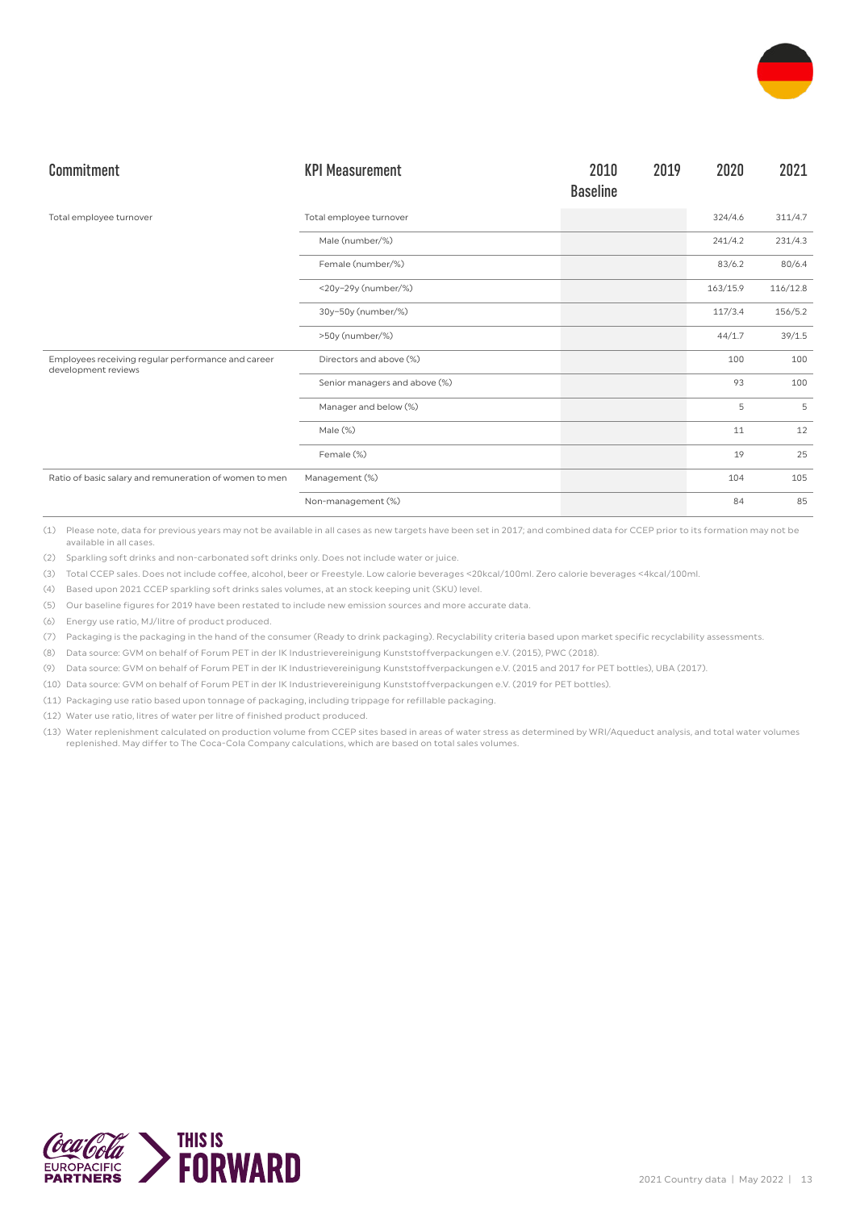

| Commitment                                                                | <b>KPI Measurement</b>        | 2010<br><b>Baseline</b> | 2019 | 2020     | 2021     |
|---------------------------------------------------------------------------|-------------------------------|-------------------------|------|----------|----------|
| Total employee turnover                                                   | Total employee turnover       |                         |      | 324/4.6  | 311/4.7  |
|                                                                           | Male (number/%)               |                         |      | 241/4.2  | 231/4.3  |
|                                                                           | Female (number/%)             |                         |      | 83/6.2   | 80/6.4   |
|                                                                           | <20y-29y (number/%)           |                         |      | 163/15.9 | 116/12.8 |
|                                                                           | 30y-50y (number/%)            |                         |      | 117/3.4  | 156/5.2  |
|                                                                           | >50y (number/%)               |                         |      | 44/1.7   | 39/1.5   |
| Employees receiving regular performance and career<br>development reviews | Directors and above (%)       |                         |      | 100      | 100      |
|                                                                           | Senior managers and above (%) |                         |      | 93       | 100      |
|                                                                           | Manager and below (%)         |                         |      | 5        | 5        |
|                                                                           | Male (%)                      |                         |      | 11       | 12       |
|                                                                           | Female (%)                    |                         |      | 19       | 25       |
| Ratio of basic salary and remuneration of women to men                    | Management (%)                |                         |      | 104      | 105      |
|                                                                           | Non-management (%)            |                         |      | 84       | 85       |

(2) Sparkling soft drinks and non-carbonated soft drinks only. Does not include water or juice.

(3) Total CCEP sales. Does not include coffee, alcohol, beer or Freestyle. Low calorie beverages <20kcal/100ml. Zero calorie beverages <4kcal/100ml.

(4) Based upon 2021 CCEP sparkling soft drinks sales volumes, at an stock keeping unit (SKU) level.

(5) Our baseline figures for 2019 have been restated to include new emission sources and more accurate data.

(6) Energy use ratio, MJ/litre of product produced.

(7) Packaging is the packaging in the hand of the consumer (Ready to drink packaging). Recyclability criteria based upon market specific recyclability assessments.

(8) Data source: GVM on behalf of Forum PET in der IK Industrievereinigung Kunststoffverpackungen e.V. (2015), PWC (2018).

(9) Data source: GVM on behalf of Forum PET in der IK Industrievereinigung Kunststoffverpackungen e.V. (2015 and 2017 for PET bottles), UBA (2017).

(10) Data source: GVM on behalf of Forum PET in der IK Industrievereinigung Kunststoffverpackungen e.V. (2019 for PET bottles).

(11) Packaging use ratio based upon tonnage of packaging, including trippage for refillable packaging.

- (12) Water use ratio, litres of water per litre of finished product produced.
- (13) Water replenishment calculated on production volume from CCEP sites based in areas of water stress as determined by WRI/Aqueduct analysis, and total water volumes replenished. May differ to The Coca-Cola Company calculations, which are based on total sales volumes.

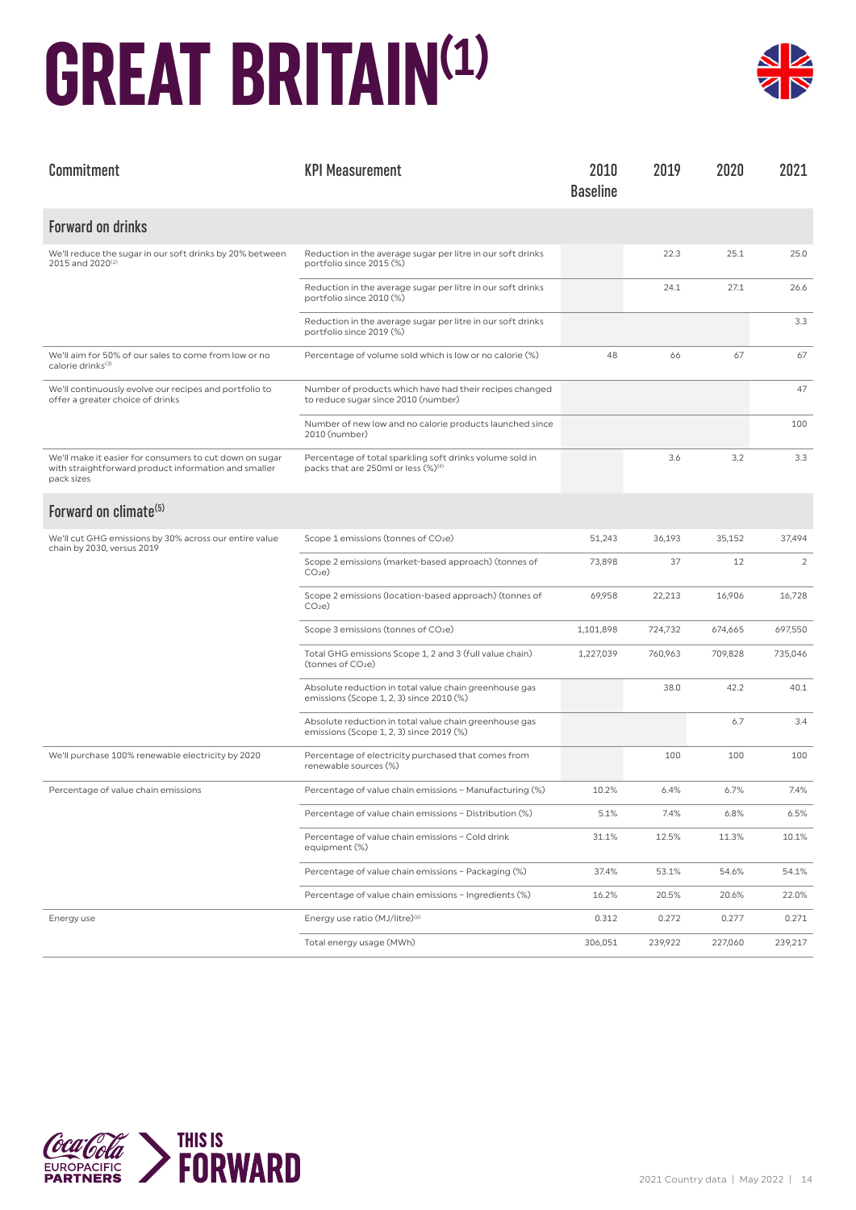#### **GREAT BRITAIN(1)**



| Commitment                                                                                                                    | <b>KPI Measurement</b>                                                                                      | 2010<br><b>Baseline</b> | 2019    | 2020    | 2021    |
|-------------------------------------------------------------------------------------------------------------------------------|-------------------------------------------------------------------------------------------------------------|-------------------------|---------|---------|---------|
| <b>Forward on drinks</b>                                                                                                      |                                                                                                             |                         |         |         |         |
| We'll reduce the sugar in our soft drinks by 20% between<br>2015 and 2020 <sup>(2)</sup>                                      | Reduction in the average sugar per litre in our soft drinks<br>portfolio since 2015 (%)                     |                         | 22.3    | 25.1    | 25.0    |
|                                                                                                                               | Reduction in the average sugar per litre in our soft drinks<br>portfolio since 2010 (%)                     |                         | 24.1    | 27.1    | 26.6    |
|                                                                                                                               | Reduction in the average sugar per litre in our soft drinks<br>portfolio since 2019 (%)                     |                         |         |         | 3.3     |
| We'll aim for 50% of our sales to come from low or no<br>calorie drinks <sup>(3)</sup>                                        | Percentage of volume sold which is low or no calorie (%)                                                    | 48                      | 66      | 67      | 67      |
| We'll continuously evolve our recipes and portfolio to<br>offer a greater choice of drinks                                    | Number of products which have had their recipes changed<br>to reduce sugar since 2010 (number)              |                         |         |         | 47      |
|                                                                                                                               | Number of new low and no calorie products launched since<br>2010 (number)                                   |                         |         |         | 100     |
| We'll make it easier for consumers to cut down on sugar<br>with straightforward product information and smaller<br>pack sizes | Percentage of total sparkling soft drinks volume sold in<br>packs that are 250ml or less (%) <sup>(4)</sup> |                         | 3.6     | 3.2     | 3.3     |
| Forward on climate <sup>(5)</sup>                                                                                             |                                                                                                             |                         |         |         |         |
| We'll cut GHG emissions by 30% across our entire value<br>chain by 2030, versus 2019                                          | Scope 1 emissions (tonnes of CO2e)                                                                          | 51,243                  | 36,193  | 35,152  | 37,494  |
|                                                                                                                               | Scope 2 emissions (market-based approach) (tonnes of<br>CO <sub>2</sub> e                                   | 73,898                  | 37      | 12      | 2       |
|                                                                                                                               | Scope 2 emissions (location-based approach) (tonnes of<br>CO <sub>2</sub> e                                 | 69,958                  | 22,213  | 16,906  | 16,728  |
|                                                                                                                               | Scope 3 emissions (tonnes of CO2e)                                                                          | 1,101,898               | 724,732 | 674,665 | 697,550 |
|                                                                                                                               | Total GHG emissions Scope 1, 2 and 3 (full value chain)<br>(tonnes of CO <sub>2</sub> e)                    | 1,227,039               | 760,963 | 709,828 | 735,046 |
|                                                                                                                               | Absolute reduction in total value chain greenhouse gas<br>emissions (Scope 1, 2, 3) since 2010 (%)          |                         | 38.0    | 42.2    | 40.1    |
|                                                                                                                               | Absolute reduction in total value chain greenhouse gas<br>emissions (Scope 1, 2, 3) since 2019 (%)          |                         |         | 6.7     | 3.4     |
| We'll purchase 100% renewable electricity by 2020                                                                             | Percentage of electricity purchased that comes from<br>renewable sources (%)                                |                         | 100     | 100     | 100     |
| Percentage of value chain emissions                                                                                           | Percentage of value chain emissions - Manufacturing (%)                                                     | 10.2%                   | 6.4%    | 6.7%    | 7.4%    |
|                                                                                                                               | Percentage of value chain emissions - Distribution (%)                                                      | 5.1%                    | 7.4%    | 6.8%    | 6.5%    |
|                                                                                                                               | Percentage of value chain emissions - Cold drink<br>equipment (%)                                           | 31.1%                   | 12.5%   | 11.3%   | 10.1%   |
|                                                                                                                               | Percentage of value chain emissions - Packaging (%)                                                         | 37.4%                   | 53.1%   | 54.6%   | 54.1%   |
|                                                                                                                               | Percentage of value chain emissions - Ingredients (%)                                                       | 16.2%                   | 20.5%   | 20.6%   | 22.0%   |
| Energy use                                                                                                                    | Energy use ratio (MJ/litre) <sup>(6)</sup>                                                                  | 0.312                   | 0.272   | 0.277   | 0.271   |
|                                                                                                                               | Total energy usage (MWh)                                                                                    | 306,051                 | 239,922 | 227,060 | 239,217 |

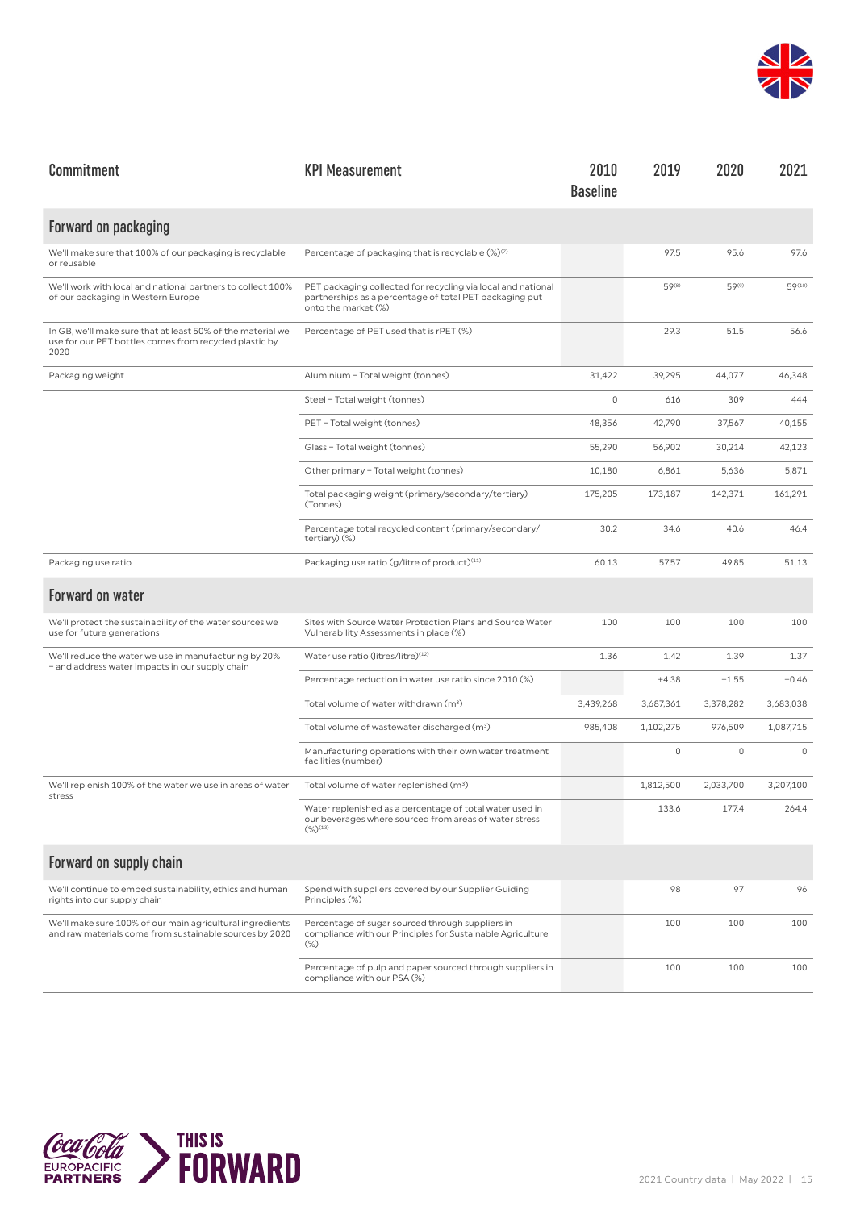

| Commitment                                                                                                                    | <b>KPI Measurement</b>                                                                                                                         | 2010<br><b>Baseline</b> | 2019        | 2020        | 2021        |
|-------------------------------------------------------------------------------------------------------------------------------|------------------------------------------------------------------------------------------------------------------------------------------------|-------------------------|-------------|-------------|-------------|
| Forward on packaging                                                                                                          |                                                                                                                                                |                         |             |             |             |
| We'll make sure that 100% of our packaging is recyclable<br>or reusable                                                       | Percentage of packaging that is recyclable (%) <sup>(7)</sup>                                                                                  |                         | 97.5        | 95.6        | 97.6        |
| We'll work with local and national partners to collect 100%<br>of our packaging in Western Europe                             | PET packaging collected for recycling via local and national<br>partnerships as a percentage of total PET packaging put<br>onto the market (%) |                         | 59(8)       | 59(9)       | 59(10)      |
| In GB, we'll make sure that at least 50% of the material we<br>use for our PET bottles comes from recycled plastic by<br>2020 | Percentage of PET used that is rPET (%)                                                                                                        |                         | 29.3        | 51.5        | 56.6        |
| Packaging weight                                                                                                              | Aluminium - Total weight (tonnes)                                                                                                              | 31,422                  | 39,295      | 44,077      | 46,348      |
|                                                                                                                               | Steel - Total weight (tonnes)                                                                                                                  | $\mathbf 0$             | 616         | 309         | 444         |
|                                                                                                                               | PET - Total weight (tonnes)                                                                                                                    | 48,356                  | 42,790      | 37,567      | 40,155      |
|                                                                                                                               | Glass - Total weight (tonnes)                                                                                                                  | 55,290                  | 56,902      | 30,214      | 42,123      |
|                                                                                                                               | Other primary - Total weight (tonnes)                                                                                                          | 10,180                  | 6,861       | 5,636       | 5,871       |
|                                                                                                                               | Total packaging weight (primary/secondary/tertiary)<br>(Tonnes)                                                                                | 175,205                 | 173,187     | 142,371     | 161,291     |
|                                                                                                                               | Percentage total recycled content (primary/secondary/<br>tertiary) (%)                                                                         | 30.2                    | 34.6        | 40.6        | 46.4        |
| Packaging use ratio                                                                                                           | Packaging use ratio (g/litre of product) <sup>(11)</sup>                                                                                       | 60.13                   | 57.57       | 49.85       | 51.13       |
| Forward on water                                                                                                              |                                                                                                                                                |                         |             |             |             |
| We'll protect the sustainability of the water sources we<br>use for future generations                                        | Sites with Source Water Protection Plans and Source Water<br>Vulnerability Assessments in place (%)                                            | 100                     | 100         | 100         | 100         |
| We'll reduce the water we use in manufacturing by 20%<br>- and address water impacts in our supply chain                      | Water use ratio (litres/litre)(12)                                                                                                             | 1.36                    | 1.42        | 1.39        | 1.37        |
|                                                                                                                               | Percentage reduction in water use ratio since 2010 (%)                                                                                         |                         | $+4.38$     | $+1.55$     | $+0.46$     |
|                                                                                                                               | Total volume of water withdrawn (m <sup>3</sup> )                                                                                              | 3,439,268               | 3,687,361   | 3,378,282   | 3,683,038   |
|                                                                                                                               | Total volume of wastewater discharged (m <sup>3</sup> )                                                                                        | 985,408                 | 1,102,275   | 976,509     | 1,087,715   |
|                                                                                                                               | Manufacturing operations with their own water treatment<br>facilities (number)                                                                 |                         | $\mathbb O$ | $\mathbb O$ | $\mathbb O$ |
| We'll replenish 100% of the water we use in areas of water<br>stress                                                          | Total volume of water replenished (m <sup>3</sup> )                                                                                            |                         | 1,812,500   | 2,033,700   | 3,207,100   |
|                                                                                                                               | Water replenished as a percentage of total water used in<br>our beverages where sourced from areas of water stress<br>$(\%)^{(13)}$            |                         | 133.6       | 1/1.4       | 264.4       |
| Forward on supply chain                                                                                                       |                                                                                                                                                |                         |             |             |             |
| We'll continue to embed sustainability, ethics and human<br>rights into our supply chain                                      | Spend with suppliers covered by our Supplier Guiding<br>Principles (%)                                                                         |                         | 98          | 97          | 96          |
| We'll make sure 100% of our main agricultural ingredients<br>and raw materials come from sustainable sources by 2020          | Percentage of sugar sourced through suppliers in<br>compliance with our Principles for Sustainable Agriculture<br>$(\%)$                       |                         | 100         | 100         | 100         |
|                                                                                                                               | Percentage of pulp and paper sourced through suppliers in<br>compliance with our PSA (%)                                                       |                         | 100         | 100         | 100         |

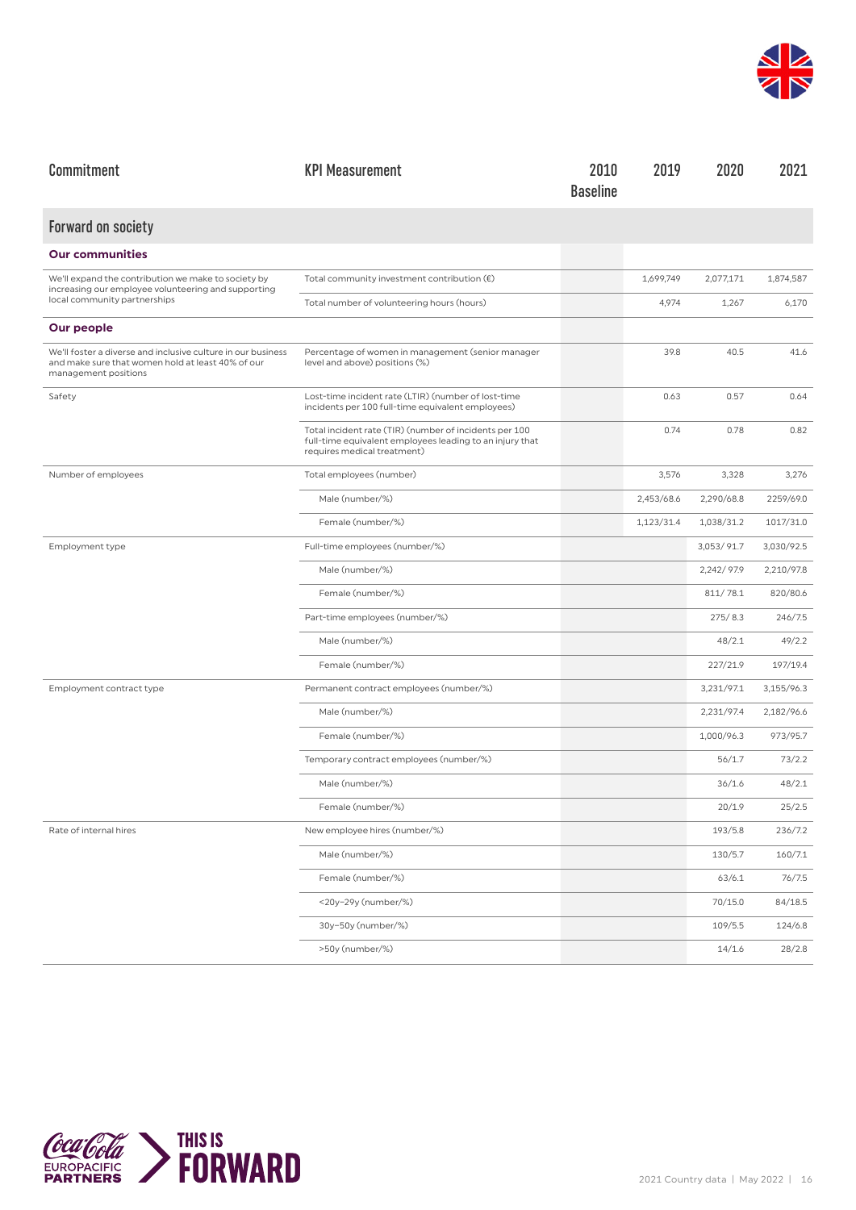

| Commitment                                                                                                                                | <b>KPI Measurement</b>                                                                                                                            | 2010<br><b>Baseline</b> | 2019       | 2020       | 2021       |
|-------------------------------------------------------------------------------------------------------------------------------------------|---------------------------------------------------------------------------------------------------------------------------------------------------|-------------------------|------------|------------|------------|
| <b>Forward on society</b>                                                                                                                 |                                                                                                                                                   |                         |            |            |            |
| <b>Our communities</b>                                                                                                                    |                                                                                                                                                   |                         |            |            |            |
| We'll expand the contribution we make to society by<br>increasing our employee volunteering and supporting                                | Total community investment contribution $(\epsilon)$                                                                                              |                         | 1,699,749  | 2,077,171  | 1,874,587  |
| local community partnerships                                                                                                              | Total number of volunteering hours (hours)                                                                                                        |                         | 4,974      | 1,267      | 6,170      |
| Our people                                                                                                                                |                                                                                                                                                   |                         |            |            |            |
| We'll foster a diverse and inclusive culture in our business<br>and make sure that women hold at least 40% of our<br>management positions | Percentage of women in management (senior manager<br>level and above) positions (%)                                                               |                         | 39.8       | 40.5       | 41.6       |
| Safety                                                                                                                                    | Lost-time incident rate (LTIR) (number of lost-time<br>incidents per 100 full-time equivalent employees)                                          |                         | 0.63       | 0.57       | 0.64       |
|                                                                                                                                           | Total incident rate (TIR) (number of incidents per 100<br>full-time equivalent employees leading to an injury that<br>requires medical treatment) |                         | 0.74       | 0.78       | 0.82       |
| Number of employees                                                                                                                       | Total employees (number)                                                                                                                          |                         | 3,576      | 3,328      | 3,276      |
|                                                                                                                                           | Male (number/%)                                                                                                                                   |                         | 2,453/68.6 | 2,290/68.8 | 2259/69.0  |
|                                                                                                                                           | Female (number/%)                                                                                                                                 |                         | 1,123/31.4 | 1,038/31.2 | 1017/31.0  |
| Employment type                                                                                                                           | Full-time employees (number/%)                                                                                                                    |                         |            | 3,053/91.7 | 3,030/92.5 |
|                                                                                                                                           | Male (number/%)                                                                                                                                   |                         |            | 2,242/97.9 | 2,210/97.8 |
|                                                                                                                                           | Female (number/%)                                                                                                                                 |                         |            | 811/78.1   | 820/80.6   |
|                                                                                                                                           | Part-time employees (number/%)                                                                                                                    |                         |            | 275/8.3    | 246/7.5    |
|                                                                                                                                           | Male (number/%)                                                                                                                                   |                         |            | 48/2.1     | 49/2.2     |
|                                                                                                                                           | Female (number/%)                                                                                                                                 |                         |            | 227/21.9   | 197/19.4   |
| Employment contract type                                                                                                                  | Permanent contract employees (number/%)                                                                                                           |                         |            | 3,231/97.1 | 3,155/96.3 |
|                                                                                                                                           | Male (number/%)                                                                                                                                   |                         |            | 2,231/97.4 | 2,182/96.6 |
|                                                                                                                                           | Female (number/%)                                                                                                                                 |                         |            | 1,000/96.3 | 973/95.7   |
|                                                                                                                                           | Temporary contract employees (number/%)                                                                                                           |                         |            | 56/1.7     | 73/2.2     |
|                                                                                                                                           | Male (number/%)                                                                                                                                   |                         |            | 36/1.6     | 48/2.1     |
|                                                                                                                                           | Female (number/%)                                                                                                                                 |                         |            | 20/1.9     | 25/2.5     |
| Rate of internal hires                                                                                                                    | New employee hires (number/%)                                                                                                                     |                         |            | 193/5.8    | 236/7.2    |
|                                                                                                                                           | Male (number/%)                                                                                                                                   |                         |            | 130/5.7    | 160/7.1    |
|                                                                                                                                           | Female (number/%)                                                                                                                                 |                         |            | 63/6.1     | 76/7.5     |
|                                                                                                                                           | <20y-29y (number/%)                                                                                                                               |                         |            | 70/15.0    | 84/18.5    |
|                                                                                                                                           | 30y-50y (number/%)                                                                                                                                |                         |            | 109/5.5    | 124/6.8    |
|                                                                                                                                           | >50y (number/%)                                                                                                                                   |                         |            | 14/1.6     | 28/2.8     |

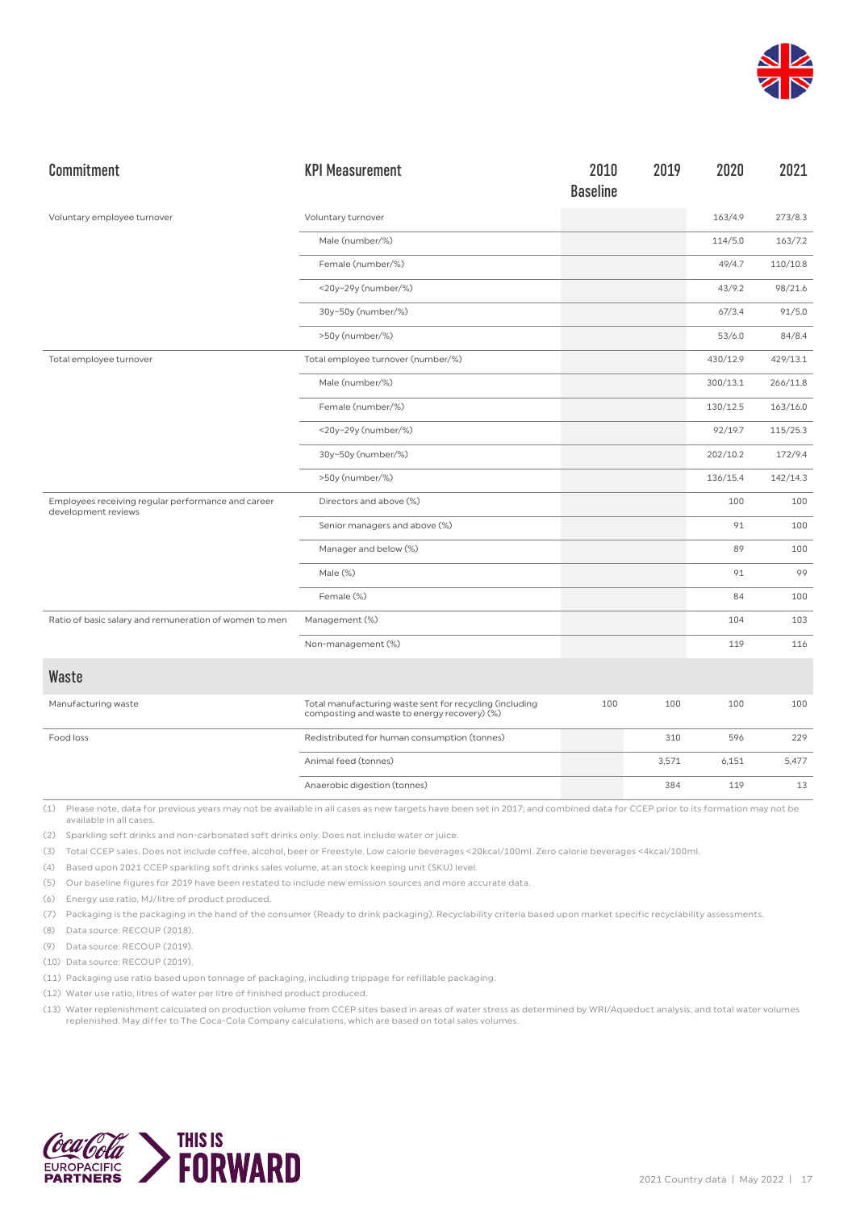

| Commitment                                                                | <b>KPI Measurement</b>                                                                                  | 2010<br><b>Baseline</b> | 2019  | 2020     | 2021     |
|---------------------------------------------------------------------------|---------------------------------------------------------------------------------------------------------|-------------------------|-------|----------|----------|
| Voluntary employee turnover                                               | Voluntary turnover                                                                                      |                         |       | 163/4.9  | 273/8.3  |
|                                                                           | Male (number/%)                                                                                         |                         |       | 114/5.0  | 163/7.2  |
|                                                                           | Female (number/%)                                                                                       |                         |       | 49/4.7   | 110/10.8 |
|                                                                           | <20y-29y (number/%)                                                                                     |                         |       | 43/9.2   | 98/21.6  |
|                                                                           | 30y-50y (number/%)                                                                                      |                         |       | 67/3.4   | 91/5.0   |
|                                                                           | >50y (number/%)                                                                                         |                         |       | 53/6.0   | 84/8.4   |
| Total employee turnover                                                   | Total employee turnover (number/%)                                                                      |                         |       | 430/12.9 | 429/13.1 |
|                                                                           | Male (number/%)                                                                                         |                         |       | 300/13.1 | 266/11.8 |
|                                                                           | Female (number/%)                                                                                       |                         |       | 130/12.5 | 163/16.0 |
|                                                                           | <20y-29y (number/%)                                                                                     |                         |       | 92/19.7  | 115/25.3 |
|                                                                           | 30y-50y (number/%)                                                                                      |                         |       | 202/10.2 | 172/9.4  |
|                                                                           | >50y (number/%)                                                                                         |                         |       | 136/15.4 | 142/14.3 |
| Employees receiving regular performance and career<br>development reviews | Directors and above (%)                                                                                 |                         |       | 100      | 100      |
|                                                                           | Senior managers and above (%)                                                                           |                         |       | 91       | 100      |
|                                                                           | Manager and below (%)                                                                                   |                         |       | 89       | 100      |
|                                                                           | Male (%)                                                                                                |                         |       | 91       | 99       |
|                                                                           | Female (%)                                                                                              |                         |       | 84       | 100      |
| Ratio of basic salary and remuneration of women to men                    | Management (%)                                                                                          |                         |       | 104      | 103      |
|                                                                           | Non-management (%)                                                                                      |                         |       | 119      | 116      |
| Waste                                                                     |                                                                                                         |                         |       |          |          |
| Manufacturing waste                                                       | Total manufacturing waste sent for recycling (including<br>composting and waste to energy recovery) (%) | 100                     | 100   | 100      | 100      |
| Food loss                                                                 | Redistributed for human consumption (tonnes)                                                            |                         | 310   | 596      | 229      |
|                                                                           | Animal feed (tonnes)                                                                                    |                         | 3,571 | 6,151    | 5,477    |
|                                                                           | Anaerobic digestion (tonnes)                                                                            |                         | 384   | 119      | 13       |

(2) Sparkling soft drinks and non-carbonated soft drinks only. Does not include water or juice.

(3) Total CCEP sales. Does not include coffee, alcohol, beer or Freestyle. Low calorie beverages <20kcal/100ml. Zero calorie beverages <4kcal/100ml.

(4) Based upon 2021 CCEP sparkling soft drinks sales volume, at an stock keeping unit (SKU) level.

(5) Our baseline figures for 2019 have been restated to include new emission sources and more accurate data.

(6) Energy use ratio, MJ/litre of product produced.

(7) Packaging is the packaging in the hand of the consumer (Ready to drink packaging). Recyclability criteria based upon market specific recyclability assessments.

(8) Data source: RECOUP (2018).

(9) Data source: RECOUP (2019).

(10) Data source: RECOUP (2019).

(11) Packaging use ratio based upon tonnage of packaging, including trippage for refillable packaging.

(12) Water use ratio, litres of water per litre of finished product produced.

(13) Water replenishment calculated on production volume from CCEP sites based in areas of water stress as determined by WRI/Aqueduct analysis, and total water volumes replenished. May differ to The Coca-Cola Company calculations, which are based on total sales volumes.

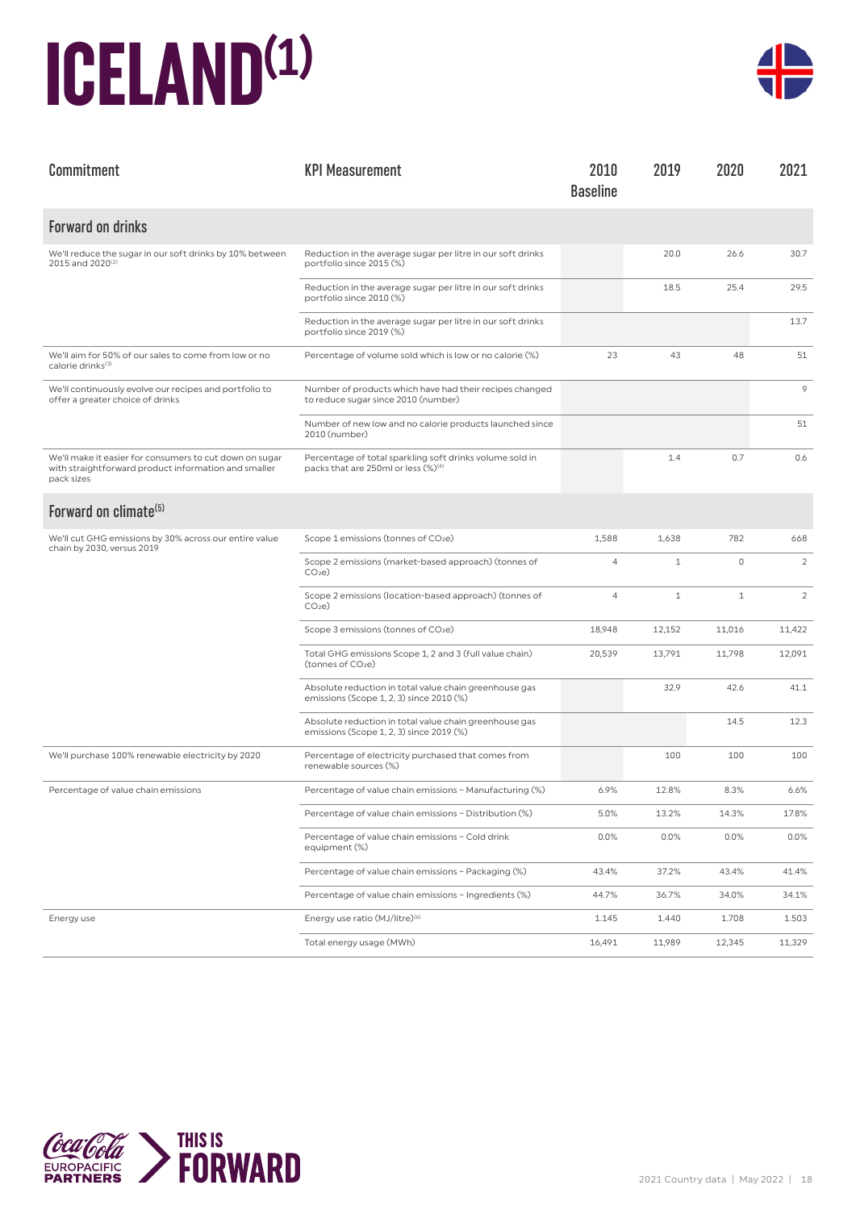### **ICELAND(1)**



| Commitment                                                                                                                    | <b>KPI Measurement</b>                                                                                      | 2010<br><b>Baseline</b> | 2019         | 2020         | 2021           |
|-------------------------------------------------------------------------------------------------------------------------------|-------------------------------------------------------------------------------------------------------------|-------------------------|--------------|--------------|----------------|
| <b>Forward on drinks</b>                                                                                                      |                                                                                                             |                         |              |              |                |
| We'll reduce the sugar in our soft drinks by 10% between<br>2015 and 2020 <sup>(2)</sup>                                      | Reduction in the average sugar per litre in our soft drinks<br>portfolio since 2015 (%)                     |                         | 20.0         | 26.6         | 30.7           |
|                                                                                                                               | Reduction in the average sugar per litre in our soft drinks<br>portfolio since 2010 (%)                     |                         | 18.5         | 25.4         | 29.5           |
|                                                                                                                               | Reduction in the average sugar per litre in our soft drinks<br>portfolio since 2019 (%)                     |                         |              |              | 13.7           |
| We'll aim for 50% of our sales to come from low or no<br>calorie drinks <sup>(3)</sup>                                        | Percentage of volume sold which is low or no calorie (%)                                                    | 23                      | 43           | 48           | 51             |
| We'll continuously evolve our recipes and portfolio to<br>offer a greater choice of drinks                                    | Number of products which have had their recipes changed<br>to reduce sugar since 2010 (number)              |                         |              |              | 9              |
|                                                                                                                               | Number of new low and no calorie products launched since<br>2010 (number)                                   |                         |              |              | 51             |
| We'll make it easier for consumers to cut down on sugar<br>with straightforward product information and smaller<br>pack sizes | Percentage of total sparkling soft drinks volume sold in<br>packs that are 250ml or less (%) <sup>(4)</sup> |                         | 1.4          | 0.7          | 0.6            |
| Forward on climate <sup>(5)</sup>                                                                                             |                                                                                                             |                         |              |              |                |
| We'll cut GHG emissions by 30% across our entire value<br>chain by 2030, versus 2019                                          | Scope 1 emissions (tonnes of CO <sub>2</sub> e)                                                             | 1,588                   | 1,638        | 782          | 668            |
|                                                                                                                               | Scope 2 emissions (market-based approach) (tonnes of<br>CO <sub>2</sub> e                                   | $\overline{4}$          | $\mathbf{1}$ | $\mathbf 0$  | 2              |
|                                                                                                                               | Scope 2 emissions (location-based approach) (tonnes of<br>CO <sub>2</sub> e                                 | $\overline{4}$          | $\mathbf{1}$ | $\mathbf{1}$ | $\overline{2}$ |
|                                                                                                                               | Scope 3 emissions (tonnes of CO <sub>2</sub> e)                                                             | 18,948                  | 12,152       | 11,016       | 11,422         |
|                                                                                                                               | Total GHG emissions Scope 1, 2 and 3 (full value chain)<br>(tonnes of CO <sub>2</sub> e)                    | 20,539                  | 13,791       | 11,798       | 12,091         |
|                                                                                                                               | Absolute reduction in total value chain greenhouse gas<br>emissions (Scope 1, 2, 3) since 2010 (%)          |                         | 32.9         | 42.6         | 41.1           |
|                                                                                                                               | Absolute reduction in total value chain greenhouse gas<br>emissions (Scope 1, 2, 3) since 2019 (%)          |                         |              | 14.5         | 12.3           |
| We'll purchase 100% renewable electricity by 2020                                                                             | Percentage of electricity purchased that comes from<br>renewable sources (%)                                |                         | 100          | 100          | 100            |
| Percentage of value chain emissions                                                                                           | Percentage of value chain emissions - Manufacturing (%)                                                     | 6.9%                    | 12.8%        | 8.3%         | 6.6%           |
|                                                                                                                               | Percentage of value chain emissions - Distribution (%)                                                      | 5.0%                    | 13.2%        | 14.3%        | 17.8%          |
|                                                                                                                               | Percentage of value chain emissions - Cold drink<br>equipment (%)                                           | 0.0%                    | 0.0%         | $0.0\%$      | $0.0\%$        |
|                                                                                                                               | Percentage of value chain emissions - Packaging (%)                                                         | 43.4%                   | 37.2%        | 43.4%        | 41.4%          |
|                                                                                                                               | Percentage of value chain emissions - Ingredients (%)                                                       | 44.7%                   | 36.7%        | 34.0%        | 34.1%          |
| Energy use                                                                                                                    | Energy use ratio (MJ/litre) <sup>(6)</sup>                                                                  | 1.145                   | 1.440        | 1.708        | 1.503          |
|                                                                                                                               | Total energy usage (MWh)                                                                                    | 16,491                  | 11,989       | 12,345       | 11,329         |

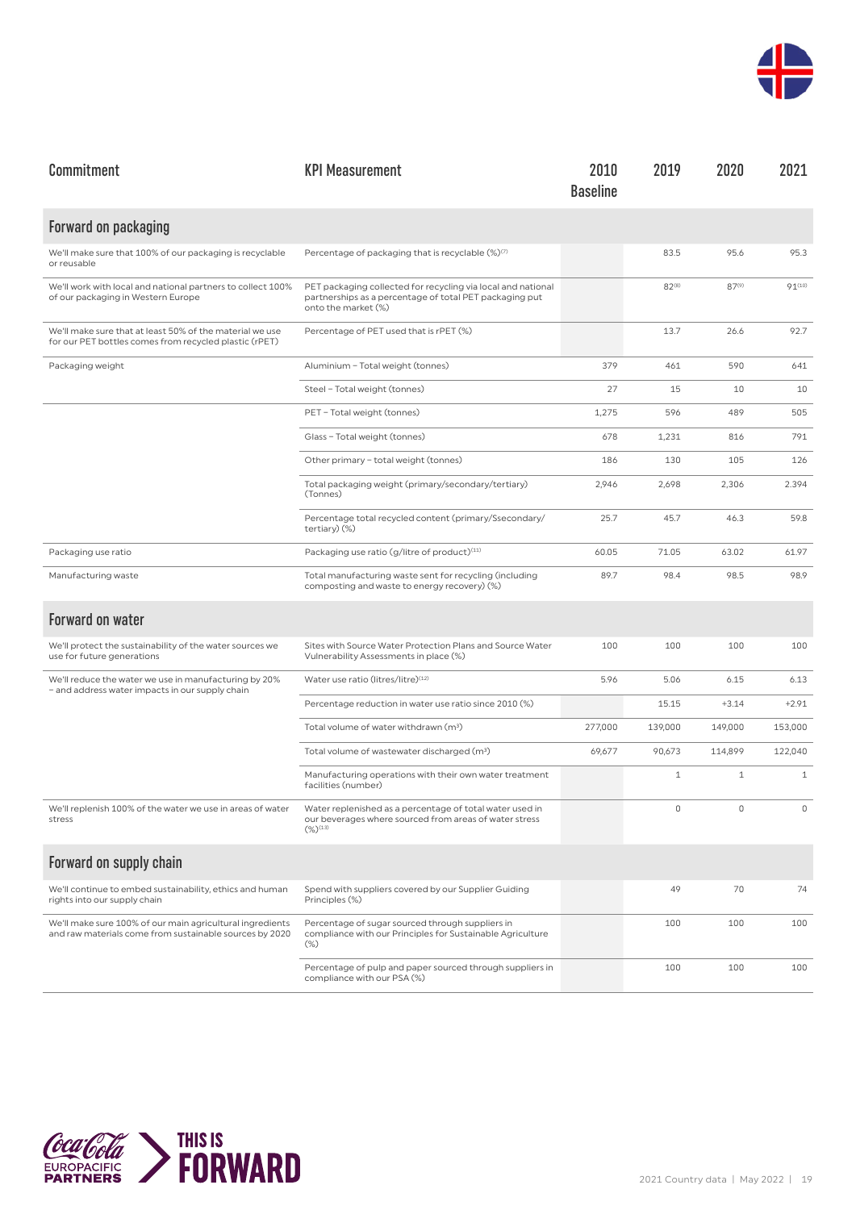

| Commitment                                                                                                           | <b>KPI Measurement</b>                                                                                                                         | 2010<br><b>Baseline</b> | 2019         | 2020         | 2021         |
|----------------------------------------------------------------------------------------------------------------------|------------------------------------------------------------------------------------------------------------------------------------------------|-------------------------|--------------|--------------|--------------|
| Forward on packaging                                                                                                 |                                                                                                                                                |                         |              |              |              |
| We'll make sure that 100% of our packaging is recyclable<br>or reusable                                              | Percentage of packaging that is recyclable $(\%)^{(7)}$                                                                                        |                         | 83.5         | 95.6         | 95.3         |
| We'll work with local and national partners to collect 100%<br>of our packaging in Western Europe                    | PET packaging collected for recycling via local and national<br>partnerships as a percentage of total PET packaging put<br>onto the market (%) |                         | $82^{(8)}$   | $87^{(9)}$   | $91^{(10)}$  |
| We'll make sure that at least 50% of the material we use<br>for our PET bottles comes from recycled plastic (rPET)   | Percentage of PET used that is rPET (%)                                                                                                        |                         | 13.7         | 26.6         | 92.7         |
| Packaging weight                                                                                                     | Aluminium - Total weight (tonnes)                                                                                                              | 379                     | 461          | 590          | 641          |
|                                                                                                                      | Steel - Total weight (tonnes)                                                                                                                  | 27                      | 15           | 10           | 10           |
|                                                                                                                      | PET - Total weight (tonnes)                                                                                                                    | 1,275                   | 596          | 489          | 505          |
|                                                                                                                      | Glass - Total weight (tonnes)                                                                                                                  | 678                     | 1,231        | 816          | 791          |
|                                                                                                                      | Other primary - total weight (tonnes)                                                                                                          | 186                     | 130          | 105          | 126          |
|                                                                                                                      | Total packaging weight (primary/secondary/tertiary)<br>(Tonnes)                                                                                | 2,946                   | 2,698        | 2,306        | 2.394        |
|                                                                                                                      | Percentage total recycled content (primary/Ssecondary/<br>tertiary) (%)                                                                        | 25.7                    | 45.7         | 46.3         | 59.8         |
| Packaging use ratio                                                                                                  | Packaging use ratio (g/litre of product) <sup>(11)</sup>                                                                                       | 60.05                   | 71.05        | 63.02        | 61.97        |
| Manufacturing waste                                                                                                  | Total manufacturing waste sent for recycling (including<br>composting and waste to energy recovery) (%)                                        | 89.7                    | 98.4         | 98.5         | 98.9         |
| Forward on water                                                                                                     |                                                                                                                                                |                         |              |              |              |
| We'll protect the sustainability of the water sources we<br>use for future generations                               | Sites with Source Water Protection Plans and Source Water<br>Vulnerability Assessments in place (%)                                            | 100                     | 100          | 100          | 100          |
| We'll reduce the water we use in manufacturing by 20%<br>- and address water impacts in our supply chain             | Water use ratio (litres/litre)(12)                                                                                                             | 5.96                    | 5.06         | 6.15         | 6.13         |
|                                                                                                                      | Percentage reduction in water use ratio since 2010 (%)                                                                                         |                         | 15.15        | $+3.14$      | $+2.91$      |
|                                                                                                                      | Total volume of water withdrawn (m <sup>3</sup> )                                                                                              | 277,000                 | 139,000      | 149,000      | 153,000      |
|                                                                                                                      | Total volume of wastewater discharged (m <sup>3</sup> )                                                                                        | 69,677                  | 90,673       | 114,899      | 122,040      |
|                                                                                                                      | Manufacturing operations with their own water treatment<br>facilities (number)                                                                 |                         | $\mathbf{1}$ | $\mathbf{1}$ | $\mathbf{1}$ |
| We'll replenish 100% of the water we use in areas of water<br>stress                                                 | Water replenished as a percentage of total water used in<br>our beverages where sourced from areas of water stress<br>$(\%)^{(13)}$            |                         |              |              |              |
| Forward on supply chain                                                                                              |                                                                                                                                                |                         |              |              |              |
| We'll continue to embed sustainability, ethics and human<br>rights into our supply chain                             | Spend with suppliers covered by our Supplier Guiding<br>Principles (%)                                                                         |                         | 49           | 70           | 74           |
| We'll make sure 100% of our main agricultural ingredients<br>and raw materials come from sustainable sources by 2020 | Percentage of sugar sourced through suppliers in<br>compliance with our Principles for Sustainable Agriculture<br>$(\%)$                       |                         | 100          | 100          | 100          |
|                                                                                                                      | Percentage of pulp and paper sourced through suppliers in<br>compliance with our PSA (%)                                                       |                         | 100          | 100          | 100          |

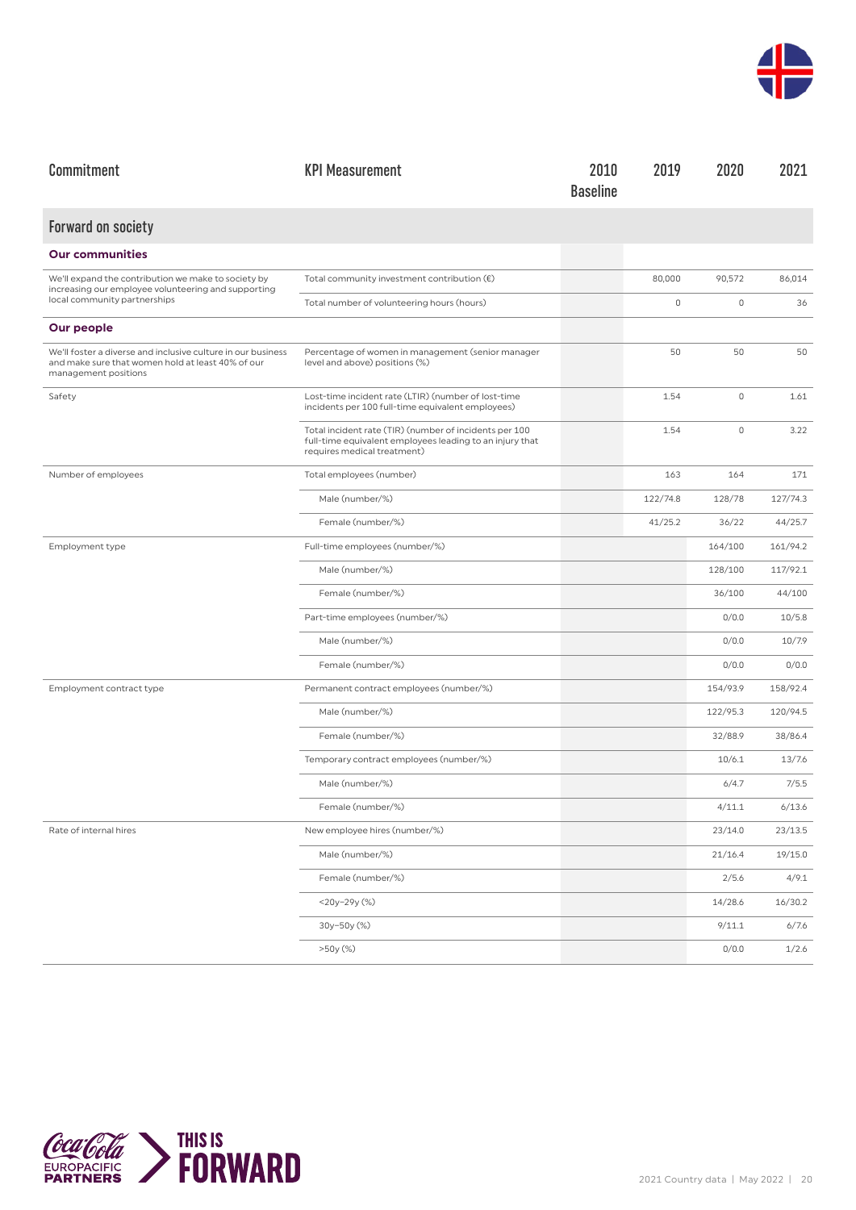

| Commitment                                                                                                                                | <b>KPI Measurement</b>                                                                                                                            | 2010<br><b>Baseline</b> | 2019     | 2020        | 2021     |
|-------------------------------------------------------------------------------------------------------------------------------------------|---------------------------------------------------------------------------------------------------------------------------------------------------|-------------------------|----------|-------------|----------|
| <b>Forward on society</b>                                                                                                                 |                                                                                                                                                   |                         |          |             |          |
| <b>Our communities</b>                                                                                                                    |                                                                                                                                                   |                         |          |             |          |
| We'll expand the contribution we make to society by<br>increasing our employee volunteering and supporting                                | Total community investment contribution $(\epsilon)$                                                                                              |                         | 80,000   | 90,572      | 86,014   |
| local community partnerships                                                                                                              | Total number of volunteering hours (hours)                                                                                                        |                         | 0        | $\mathbb O$ | 36       |
| Our people                                                                                                                                |                                                                                                                                                   |                         |          |             |          |
| We'll foster a diverse and inclusive culture in our business<br>and make sure that women hold at least 40% of our<br>management positions | Percentage of women in management (senior manager<br>level and above) positions (%)                                                               |                         | 50       | 50          | 50       |
| Safety                                                                                                                                    | Lost-time incident rate (LTIR) (number of lost-time<br>incidents per 100 full-time equivalent employees)                                          |                         | 1.54     | 0           | 1.61     |
|                                                                                                                                           | Total incident rate (TIR) (number of incidents per 100<br>full-time equivalent employees leading to an injury that<br>requires medical treatment) |                         | 1.54     | $\mathbb O$ | 3.22     |
| Number of employees                                                                                                                       | Total employees (number)                                                                                                                          |                         | 163      | 164         | 171      |
|                                                                                                                                           | Male (number/%)                                                                                                                                   |                         | 122/74.8 | 128/78      | 127/74.3 |
|                                                                                                                                           | Female (number/%)                                                                                                                                 |                         | 41/25.2  | 36/22       | 44/25.7  |
| Employment type                                                                                                                           | Full-time employees (number/%)                                                                                                                    |                         |          | 164/100     | 161/94.2 |
|                                                                                                                                           | Male (number/%)                                                                                                                                   |                         |          | 128/100     | 117/92.1 |
|                                                                                                                                           | Female (number/%)                                                                                                                                 |                         |          | 36/100      | 44/100   |
|                                                                                                                                           | Part-time employees (number/%)                                                                                                                    |                         |          | 0/0.0       | 10/5.8   |
|                                                                                                                                           | Male (number/%)                                                                                                                                   |                         |          | 0/0.0       | 10/7.9   |
|                                                                                                                                           | Female (number/%)                                                                                                                                 |                         |          | 0/0.0       | 0/0.0    |
| Employment contract type                                                                                                                  | Permanent contract employees (number/%)                                                                                                           |                         |          | 154/93.9    | 158/92.4 |
|                                                                                                                                           | Male (number/%)                                                                                                                                   |                         |          | 122/95.3    | 120/94.5 |
|                                                                                                                                           | Female (number/%)                                                                                                                                 |                         |          | 32/88.9     | 38/86.4  |
|                                                                                                                                           | Temporary contract employees (number/%)                                                                                                           |                         |          | 10/6.1      | 13/7.6   |
|                                                                                                                                           | Male (number/%)                                                                                                                                   |                         |          | 6/4.7       | 7/5.5    |
|                                                                                                                                           | Female (number/%)                                                                                                                                 |                         |          | 4/11.1      | 6/13.6   |
| Rate of internal hires                                                                                                                    | New employee hires (number/%)                                                                                                                     |                         |          | 23/14.0     | 23/13.5  |
|                                                                                                                                           | Male (number/%)                                                                                                                                   |                         |          | 21/16.4     | 19/15.0  |
|                                                                                                                                           | Female (number/%)                                                                                                                                 |                         |          | 2/5.6       | 4/9.1    |
|                                                                                                                                           | $<$ 20y-29y $(\%)$                                                                                                                                |                         |          | 14/28.6     | 16/30.2  |
|                                                                                                                                           | 30y-50y (%)                                                                                                                                       |                         |          | 9/11.1      | 6/7.6    |
|                                                                                                                                           | >50y (%)                                                                                                                                          |                         |          | 0/0.0       | 1/2.6    |

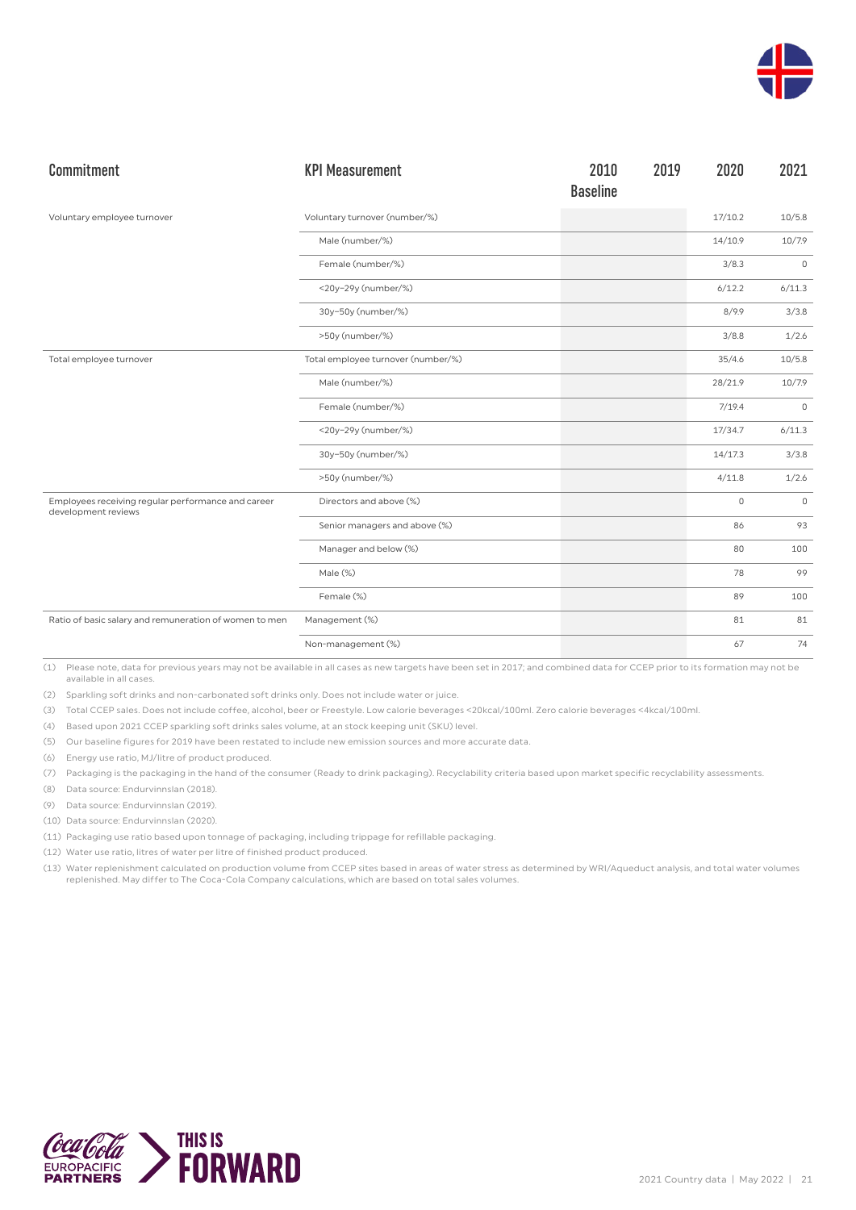

| Commitment                                                                | <b>KPI Measurement</b>             | 2010<br><b>Baseline</b> | 2019 | 2020        | 2021        |
|---------------------------------------------------------------------------|------------------------------------|-------------------------|------|-------------|-------------|
| Voluntary employee turnover                                               | Voluntary turnover (number/%)      |                         |      | 17/10.2     | 10/5.8      |
|                                                                           | Male (number/%)                    |                         |      | 14/10.9     | 10/7.9      |
|                                                                           | Female (number/%)                  |                         |      | 3/8.3       | $\mathbb O$ |
|                                                                           | <20y-29y (number/%)                |                         |      | 6/12.2      | 6/11.3      |
|                                                                           | 30y-50y (number/%)                 |                         |      | 8/9.9       | 3/3.8       |
|                                                                           | >50y (number/%)                    |                         |      | 3/8.8       | 1/2.6       |
| Total employee turnover                                                   | Total employee turnover (number/%) |                         |      | 35/4.6      | 10/5.8      |
|                                                                           | Male (number/%)                    |                         |      | 28/21.9     | 10/7.9      |
|                                                                           | Female (number/%)                  |                         |      | 7/19.4      | $\mathbb O$ |
|                                                                           | <20y-29y (number/%)                |                         |      | 17/34.7     | 6/11.3      |
|                                                                           | 30y-50y (number/%)                 |                         |      | 14/17.3     | 3/3.8       |
|                                                                           | >50y (number/%)                    |                         |      | 4/11.8      | 1/2.6       |
| Employees receiving regular performance and career<br>development reviews | Directors and above (%)            |                         |      | $\mathbf 0$ | $\mathbb O$ |
|                                                                           | Senior managers and above (%)      |                         |      | 86          | 93          |
|                                                                           | Manager and below (%)              |                         |      | 80          | 100         |
|                                                                           | Male (%)                           |                         |      | 78          | 99          |
|                                                                           | Female (%)                         |                         |      | 89          | 100         |
| Ratio of basic salary and remuneration of women to men                    | Management (%)                     |                         |      | 81          | 81          |
|                                                                           | Non-management (%)                 |                         |      | 67          | 74          |

(2) Sparkling soft drinks and non-carbonated soft drinks only. Does not include water or juice.

(3) Total CCEP sales. Does not include coffee, alcohol, beer or Freestyle. Low calorie beverages <20kcal/100ml. Zero calorie beverages <4kcal/100ml.

(4) Based upon 2021 CCEP sparkling soft drinks sales volume, at an stock keeping unit (SKU) level.

(5) Our baseline figures for 2019 have been restated to include new emission sources and more accurate data.

(6) Energy use ratio, MJ/litre of product produced.

(7) Packaging is the packaging in the hand of the consumer (Ready to drink packaging). Recyclability criteria based upon market specific recyclability assessments.

(8) Data source: Endurvinnslan (2018).

(9) Data source: Endurvinnslan (2019).

(10) Data source: Endurvinnslan (2020).

(11) Packaging use ratio based upon tonnage of packaging, including trippage for refillable packaging.

(12) Water use ratio, litres of water per litre of finished product produced.

(13) Water replenishment calculated on production volume from CCEP sites based in areas of water stress as determined by WRI/Aqueduct analysis, and total water volumes replenished. May differ to The Coca-Cola Company calculations, which are based on total sales volumes.

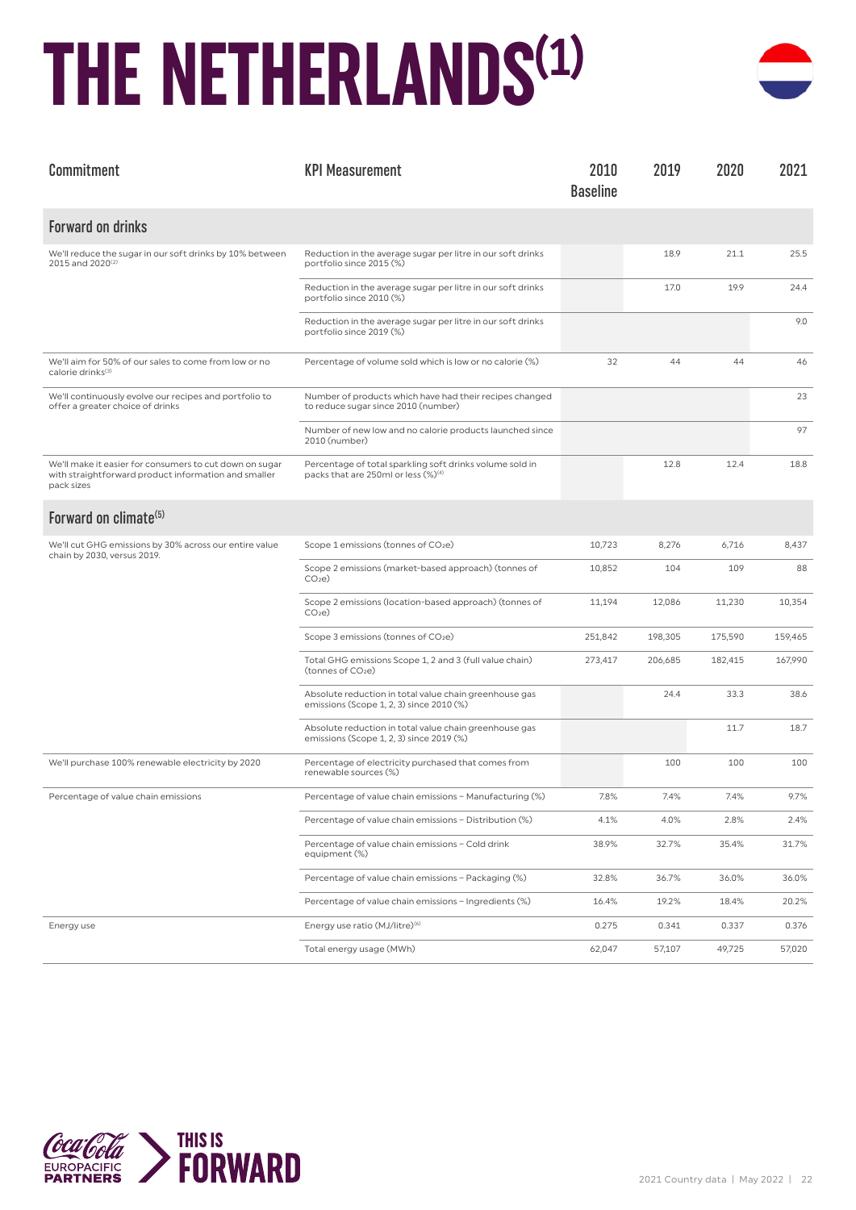### **THE NETHERLANDS(1)**



| Commitment                                                                                                                    | <b>KPI Measurement</b>                                                                                      | 2010<br><b>Baseline</b> | 2019    | 2020    | 2021    |
|-------------------------------------------------------------------------------------------------------------------------------|-------------------------------------------------------------------------------------------------------------|-------------------------|---------|---------|---------|
| <b>Forward on drinks</b>                                                                                                      |                                                                                                             |                         |         |         |         |
| We'll reduce the sugar in our soft drinks by 10% between<br>2015 and 2020 <sup>(2)</sup>                                      | Reduction in the average sugar per litre in our soft drinks<br>portfolio since 2015 (%)                     |                         | 18.9    | 21.1    | 25.5    |
|                                                                                                                               | Reduction in the average sugar per litre in our soft drinks<br>portfolio since 2010 (%)                     |                         | 17.0    | 19.9    | 24.4    |
|                                                                                                                               | Reduction in the average sugar per litre in our soft drinks<br>portfolio since 2019 (%)                     |                         |         |         | 9.0     |
| We'll aim for 50% of our sales to come from low or no<br>calorie drinks <sup>(3)</sup>                                        | Percentage of volume sold which is low or no calorie (%)                                                    | 32                      | 44      | 44      | 46      |
| We'll continuously evolve our recipes and portfolio to<br>offer a greater choice of drinks                                    | Number of products which have had their recipes changed<br>to reduce sugar since 2010 (number)              |                         |         |         | 23      |
|                                                                                                                               | Number of new low and no calorie products launched since<br>2010 (number)                                   |                         |         |         | 97      |
| We'll make it easier for consumers to cut down on sugar<br>with straightforward product information and smaller<br>pack sizes | Percentage of total sparkling soft drinks volume sold in<br>packs that are 250ml or less (%) <sup>(4)</sup> |                         | 12.8    | 12.4    | 18.8    |
| Forward on climate <sup>(5)</sup>                                                                                             |                                                                                                             |                         |         |         |         |
| We'll cut GHG emissions by 30% across our entire value<br>chain by 2030, versus 2019.                                         | Scope 1 emissions (tonnes of CO2e)                                                                          | 10,723                  | 8,276   | 6,716   | 8,437   |
|                                                                                                                               | Scope 2 emissions (market-based approach) (tonnes of<br>CO <sub>2</sub> e                                   | 10,852                  | 104     | 109     | 88      |
|                                                                                                                               | Scope 2 emissions (location-based approach) (tonnes of<br>CO <sub>2</sub> e                                 | 11,194                  | 12,086  | 11,230  | 10,354  |
|                                                                                                                               | Scope 3 emissions (tonnes of CO2e)                                                                          | 251,842                 | 198,305 | 175,590 | 159,465 |
|                                                                                                                               | Total GHG emissions Scope 1, 2 and 3 (full value chain)<br>(tonnes of CO <sub>2</sub> e)                    | 273,417                 | 206,685 | 182,415 | 167,990 |
|                                                                                                                               | Absolute reduction in total value chain greenhouse gas<br>emissions (Scope 1, 2, 3) since 2010 (%)          |                         | 24.4    | 33.3    | 38.6    |
|                                                                                                                               | Absolute reduction in total value chain greenhouse gas<br>emissions (Scope 1, 2, 3) since 2019 (%)          |                         |         | 11.7    | 18.7    |
| We'll purchase 100% renewable electricity by 2020                                                                             | Percentage of electricity purchased that comes from<br>renewable sources (%)                                |                         | 100     | 100     | 100     |
| Percentage of value chain emissions                                                                                           | Percentage of value chain emissions - Manufacturing (%)                                                     | 7.8%                    | 7.4%    | 7.4%    | 9.7%    |
|                                                                                                                               | Percentage of value chain emissions - Distribution (%)                                                      | 4.1%                    | 4.0%    | 2.8%    | 2.4%    |
|                                                                                                                               | Percentage of value chain emissions - Cold drink<br>equipment (%)                                           | 38.9%                   | 32.7%   | 35.4%   | 31.7%   |
|                                                                                                                               | Percentage of value chain emissions - Packaging (%)                                                         | 32.8%                   | 36.7%   | 36.0%   | 36.0%   |
|                                                                                                                               | Percentage of value chain emissions - Ingredients (%)                                                       | 16.4%                   | 19.2%   | 18.4%   | 20.2%   |
| Energy use                                                                                                                    | Energy use ratio (MJ/litre) <sup>(6)</sup>                                                                  | 0.275                   | 0.341   | 0.337   | 0.376   |
|                                                                                                                               | Total energy usage (MWh)                                                                                    | 62,047                  | 57,107  | 49,725  | 57,020  |

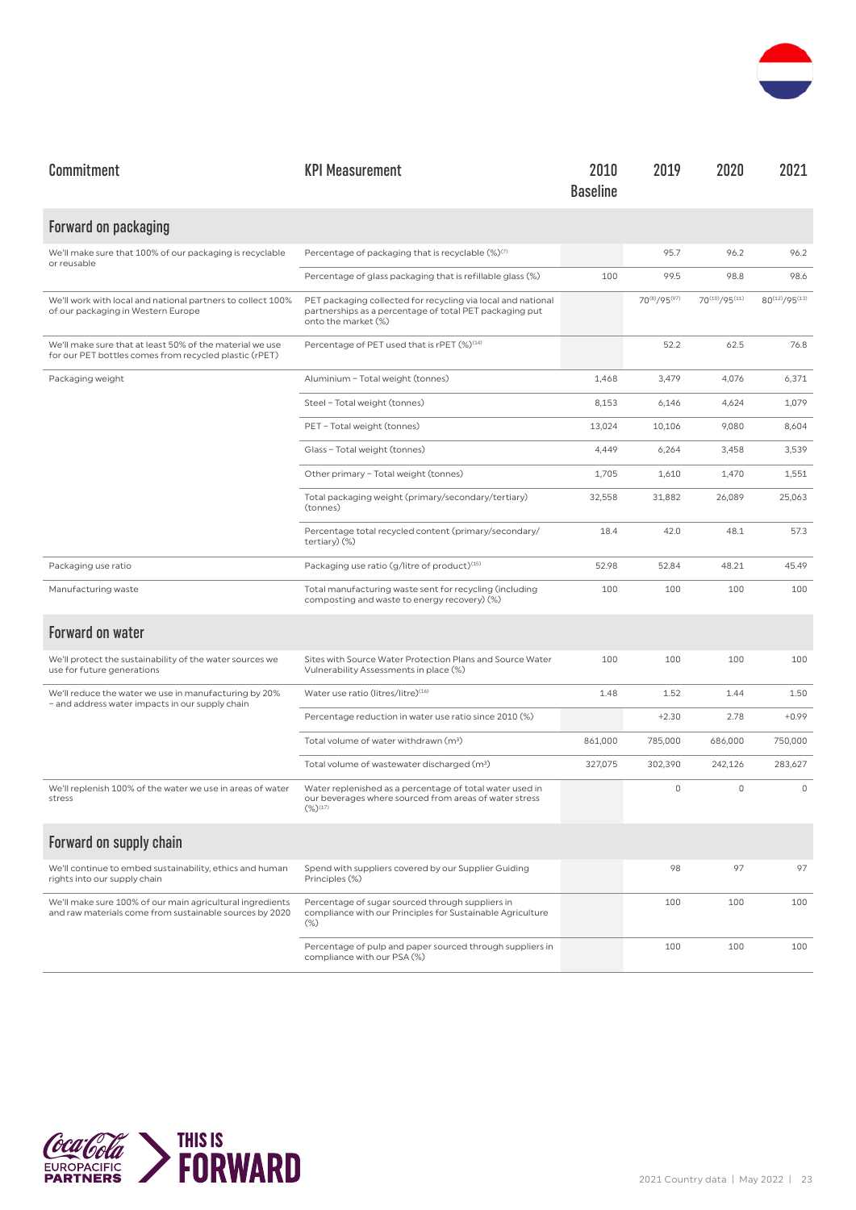

| Commitment                                                                                                           | <b>KPI Measurement</b>                                                                                                                         | 2010<br><b>Baseline</b> | 2019         | 2020          | 2021          |
|----------------------------------------------------------------------------------------------------------------------|------------------------------------------------------------------------------------------------------------------------------------------------|-------------------------|--------------|---------------|---------------|
| Forward on packaging                                                                                                 |                                                                                                                                                |                         |              |               |               |
| We'll make sure that 100% of our packaging is recyclable<br>or reusable                                              | Percentage of packaging that is recyclable (%)(7)                                                                                              |                         | 95.7         | 96.2          | 96.2          |
|                                                                                                                      | Percentage of glass packaging that is refillable glass (%)                                                                                     | 100                     | 99.5         | 98.8          | 98.6          |
| We'll work with local and national partners to collect 100%<br>of our packaging in Western Europe                    | PET packaging collected for recycling via local and national<br>partnerships as a percentage of total PET packaging put<br>onto the market (%) |                         | 70(8)/95(97) | 70(10)/95(11) | 80(12)/95(13) |
| We'll make sure that at least 50% of the material we use<br>for our PET bottles comes from recycled plastic (rPET)   | Percentage of PET used that is rPET (%) <sup>(14)</sup>                                                                                        |                         | 52.2         | 62.5          | 76.8          |
| Packaging weight                                                                                                     | Aluminium - Total weight (tonnes)                                                                                                              | 1,468                   | 3,479        | 4,076         | 6,371         |
|                                                                                                                      | Steel - Total weight (tonnes)                                                                                                                  | 8,153                   | 6,146        | 4,624         | 1,079         |
|                                                                                                                      | PET - Total weight (tonnes)                                                                                                                    | 13,024                  | 10,106       | 9,080         | 8,604         |
|                                                                                                                      | Glass - Total weight (tonnes)                                                                                                                  | 4,449                   | 6,264        | 3,458         | 3,539         |
|                                                                                                                      | Other primary - Total weight (tonnes)                                                                                                          | 1,705                   | 1,610        | 1,470         | 1,551         |
|                                                                                                                      | Total packaging weight (primary/secondary/tertiary)<br>(tonnes)                                                                                | 32,558                  | 31,882       | 26,089        | 25.063        |
|                                                                                                                      | Percentage total recycled content (primary/secondary/<br>tertiary) (%)                                                                         | 18.4                    | 42.0         | 48.1          | 57.3          |
| Packaging use ratio                                                                                                  | Packaging use ratio (g/litre of product) <sup>(15)</sup>                                                                                       | 52.98                   | 52.84        | 48.21         | 45.49         |
| Manufacturing waste                                                                                                  | Total manufacturing waste sent for recycling (including<br>composting and waste to energy recovery) (%)                                        | 100                     | 100          | 100           | 100           |
| <b>Forward on water</b>                                                                                              |                                                                                                                                                |                         |              |               |               |
| We'll protect the sustainability of the water sources we<br>use for future generations                               | Sites with Source Water Protection Plans and Source Water<br>Vulnerability Assessments in place (%)                                            | 100                     | 100          | 100           | 100           |
| We'll reduce the water we use in manufacturing by 20%<br>- and address water impacts in our supply chain             | Water use ratio (litres/litre) <sup>(16)</sup>                                                                                                 | 1.48                    | 1.52         | 1.44          | 1.50          |
|                                                                                                                      | Percentage reduction in water use ratio since 2010 (%)                                                                                         |                         | $+2.30$      | 2.78          | $+0.99$       |
|                                                                                                                      | Total volume of water withdrawn (m <sup>3</sup> )                                                                                              | 861,000                 | 785,000      | 686,000       | 750,000       |
|                                                                                                                      | Total volume of wastewater discharged (m <sup>3</sup> )                                                                                        | 327,075                 | 302,390      | 242,126       | 283,627       |
| We'll replenish 100% of the water we use in areas of water<br>stress                                                 | Water replenished as a percentage of total water used in<br>our beverages where sourced from areas of water stress<br>$(\%)^{(17)}$            |                         | 0            | $\mathbf 0$   | $\circ$       |
| Forward on supply chain                                                                                              |                                                                                                                                                |                         |              |               |               |
| We'll continue to embed sustainability, ethics and human<br>rights into our supply chain                             | Spend with suppliers covered by our Supplier Guiding<br>Principles (%)                                                                         |                         | 98           | 97            | 97            |
| We'll make sure 100% of our main agricultural ingredients<br>and raw materials come from sustainable sources by 2020 | Percentage of sugar sourced through suppliers in<br>compliance with our Principles for Sustainable Agriculture<br>$(\%)$                       |                         | 100          | 100           | 100           |
|                                                                                                                      | Percentage of pulp and paper sourced through suppliers in<br>compliance with our PSA (%)                                                       |                         | 100          | 100           | 100           |

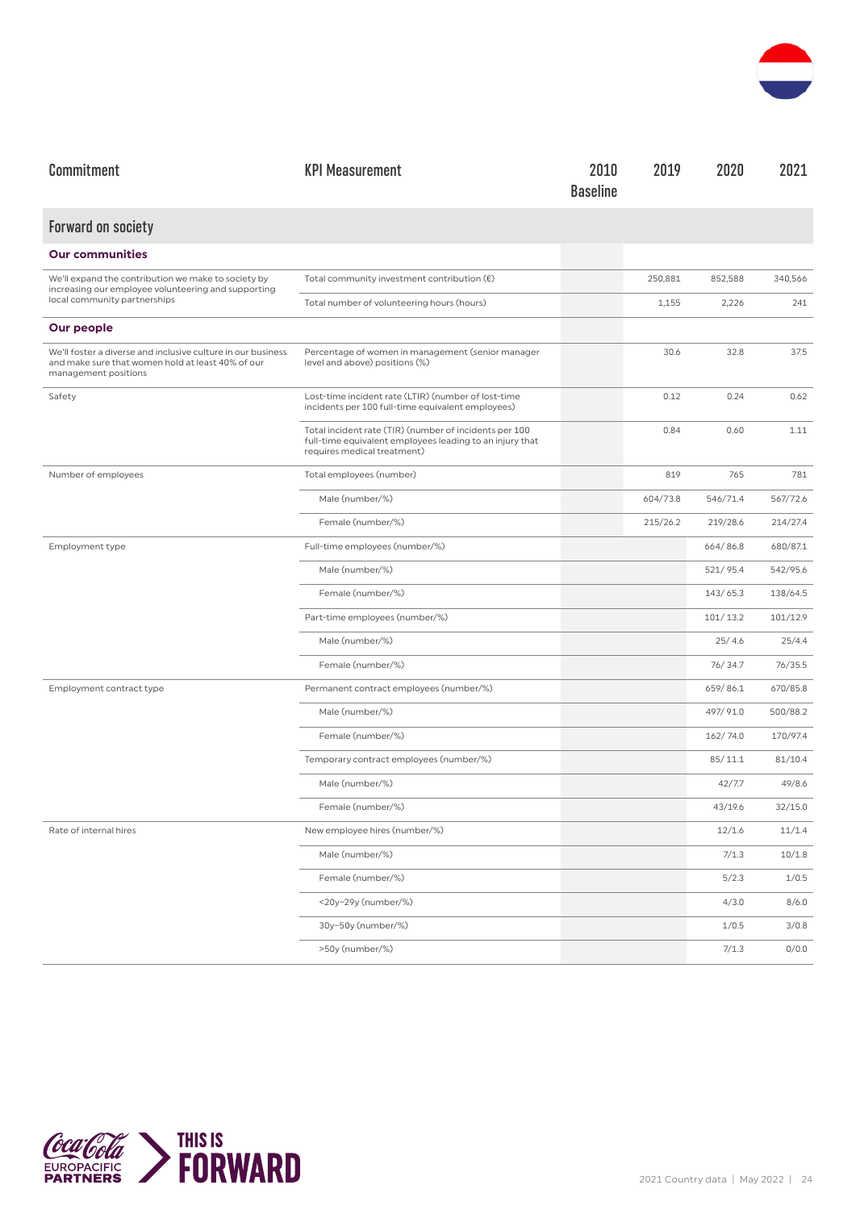

| Commitment                                                                                                                                | <b>KPI Measurement</b>                                                                                                                            | 2010<br><b>Baseline</b> | 2019     | 2020     | 2021     |
|-------------------------------------------------------------------------------------------------------------------------------------------|---------------------------------------------------------------------------------------------------------------------------------------------------|-------------------------|----------|----------|----------|
| <b>Forward on society</b>                                                                                                                 |                                                                                                                                                   |                         |          |          |          |
| <b>Our communities</b>                                                                                                                    |                                                                                                                                                   |                         |          |          |          |
| We'll expand the contribution we make to society by<br>increasing our employee volunteering and supporting                                | Total community investment contribution $(\epsilon)$                                                                                              |                         | 250,881  | 852,588  | 340,566  |
| local community partnerships                                                                                                              | Total number of volunteering hours (hours)                                                                                                        |                         | 1,155    | 2,226    | 241      |
| Our people                                                                                                                                |                                                                                                                                                   |                         |          |          |          |
| We'll foster a diverse and inclusive culture in our business<br>and make sure that women hold at least 40% of our<br>management positions | Percentage of women in management (senior manager<br>level and above) positions (%)                                                               |                         | 30.6     | 32.8     | 37.5     |
| Safety                                                                                                                                    | Lost-time incident rate (LTIR) (number of lost-time<br>incidents per 100 full-time equivalent employees)                                          |                         | 0.12     | 0.24     | 0.62     |
|                                                                                                                                           | Total incident rate (TIR) (number of incidents per 100<br>full-time equivalent employees leading to an injury that<br>requires medical treatment) |                         | 0.84     | 0.60     | 1.11     |
| Number of employees                                                                                                                       | Total employees (number)                                                                                                                          |                         | 819      | 765      | 781      |
|                                                                                                                                           | Male (number/%)                                                                                                                                   |                         | 604/73.8 | 546/71.4 | 567/72.6 |
|                                                                                                                                           | Female (number/%)                                                                                                                                 |                         | 215/26.2 | 219/28.6 | 214/27.4 |
| Employment type                                                                                                                           | Full-time employees (number/%)                                                                                                                    |                         |          | 664/86.8 | 680/87.1 |
|                                                                                                                                           | Male (number/%)                                                                                                                                   |                         |          | 521/95.4 | 542/95.6 |
|                                                                                                                                           | Female (number/%)                                                                                                                                 |                         |          | 143/65.3 | 138/64.5 |
|                                                                                                                                           | Part-time employees (number/%)                                                                                                                    |                         |          | 101/13.2 | 101/12.9 |
|                                                                                                                                           | Male (number/%)                                                                                                                                   |                         |          | 25/4.6   | 25/4.4   |
|                                                                                                                                           | Female (number/%)                                                                                                                                 |                         |          | 76/34.7  | 76/35.5  |
| Employment contract type                                                                                                                  | Permanent contract employees (number/%)                                                                                                           |                         |          | 659/86.1 | 670/85.8 |
|                                                                                                                                           | Male (number/%)                                                                                                                                   |                         |          | 497/91.0 | 500/88.2 |
|                                                                                                                                           | Female (number/%)                                                                                                                                 |                         |          | 162/74.0 | 170/97.4 |
|                                                                                                                                           | Temporary contract employees (number/%)                                                                                                           |                         |          | 85/11.1  | 81/10.4  |
|                                                                                                                                           | Male (number/%)                                                                                                                                   |                         |          | 42/7.7   | 49/8.6   |
|                                                                                                                                           | Female (number/%)                                                                                                                                 |                         |          | 43/19.6  | 32/15.0  |
| Rate of internal hires                                                                                                                    | New employee hires (number/%)                                                                                                                     |                         |          | 12/1.6   | 11/1.4   |
|                                                                                                                                           | Male (number/%)                                                                                                                                   |                         |          | 7/1.3    | 10/1.8   |
|                                                                                                                                           | Female (number/%)                                                                                                                                 |                         |          | 5/2.3    | 1/0.5    |
|                                                                                                                                           | <20y-29y (number/%)                                                                                                                               |                         |          | 4/3.0    | 8/6.0    |
|                                                                                                                                           | 30y-50y (number/%)                                                                                                                                |                         |          | 1/0.5    | 3/0.8    |
|                                                                                                                                           | >50y (number/%)                                                                                                                                   |                         |          | 7/1.3    | 0/0.0    |

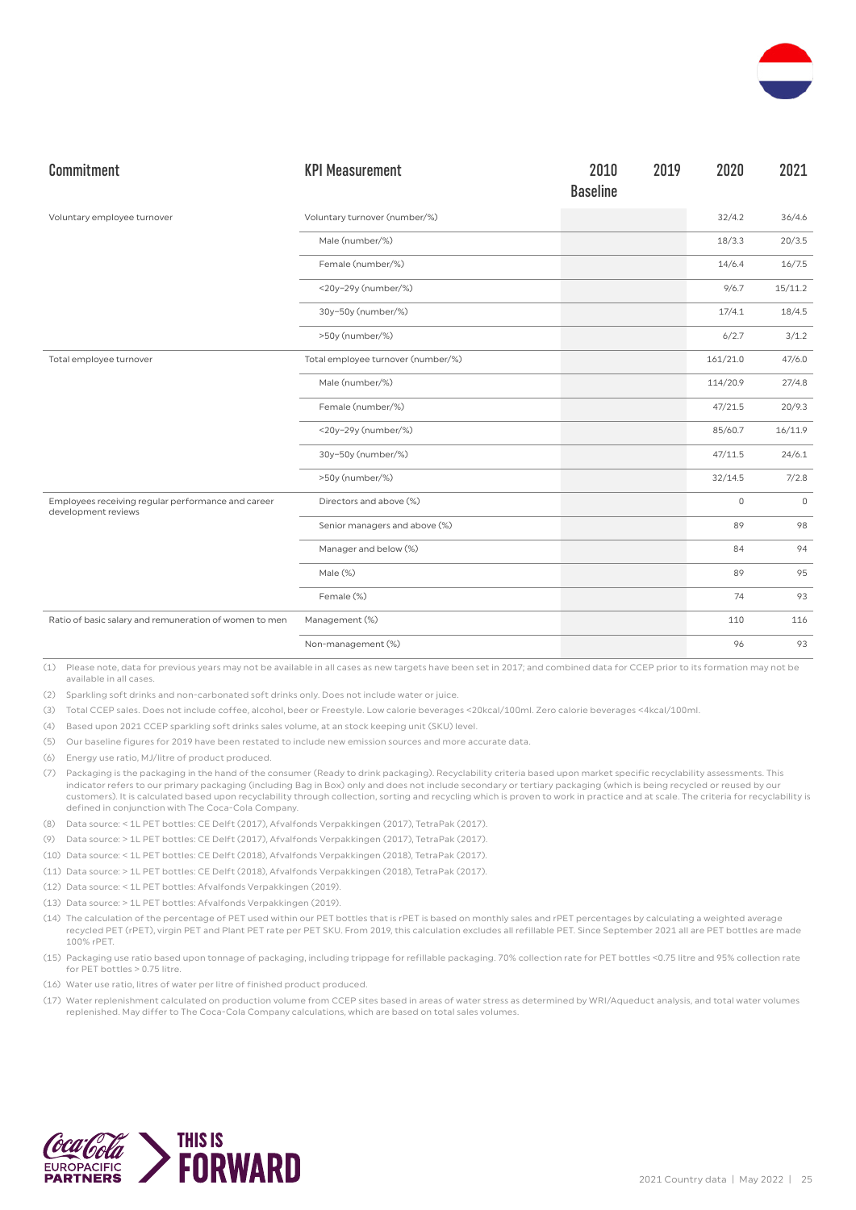

| Commitment                                                                | <b>KPI Measurement</b>             | 2010<br><b>Baseline</b> | 2019 | 2020        | 2021        |
|---------------------------------------------------------------------------|------------------------------------|-------------------------|------|-------------|-------------|
| Voluntary employee turnover                                               | Voluntary turnover (number/%)      |                         |      | 32/4.2      | 36/4.6      |
|                                                                           | Male (number/%)                    |                         |      | 18/3.3      | 20/3.5      |
|                                                                           | Female (number/%)                  |                         |      | 14/6.4      | 16/7.5      |
|                                                                           | <20y-29y (number/%)                |                         |      | 9/6.7       | 15/11.2     |
|                                                                           | 30y-50y (number/%)                 |                         |      | 17/4.1      | 18/4.5      |
|                                                                           | >50y (number/%)                    |                         |      | 6/2.7       | 3/1.2       |
| Total employee turnover                                                   | Total employee turnover (number/%) |                         |      | 161/21.0    | 47/6.0      |
|                                                                           | Male (number/%)                    |                         |      | 114/20.9    | 27/4.8      |
|                                                                           | Female (number/%)                  |                         |      | 47/21.5     | 20/9.3      |
|                                                                           | <20y-29y (number/%)                |                         |      | 85/60.7     | 16/11.9     |
|                                                                           | 30y-50y (number/%)                 |                         |      | 47/11.5     | 24/6.1      |
|                                                                           | >50y (number/%)                    |                         |      | 32/14.5     | 7/2.8       |
| Employees receiving regular performance and career<br>development reviews | Directors and above (%)            |                         |      | $\mathbf 0$ | $\mathbb O$ |
|                                                                           | Senior managers and above (%)      |                         |      | 89          | 98          |
|                                                                           | Manager and below (%)              |                         |      | 84          | 94          |
|                                                                           | Male (%)                           |                         |      | 89          | 95          |
|                                                                           | Female (%)                         |                         |      | 74          | 93          |
| Ratio of basic salary and remuneration of women to men                    | Management (%)                     |                         |      | 110         | 116         |
|                                                                           | Non-management (%)                 |                         |      | 96          | 93          |

(2) Sparkling soft drinks and non-carbonated soft drinks only. Does not include water or juice.

(3) Total CCEP sales. Does not include coffee, alcohol, beer or Freestyle. Low calorie beverages <20kcal/100ml. Zero calorie beverages <4kcal/100ml.

(4) Based upon 2021 CCEP sparkling soft drinks sales volume, at an stock keeping unit (SKU) level.

(5) Our baseline figures for 2019 have been restated to include new emission sources and more accurate data.

(6) Energy use ratio, MJ/litre of product produced.

(7) Packaging is the packaging in the hand of the consumer (Ready to drink packaging). Recyclability criteria based upon market specific recyclability assessments. This indicator refers to our primary packaging (including Bag in Box) only and does not include secondary or tertiary packaging (which is being recycled or reused by our customers). It is calculated based upon recyclability through collection, sorting and recycling which is proven to work in practice and at scale. The criteria for recyclability is defined in conjunction with The Coca-Cola Company.

- (8) Data source: < 1L PET bottles: CE Delft (2017), Afvalfonds Verpakkingen (2017), TetraPak (2017).
- (9) Data source: > 1L PET bottles: CE Delft (2017), Afvalfonds Verpakkingen (2017), TetraPak (2017).

(10) Data source: < 1L PET bottles: CE Delft (2018), Afvalfonds Verpakkingen (2018), TetraPak (2017).

- (11) Data source: > 1L PET bottles: CE Delft (2018), Afvalfonds Verpakkingen (2018), TetraPak (2017).
- (12) Data source: < 1L PET bottles: Afvalfonds Verpakkingen (2019).
- (13) Data source: > 1L PET bottles: Afvalfonds Verpakkingen (2019).
- (14) The calculation of the percentage of PET used within our PET bottles that is rPET is based on monthly sales and rPET percentages by calculating a weighted average recycled PET (rPET), virgin PET and Plant PET rate per PET SKU. From 2019, this calculation excludes all refillable PET. Since September 2021 all are PET bottles are made 100% rPET.
- (15) Packaging use ratio based upon tonnage of packaging, including trippage for refillable packaging. 70% collection rate for PET bottles <0.75 litre and 95% collection rate for PET bottles > 0.75 litre.
- (16) Water use ratio, litres of water per litre of finished product produced.
- (17) Water replenishment calculated on production volume from CCEP sites based in areas of water stress as determined by WRI/Aqueduct analysis, and total water volumes replenished. May differ to The Coca-Cola Company calculations, which are based on total sales volumes.

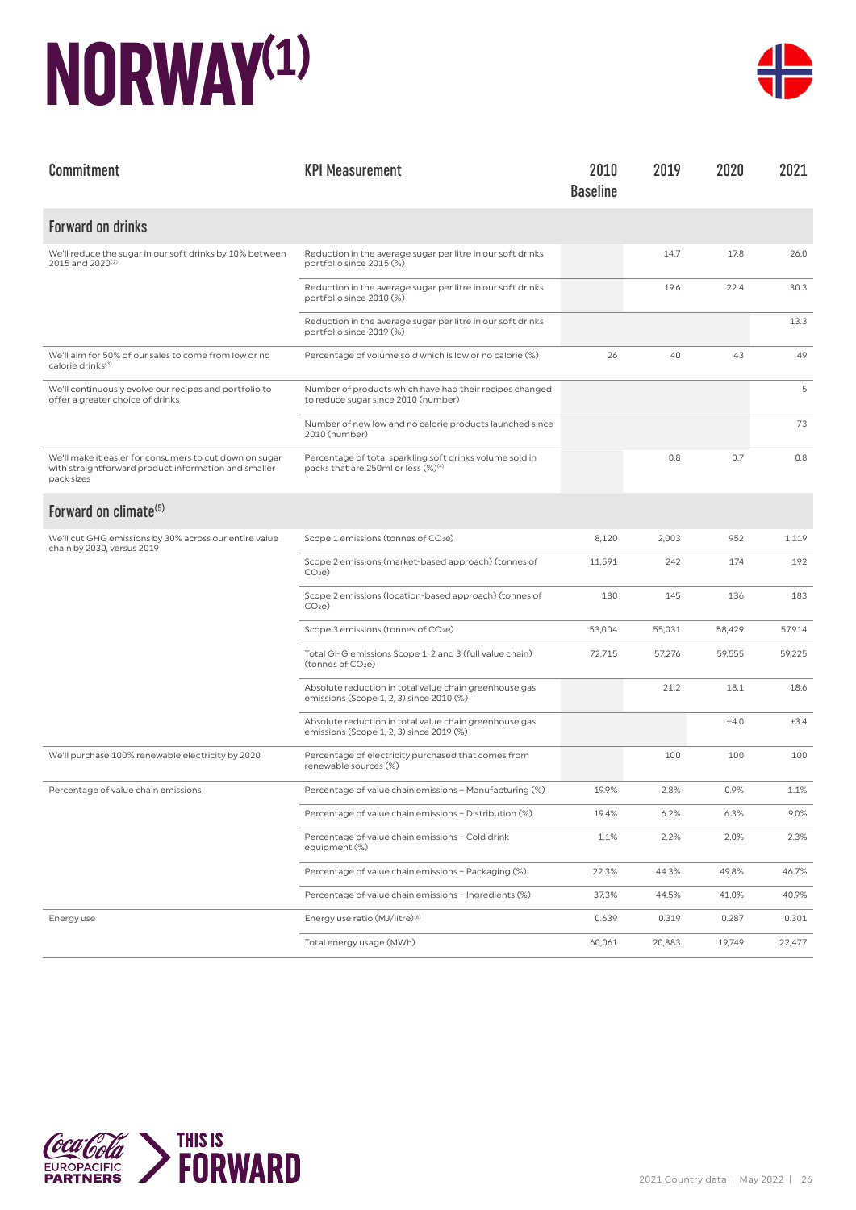## **NORWAY(1)**



| Commitment                                                                                                                    | <b>KPI Measurement</b>                                                                                      | 2010<br><b>Baseline</b> | 2019   | 2020   | 2021    |
|-------------------------------------------------------------------------------------------------------------------------------|-------------------------------------------------------------------------------------------------------------|-------------------------|--------|--------|---------|
| <b>Forward on drinks</b>                                                                                                      |                                                                                                             |                         |        |        |         |
| We'll reduce the sugar in our soft drinks by 10% between<br>2015 and 2020 <sup>(2)</sup>                                      | Reduction in the average sugar per litre in our soft drinks<br>portfolio since 2015 (%)                     |                         | 14.7   | 17.8   | 26.0    |
|                                                                                                                               | Reduction in the average sugar per litre in our soft drinks<br>portfolio since 2010 (%)                     |                         | 19.6   | 22.4   | 30.3    |
|                                                                                                                               | Reduction in the average sugar per litre in our soft drinks<br>portfolio since 2019 (%)                     |                         |        |        | 13.3    |
| We'll aim for 50% of our sales to come from low or no<br>calorie drinks(3)                                                    | Percentage of volume sold which is low or no calorie (%)                                                    | 26                      | 40     | 43     | 49      |
| We'll continuously evolve our recipes and portfolio to<br>offer a greater choice of drinks                                    | Number of products which have had their recipes changed<br>to reduce sugar since 2010 (number)              |                         |        |        | 5       |
|                                                                                                                               | Number of new low and no calorie products launched since<br>2010 (number)                                   |                         |        |        | 73      |
| We'll make it easier for consumers to cut down on sugar<br>with straightforward product information and smaller<br>pack sizes | Percentage of total sparkling soft drinks volume sold in<br>packs that are 250ml or less (%) <sup>(4)</sup> |                         | 0.8    | 0.7    | 0.8     |
| Forward on climate <sup>(5)</sup>                                                                                             |                                                                                                             |                         |        |        |         |
| We'll cut GHG emissions by 30% across our entire value<br>chain by 2030, versus 2019                                          | Scope 1 emissions (tonnes of CO2e)                                                                          | 8,120                   | 2,003  | 952    | 1,119   |
|                                                                                                                               | Scope 2 emissions (market-based approach) (tonnes of<br>CO <sub>2</sub> e                                   | 11,591                  | 242    | 174    | 192     |
|                                                                                                                               | Scope 2 emissions (location-based approach) (tonnes of<br>CO <sub>2</sub> e                                 | 180                     | 145    | 136    | 183     |
|                                                                                                                               | Scope 3 emissions (tonnes of CO <sub>2</sub> e)                                                             | 53,004                  | 55,031 | 58,429 | 57,914  |
|                                                                                                                               | Total GHG emissions Scope 1, 2 and 3 (full value chain)<br>(tonnes of CO <sub>2</sub> e)                    | 72,715                  | 57,276 | 59,555 | 59,225  |
|                                                                                                                               | Absolute reduction in total value chain greenhouse gas<br>emissions (Scope 1, 2, 3) since 2010 (%)          |                         | 21.2   | 18.1   | 18.6    |
|                                                                                                                               | Absolute reduction in total value chain greenhouse gas<br>emissions (Scope 1, 2, 3) since 2019 (%)          |                         |        | $+4.0$ | $+3.4$  |
| We'll purchase 100% renewable electricity by 2020                                                                             | Percentage of electricity purchased that comes from<br>renewable sources (%)                                |                         | 100    | 100    | 100     |
| Percentage of value chain emissions                                                                                           | Percentage of value chain emissions - Manufacturing (%)                                                     | 19.9%                   | 2.8%   | 0.9%   | 1.1%    |
|                                                                                                                               | Percentage of value chain emissions - Distribution (%)                                                      | 19.4%                   | 6.2%   | 6.3%   | $9.0\%$ |
|                                                                                                                               | Percentage of value chain emissions - Cold drink<br>equipment (%)                                           | 1.1%                    | 2.2%   | 2.0%   | 2.3%    |
|                                                                                                                               | Percentage of value chain emissions - Packaging (%)                                                         | 22.3%                   | 44.3%  | 49.8%  | 46.7%   |
|                                                                                                                               | Percentage of value chain emissions - Ingredients (%)                                                       | 37.3%                   | 44.5%  | 41.0%  | 40.9%   |
| Energy use                                                                                                                    | Energy use ratio (MJ/litre) <sup>(6)</sup>                                                                  | 0.639                   | 0.319  | 0.287  | 0.301   |
|                                                                                                                               | Total energy usage (MWh)                                                                                    | 60,061                  | 20,883 | 19,749 | 22,477  |

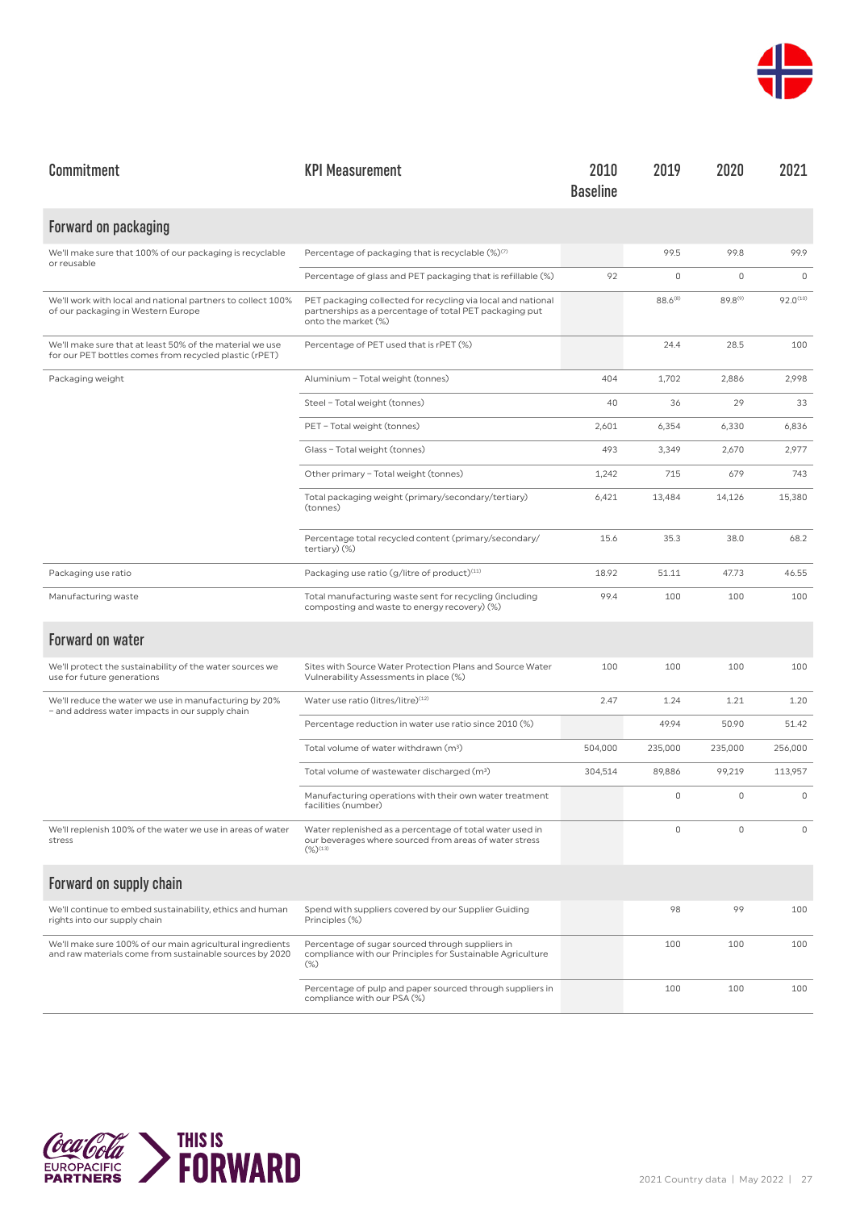

| Commitment                                                                                                           | <b>KPI Measurement</b>                                                                                                                         | 2010<br><b>Baseline</b> | 2019         | 2020                | 2021          |
|----------------------------------------------------------------------------------------------------------------------|------------------------------------------------------------------------------------------------------------------------------------------------|-------------------------|--------------|---------------------|---------------|
| Forward on packaging                                                                                                 |                                                                                                                                                |                         |              |                     |               |
| We'll make sure that 100% of our packaging is recyclable<br>or reusable                                              | Percentage of packaging that is recyclable (%)(7)                                                                                              |                         | 99.5         | 99.8                | 99.9          |
|                                                                                                                      | Percentage of glass and PET packaging that is refillable (%)                                                                                   | 92                      | 0            | 0                   | $\mathbf 0$   |
| We'll work with local and national partners to collect 100%<br>of our packaging in Western Europe                    | PET packaging collected for recycling via local and national<br>partnerships as a percentage of total PET packaging put<br>onto the market (%) |                         | $88.6^{(8)}$ | 89.8 <sup>(9)</sup> | $92.0^{(10)}$ |
| We'll make sure that at least 50% of the material we use<br>for our PET bottles comes from recycled plastic (rPET)   | Percentage of PET used that is rPET (%)                                                                                                        |                         | 24.4         | 28.5                | 100           |
| Packaging weight                                                                                                     | Aluminium - Total weight (tonnes)                                                                                                              | 404                     | 1,702        | 2,886               | 2,998         |
|                                                                                                                      | Steel - Total weight (tonnes)                                                                                                                  | 40                      | 36           | 29                  | 33            |
|                                                                                                                      | PET - Total weight (tonnes)                                                                                                                    | 2,601                   | 6,354        | 6,330               | 6,836         |
|                                                                                                                      | Glass - Total weight (tonnes)                                                                                                                  | 493                     | 3,349        | 2,670               | 2,977         |
|                                                                                                                      | Other primary - Total weight (tonnes)                                                                                                          | 1,242                   | 715          | 679                 | 743           |
|                                                                                                                      | Total packaging weight (primary/secondary/tertiary)<br>(tonnes)                                                                                | 6,421                   | 13,484       | 14,126              | 15,380        |
|                                                                                                                      | Percentage total recycled content (primary/secondary/<br>tertiary) (%)                                                                         | 15.6                    | 35.3         | 38.0                | 68.2          |
| Packaging use ratio                                                                                                  | Packaging use ratio (g/litre of product) <sup>(11)</sup>                                                                                       | 18.92                   | 51.11        | 47.73               | 46.55         |
| Manufacturing waste                                                                                                  | Total manufacturing waste sent for recycling (including<br>composting and waste to energy recovery) (%)                                        | 99.4                    | 100          | 100                 | 100           |
| <b>Forward on water</b>                                                                                              |                                                                                                                                                |                         |              |                     |               |
| We'll protect the sustainability of the water sources we<br>use for future generations                               | Sites with Source Water Protection Plans and Source Water<br>Vulnerability Assessments in place (%)                                            | 100                     | 100          | 100                 | 100           |
| We'll reduce the water we use in manufacturing by 20%<br>- and address water impacts in our supply chain             | Water use ratio (litres/litre)(12)                                                                                                             | 2.47                    | 1.24         | 1.21                | 1.20          |
|                                                                                                                      | Percentage reduction in water use ratio since 2010 (%)                                                                                         |                         | 49.94        | 50.90               | 51.42         |
|                                                                                                                      | Total volume of water withdrawn (m <sup>3</sup> )                                                                                              | 504,000                 | 235,000      | 235,000             | 256,000       |
|                                                                                                                      | Total volume of wastewater discharged (m <sup>3</sup> )                                                                                        | 304,514                 | 89,886       | 99,219              | 113,957       |
|                                                                                                                      | Manufacturing operations with their own water treatment<br>facilities (number)                                                                 |                         | 0            | 0                   | $\mathbb O$   |
| We'll replenish 100% of the water we use in areas of water<br>stress                                                 | Water replenished as a percentage of total water used in<br>our beverages where sourced from areas of water stress<br>$(\%)^{(13)}$            |                         | 0            | $\mathbf 0$         | $\mathbf 0$   |
| Forward on supply chain                                                                                              |                                                                                                                                                |                         |              |                     |               |
| We'll continue to embed sustainability, ethics and human<br>rights into our supply chain                             | Spend with suppliers covered by our Supplier Guiding<br>Principles (%)                                                                         |                         | 98           | 99                  | 100           |
| We'll make sure 100% of our main agricultural ingredients<br>and raw materials come from sustainable sources by 2020 | Percentage of sugar sourced through suppliers in<br>compliance with our Principles for Sustainable Agriculture<br>$(\%)$                       |                         | 100          | 100                 | 100           |
|                                                                                                                      | Percentage of pulp and paper sourced through suppliers in<br>compliance with our PSA (%)                                                       |                         | 100          | 100                 | 100           |

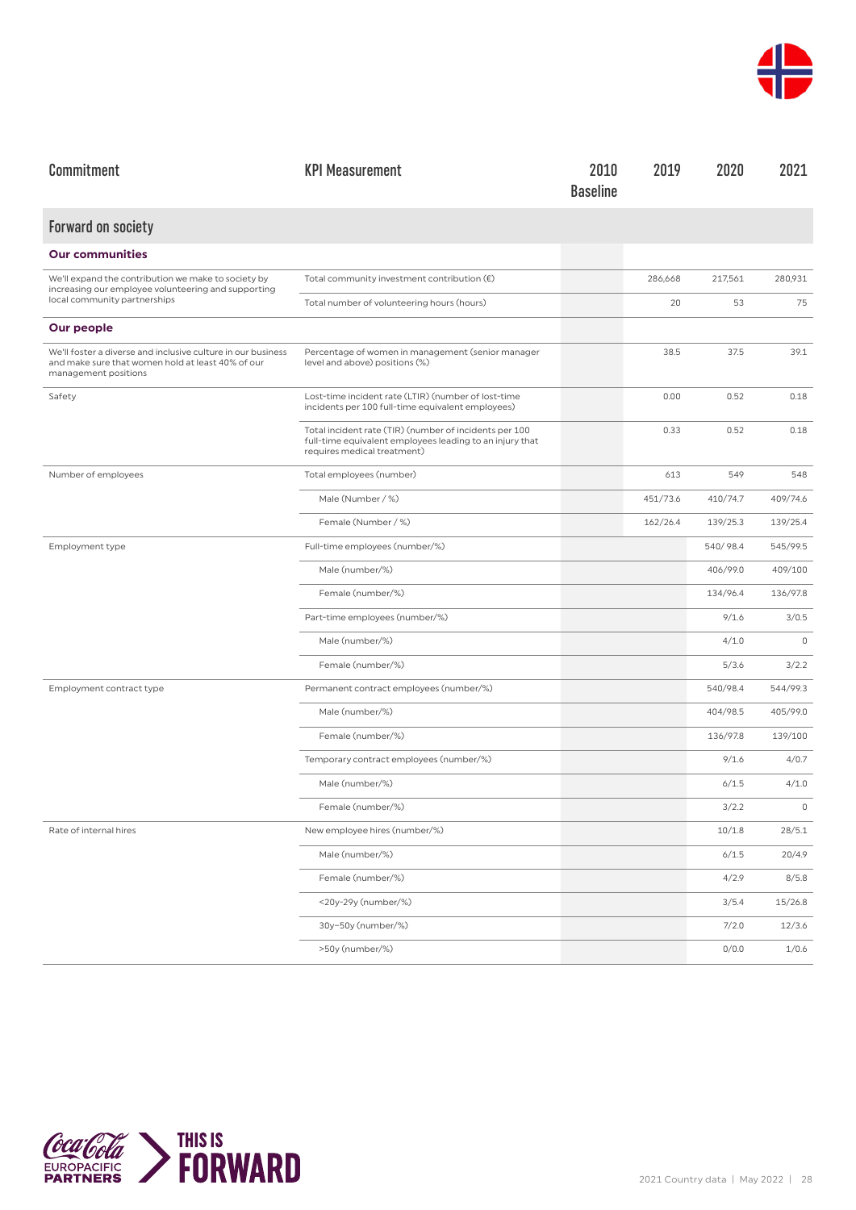

| Commitment                                                                                                                                | <b>KPI Measurement</b>                                                                                                                            | 2010<br><b>Baseline</b> | 2019     | 2020     | 2021        |
|-------------------------------------------------------------------------------------------------------------------------------------------|---------------------------------------------------------------------------------------------------------------------------------------------------|-------------------------|----------|----------|-------------|
| <b>Forward on society</b>                                                                                                                 |                                                                                                                                                   |                         |          |          |             |
| <b>Our communities</b>                                                                                                                    |                                                                                                                                                   |                         |          |          |             |
| We'll expand the contribution we make to society by<br>increasing our employee volunteering and supporting                                | Total community investment contribution $(\epsilon)$                                                                                              |                         | 286,668  | 217,561  | 280,931     |
| local community partnerships                                                                                                              | Total number of volunteering hours (hours)                                                                                                        |                         | 20       | 53       | 75          |
| Our people                                                                                                                                |                                                                                                                                                   |                         |          |          |             |
| We'll foster a diverse and inclusive culture in our business<br>and make sure that women hold at least 40% of our<br>management positions | Percentage of women in management (senior manager<br>level and above) positions (%)                                                               |                         | 38.5     | 37.5     | 39.1        |
| Safety                                                                                                                                    | Lost-time incident rate (LTIR) (number of lost-time<br>incidents per 100 full-time equivalent employees)                                          |                         | 0.00     | 0.52     | 0.18        |
|                                                                                                                                           | Total incident rate (TIR) (number of incidents per 100<br>full-time equivalent employees leading to an injury that<br>requires medical treatment) |                         | 0.33     | 0.52     | 0.18        |
| Number of employees                                                                                                                       | Total employees (number)                                                                                                                          |                         | 613      | 549      | 548         |
|                                                                                                                                           | Male (Number / %)                                                                                                                                 |                         | 451/73.6 | 410/74.7 | 409/74.6    |
|                                                                                                                                           | Female (Number / %)                                                                                                                               |                         | 162/26.4 | 139/25.3 | 139/25.4    |
| Employment type                                                                                                                           | Full-time employees (number/%)                                                                                                                    |                         |          | 540/98.4 | 545/99.5    |
|                                                                                                                                           | Male (number/%)                                                                                                                                   |                         |          | 406/99.0 | 409/100     |
|                                                                                                                                           | Female (number/%)                                                                                                                                 |                         |          | 134/96.4 | 136/97.8    |
|                                                                                                                                           | Part-time employees (number/%)                                                                                                                    |                         |          | 9/1.6    | 3/0.5       |
|                                                                                                                                           | Male (number/%)                                                                                                                                   |                         |          | 4/1.0    | $\mathbf 0$ |
|                                                                                                                                           | Female (number/%)                                                                                                                                 |                         |          | 5/3.6    | 3/2.2       |
| Employment contract type                                                                                                                  | Permanent contract employees (number/%)                                                                                                           |                         |          | 540/98.4 | 544/99.3    |
|                                                                                                                                           | Male (number/%)                                                                                                                                   |                         |          | 404/98.5 | 405/99.0    |
|                                                                                                                                           | Female (number/%)                                                                                                                                 |                         |          | 136/97.8 | 139/100     |
|                                                                                                                                           | Temporary contract employees (number/%)                                                                                                           |                         |          | 9/1.6    | 4/0.7       |
|                                                                                                                                           | Male (number/%)                                                                                                                                   |                         |          | 6/1.5    | 4/1.0       |
|                                                                                                                                           | Female (number/%)                                                                                                                                 |                         |          | 3/2.2    | 0           |
| Rate of internal hires                                                                                                                    | New employee hires (number/%)                                                                                                                     |                         |          | 10/1.8   | 28/5.1      |
|                                                                                                                                           | Male (number/%)                                                                                                                                   |                         |          | 6/1.5    | 20/4.9      |
|                                                                                                                                           | Female (number/%)                                                                                                                                 |                         |          | 4/2.9    | 8/5.8       |
|                                                                                                                                           | <20y-29y (number/%)                                                                                                                               |                         |          | 3/5.4    | 15/26.8     |
|                                                                                                                                           | 30y-50y (number/%)                                                                                                                                |                         |          | 7/2.0    | 12/3.6      |
|                                                                                                                                           | >50y (number/%)                                                                                                                                   |                         |          | 0/0.0    | 1/0.6       |

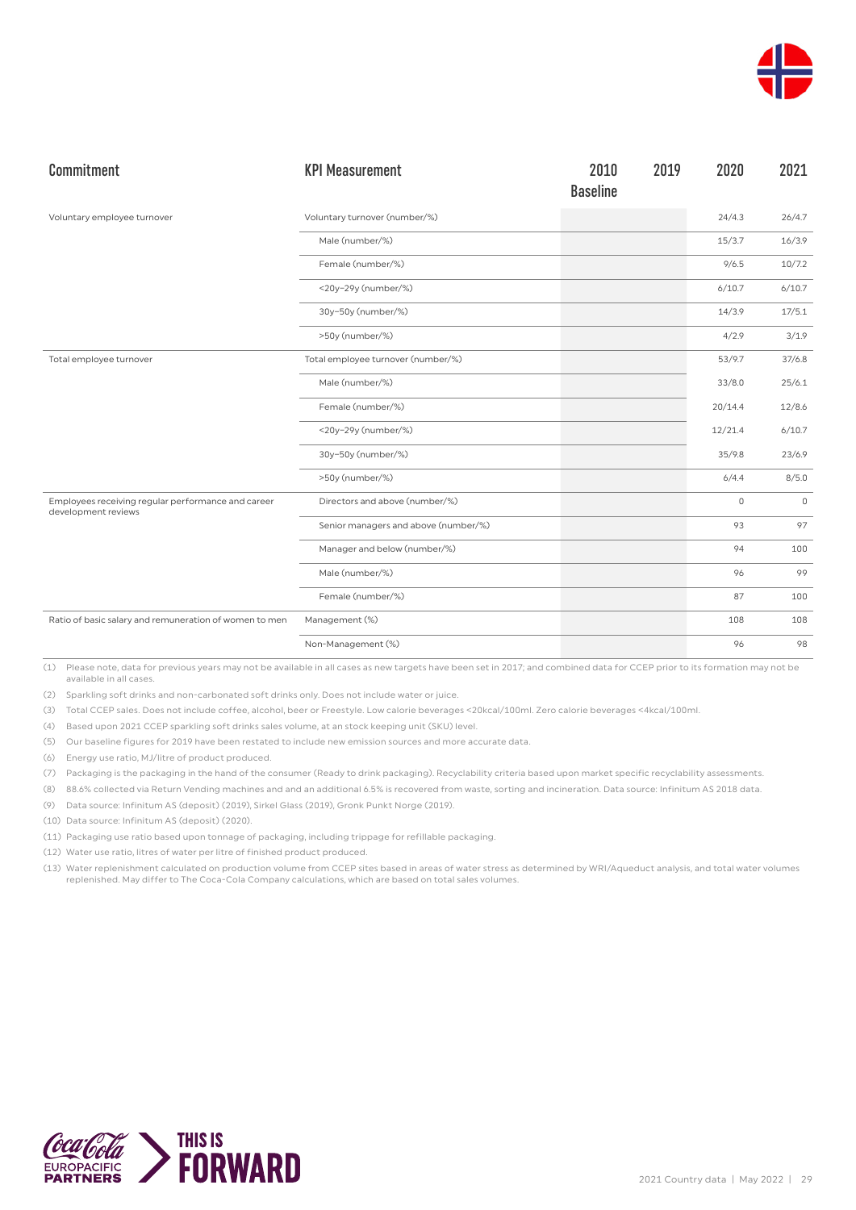

| Commitment                                                                | <b>KPI Measurement</b>               | 2010<br><b>Baseline</b> | 2019 | 2020        | 2021    |
|---------------------------------------------------------------------------|--------------------------------------|-------------------------|------|-------------|---------|
| Voluntary employee turnover                                               | Voluntary turnover (number/%)        |                         |      | 24/4.3      | 26/4.7  |
|                                                                           | Male (number/%)                      |                         |      | 15/3.7      | 16/3.9  |
|                                                                           | Female (number/%)                    |                         |      | 9/6.5       | 10/7.2  |
|                                                                           | <20y-29y (number/%)                  |                         |      | 6/10.7      | 6/10.7  |
|                                                                           | 30y-50y (number/%)                   |                         |      | 14/3.9      | 17/5.1  |
|                                                                           | >50y (number/%)                      |                         |      | 4/2.9       | 3/1.9   |
| Total employee turnover                                                   | Total employee turnover (number/%)   |                         |      | 53/9.7      | 37/6.8  |
|                                                                           | Male (number/%)                      |                         |      | 33/8.0      | 25/6.1  |
|                                                                           | Female (number/%)                    |                         |      | 20/14.4     | 12/8.6  |
|                                                                           | <20y-29y (number/%)                  |                         |      | 12/21.4     | 6/10.7  |
|                                                                           | 30y-50y (number/%)                   |                         |      | 35/9.8      | 23/6.9  |
|                                                                           | >50y (number/%)                      |                         |      | 6/4.4       | 8/5.0   |
| Employees receiving regular performance and career<br>development reviews | Directors and above (number/%)       |                         |      | $\mathbf 0$ | $\circ$ |
|                                                                           | Senior managers and above (number/%) |                         |      | 93          | 97      |
|                                                                           | Manager and below (number/%)         |                         |      | 94          | 100     |
|                                                                           | Male (number/%)                      |                         |      | 96          | 99      |
|                                                                           | Female (number/%)                    |                         |      | 87          | 100     |
| Ratio of basic salary and remuneration of women to men                    | Management (%)                       |                         |      | 108         | 108     |
|                                                                           | Non-Management (%)                   |                         |      | 96          | 98      |

(2) Sparkling soft drinks and non-carbonated soft drinks only. Does not include water or juice.

(3) Total CCEP sales. Does not include coffee, alcohol, beer or Freestyle. Low calorie beverages <20kcal/100ml. Zero calorie beverages <4kcal/100ml.

(4) Based upon 2021 CCEP sparkling soft drinks sales volume, at an stock keeping unit (SKU) level.

(5) Our baseline figures for 2019 have been restated to include new emission sources and more accurate data.

(6) Energy use ratio, MJ/litre of product produced.

(7) Packaging is the packaging in the hand of the consumer (Ready to drink packaging). Recyclability criteria based upon market specific recyclability assessments.

(8) 88.6% collected via Return Vending machines and and an additional 6.5% is recovered from waste, sorting and incineration. Data source: Infinitum AS 2018 data.

(9) Data source: Infinitum AS (deposit) (2019), Sirkel Glass (2019), Gronk Punkt Norge (2019).

(10) Data source: Infinitum AS (deposit) (2020).

- (11) Packaging use ratio based upon tonnage of packaging, including trippage for refillable packaging.
- (12) Water use ratio, litres of water per litre of finished product produced.
- (13) Water replenishment calculated on production volume from CCEP sites based in areas of water stress as determined by WRI/Aqueduct analysis, and total water volumes replenished. May differ to The Coca-Cola Company calculations, which are based on total sales volumes.

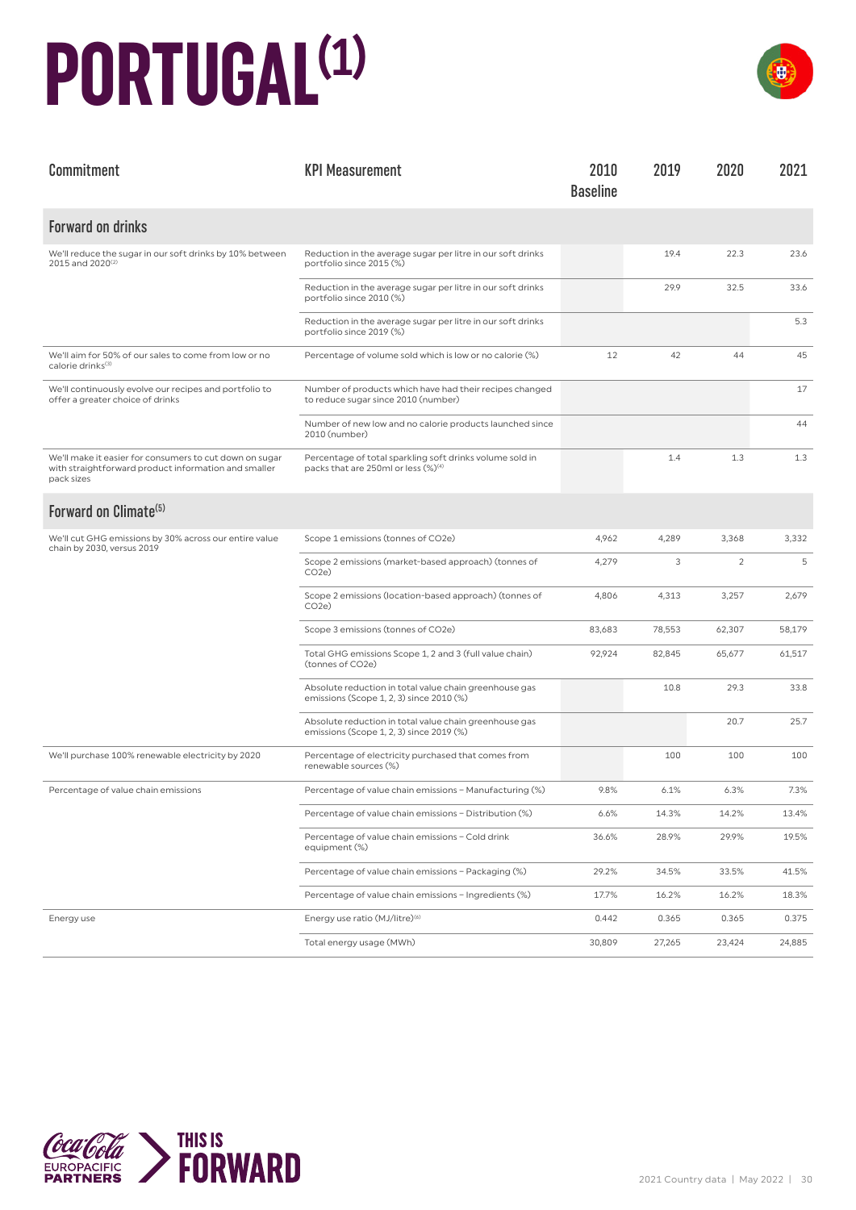### **PORTUGAL(1)**



| Commitment                                                                                                                    | <b>KPI Measurement</b>                                                                                      | 2010<br><b>Baseline</b> | 2019   | 2020           | 2021   |
|-------------------------------------------------------------------------------------------------------------------------------|-------------------------------------------------------------------------------------------------------------|-------------------------|--------|----------------|--------|
| <b>Forward on drinks</b>                                                                                                      |                                                                                                             |                         |        |                |        |
| We'll reduce the sugar in our soft drinks by 10% between<br>2015 and 2020 <sup>(2)</sup>                                      | Reduction in the average sugar per litre in our soft drinks<br>portfolio since 2015 (%)                     |                         | 19.4   | 22.3           | 23.6   |
|                                                                                                                               | Reduction in the average sugar per litre in our soft drinks<br>portfolio since 2010 (%)                     |                         | 29.9   | 32.5           | 33.6   |
|                                                                                                                               | Reduction in the average sugar per litre in our soft drinks<br>portfolio since 2019 (%)                     |                         |        |                | 5.3    |
| We'll aim for 50% of our sales to come from low or no<br>calorie drinks <sup>(3)</sup>                                        | Percentage of volume sold which is low or no calorie (%)                                                    | 12                      | 42     | 44             | 45     |
| We'll continuously evolve our recipes and portfolio to<br>offer a greater choice of drinks                                    | Number of products which have had their recipes changed<br>to reduce sugar since 2010 (number)              |                         |        |                | 17     |
|                                                                                                                               | Number of new low and no calorie products launched since<br>2010 (number)                                   |                         |        |                | 44     |
| We'll make it easier for consumers to cut down on sugar<br>with straightforward product information and smaller<br>pack sizes | Percentage of total sparkling soft drinks volume sold in<br>packs that are 250ml or less (%) <sup>(4)</sup> |                         | 1.4    | 1.3            | 1.3    |
| Forward on Climate <sup>(5)</sup>                                                                                             |                                                                                                             |                         |        |                |        |
| We'll cut GHG emissions by 30% across our entire value<br>chain by 2030, versus 2019                                          | Scope 1 emissions (tonnes of CO2e)                                                                          | 4,962                   | 4,289  | 3,368          | 3,332  |
|                                                                                                                               | Scope 2 emissions (market-based approach) (tonnes of<br>CO <sub>2</sub> e                                   | 4,279                   | 3      | $\overline{c}$ | 5      |
|                                                                                                                               | Scope 2 emissions (location-based approach) (tonnes of<br>CO <sub>2</sub> e)                                | 4,806                   | 4,313  | 3,257          | 2,679  |
|                                                                                                                               | Scope 3 emissions (tonnes of CO2e)                                                                          | 83,683                  | 78,553 | 62,307         | 58,179 |
|                                                                                                                               | Total GHG emissions Scope 1, 2 and 3 (full value chain)<br>(tonnes of CO2e)                                 | 92,924                  | 82,845 | 65,677         | 61,517 |
|                                                                                                                               | Absolute reduction in total value chain greenhouse gas<br>emissions (Scope 1, 2, 3) since 2010 (%)          |                         | 10.8   | 29.3           | 33.8   |
|                                                                                                                               | Absolute reduction in total value chain greenhouse gas<br>emissions (Scope 1, 2, 3) since 2019 (%)          |                         |        | 20.7           | 25.7   |
| We'll purchase 100% renewable electricity by 2020                                                                             | Percentage of electricity purchased that comes from<br>renewable sources (%)                                |                         | 100    | 100            | 100    |
| Percentage of value chain emissions                                                                                           | Percentage of value chain emissions - Manufacturing (%)                                                     | 9.8%                    | 6.1%   | 6.3%           | 7.3%   |
|                                                                                                                               | Percentage of value chain emissions - Distribution (%)                                                      | 6.6%                    | 14.3%  | 14.2%          | 13.4%  |
|                                                                                                                               | Percentage of value chain emissions - Cold drink<br>equipment (%)                                           | 36.6%                   | 28.9%  | 29.9%          | 19.5%  |
|                                                                                                                               | Percentage of value chain emissions - Packaging (%)                                                         | 29.2%                   | 34.5%  | 33.5%          | 41.5%  |
|                                                                                                                               | Percentage of value chain emissions - Ingredients (%)                                                       | 17.7%                   | 16.2%  | 16.2%          | 18.3%  |
| Energy use                                                                                                                    | Energy use ratio (MJ/litre) <sup>(6)</sup>                                                                  | 0.442                   | 0.365  | 0.365          | 0.375  |
|                                                                                                                               | Total energy usage (MWh)                                                                                    | 30,809                  | 27,265 | 23,424         | 24,885 |

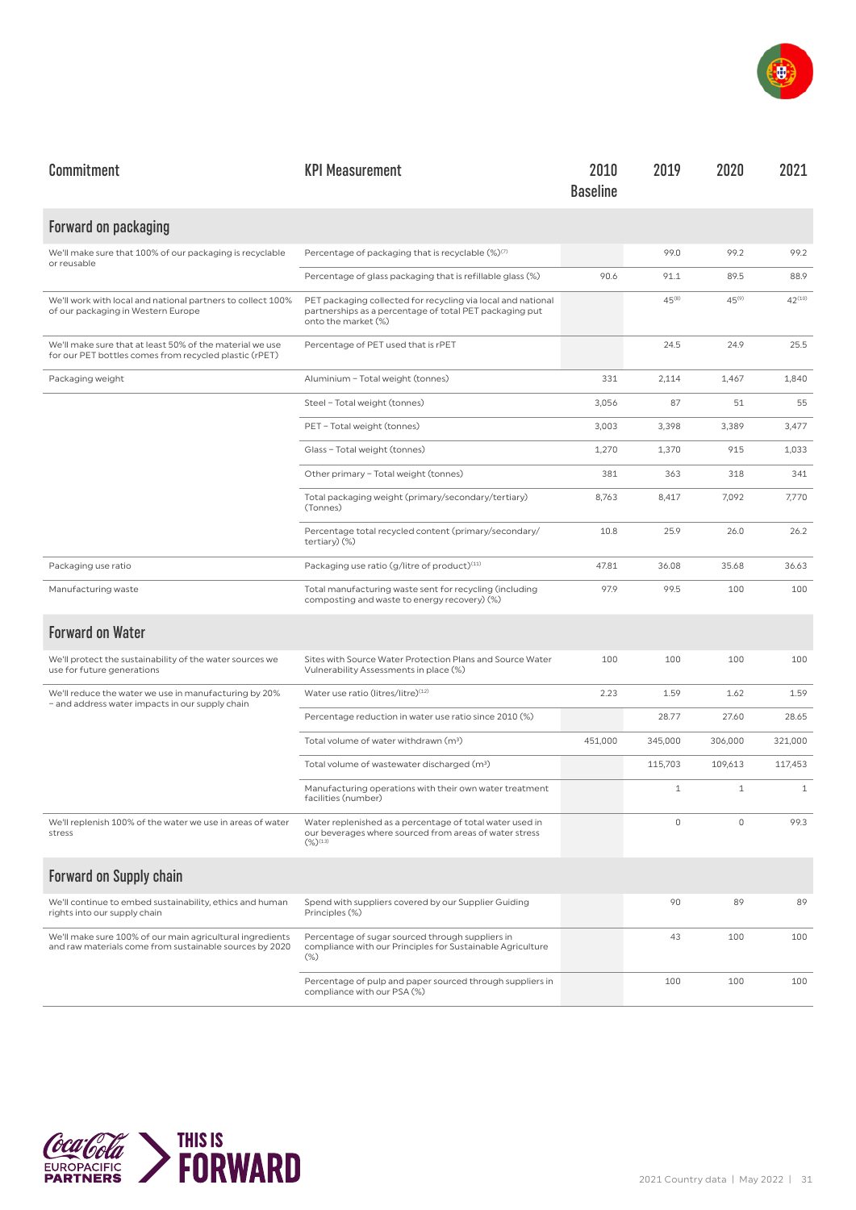

| Commitment                                                                                                           | <b>KPI Measurement</b>                                                                                                                         | 2010<br><b>Baseline</b> | 2019         | 2020         | 2021         |
|----------------------------------------------------------------------------------------------------------------------|------------------------------------------------------------------------------------------------------------------------------------------------|-------------------------|--------------|--------------|--------------|
| Forward on packaging                                                                                                 |                                                                                                                                                |                         |              |              |              |
| We'll make sure that 100% of our packaging is recyclable<br>or reusable                                              | Percentage of packaging that is recyclable $(\%)^{(7)}$                                                                                        |                         | 99.0         | 99.2         | 99.2         |
|                                                                                                                      | Percentage of glass packaging that is refillable glass (%)                                                                                     | 90.6                    | 91.1         | 89.5         | 88.9         |
| We'll work with local and national partners to collect 100%<br>of our packaging in Western Europe                    | PET packaging collected for recycling via local and national<br>partnerships as a percentage of total PET packaging put<br>onto the market (%) |                         | $45^{(8)}$   | $45^{(9)}$   | $42^{(10)}$  |
| We'll make sure that at least 50% of the material we use<br>for our PET bottles comes from recycled plastic (rPET)   | Percentage of PET used that is rPET                                                                                                            |                         | 24.5         | 24.9         | 25.5         |
| Packaging weight                                                                                                     | Aluminium - Total weight (tonnes)                                                                                                              | 331                     | 2,114        | 1,467        | 1,840        |
|                                                                                                                      | Steel - Total weight (tonnes)                                                                                                                  | 3,056                   | 87           | 51           | 55           |
|                                                                                                                      | PET - Total weight (tonnes)                                                                                                                    | 3,003                   | 3,398        | 3,389        | 3,477        |
|                                                                                                                      | Glass - Total weight (tonnes)                                                                                                                  | 1,270                   | 1,370        | 915          | 1,033        |
|                                                                                                                      | Other primary - Total weight (tonnes)                                                                                                          | 381                     | 363          | 318          | 341          |
|                                                                                                                      | Total packaging weight (primary/secondary/tertiary)<br>(Tonnes)                                                                                | 8,763                   | 8,417        | 7,092        | 7,770        |
|                                                                                                                      | Percentage total recycled content (primary/secondary/<br>tertiary $)(\%)$                                                                      | 10.8                    | 25.9         | 26.0         | 26.2         |
| Packaging use ratio                                                                                                  | Packaging use ratio (g/litre of product) <sup>(11)</sup>                                                                                       | 47.81                   | 36.08        | 35.68        | 36.63        |
| Manufacturing waste                                                                                                  | Total manufacturing waste sent for recycling (including<br>composting and waste to energy recovery) (%)                                        | 97.9                    | 99.5         | 100          | 100          |
| <b>Forward on Water</b>                                                                                              |                                                                                                                                                |                         |              |              |              |
| We'll protect the sustainability of the water sources we<br>use for future generations                               | Sites with Source Water Protection Plans and Source Water<br>Vulnerability Assessments in place (%)                                            | 100                     | 100          | 100          | 100          |
| We'll reduce the water we use in manufacturing by 20%<br>- and address water impacts in our supply chain             | Water use ratio (litres/litre)(12)                                                                                                             | 2.23                    | 1.59         | 1.62         | 1.59         |
|                                                                                                                      | Percentage reduction in water use ratio since 2010 (%)                                                                                         |                         | 28.77        | 27.60        | 28.65        |
|                                                                                                                      | Total volume of water withdrawn (m <sup>3</sup> )                                                                                              | 451,000                 | 345,000      | 306,000      | 321,000      |
|                                                                                                                      | Total volume of wastewater discharged (m <sup>3</sup> )                                                                                        |                         | 115,703      | 109,613      | 117,453      |
|                                                                                                                      | Manufacturing operations with their own water treatment<br>facilities (number)                                                                 |                         | $\mathbf{1}$ | $\mathbf{1}$ | $\mathbf{1}$ |
| We'll replenish 100% of the water we use in areas of water<br>stress                                                 | Water replenished as a percentage of total water used in<br>our beverages where sourced from areas of water stress<br>$(\%)^{(13)}$            |                         | 0            | 0            | 99.3         |
| <b>Forward on Supply chain</b>                                                                                       |                                                                                                                                                |                         |              |              |              |
| We'll continue to embed sustainability, ethics and human<br>rights into our supply chain                             | Spend with suppliers covered by our Supplier Guiding<br>Principles (%)                                                                         |                         | 90           | 89           | 89           |
| We'll make sure 100% of our main agricultural ingredients<br>and raw materials come from sustainable sources by 2020 | Percentage of sugar sourced through suppliers in<br>compliance with our Principles for Sustainable Agriculture<br>$(\%)$                       |                         | 43           | 100          | 100          |
|                                                                                                                      | Percentage of pulp and paper sourced through suppliers in<br>compliance with our PSA (%)                                                       |                         | 100          | 100          | 100          |

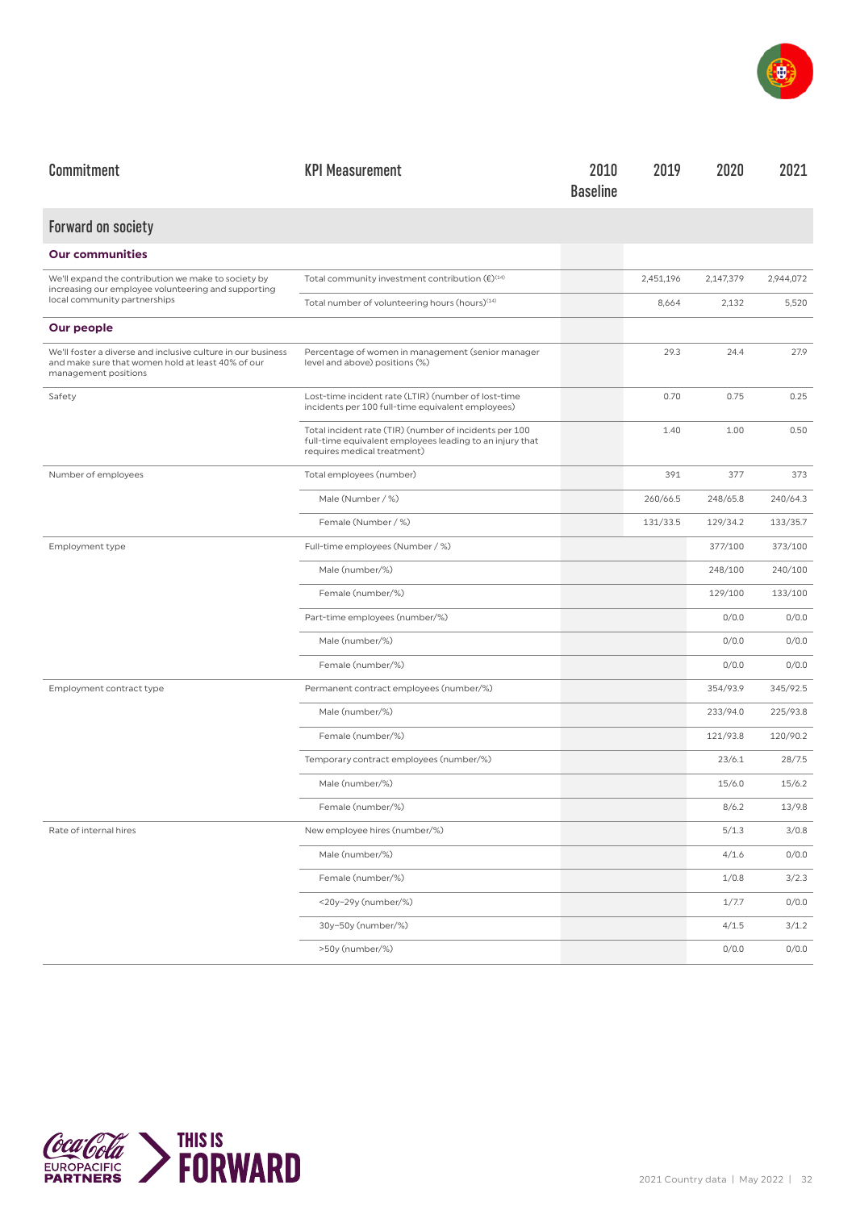

| Commitment                                                                                                                                | <b>KPI Measurement</b>                                                                                                                            | 2010<br><b>Baseline</b> | 2019      | 2020      | 2021      |
|-------------------------------------------------------------------------------------------------------------------------------------------|---------------------------------------------------------------------------------------------------------------------------------------------------|-------------------------|-----------|-----------|-----------|
| <b>Forward on society</b>                                                                                                                 |                                                                                                                                                   |                         |           |           |           |
| <b>Our communities</b>                                                                                                                    |                                                                                                                                                   |                         |           |           |           |
| We'll expand the contribution we make to society by<br>increasing our employee volunteering and supporting                                | Total community investment contribution $(\epsilon)^{\text{\tiny (14)}}$                                                                          |                         | 2,451,196 | 2,147,379 | 2,944,072 |
| local community partnerships                                                                                                              | Total number of volunteering hours (hours) <sup>(14)</sup>                                                                                        |                         | 8,664     | 2,132     | 5,520     |
| Our people                                                                                                                                |                                                                                                                                                   |                         |           |           |           |
| We'll foster a diverse and inclusive culture in our business<br>and make sure that women hold at least 40% of our<br>management positions | Percentage of women in management (senior manager<br>level and above) positions (%)                                                               |                         | 29.3      | 24.4      | 27.9      |
| Safety                                                                                                                                    | Lost-time incident rate (LTIR) (number of lost-time<br>incidents per 100 full-time equivalent employees)                                          |                         | 0.70      | 0.75      | 0.25      |
|                                                                                                                                           | Total incident rate (TIR) (number of incidents per 100<br>full-time equivalent employees leading to an injury that<br>requires medical treatment) |                         | 1.40      | 1.00      | 0.50      |
| Number of employees                                                                                                                       | Total employees (number)                                                                                                                          |                         | 391       | 377       | 373       |
|                                                                                                                                           | Male (Number / %)                                                                                                                                 |                         | 260/66.5  | 248/65.8  | 240/64.3  |
|                                                                                                                                           | Female (Number / %)                                                                                                                               |                         | 131/33.5  | 129/34.2  | 133/35.7  |
| Employment type                                                                                                                           | Full-time employees (Number / %)                                                                                                                  |                         |           | 377/100   | 373/100   |
|                                                                                                                                           | Male (number/%)                                                                                                                                   |                         |           | 248/100   | 240/100   |
|                                                                                                                                           | Female (number/%)                                                                                                                                 |                         |           | 129/100   | 133/100   |
|                                                                                                                                           | Part-time employees (number/%)                                                                                                                    |                         |           | 0/0.0     | 0/0.0     |
|                                                                                                                                           | Male (number/%)                                                                                                                                   |                         |           | 0/0.0     | 0/0.0     |
|                                                                                                                                           | Female (number/%)                                                                                                                                 |                         |           | 0/0.0     | 0/0.0     |
| Employment contract type                                                                                                                  | Permanent contract employees (number/%)                                                                                                           |                         |           | 354/93.9  | 345/92.5  |
|                                                                                                                                           | Male (number/%)                                                                                                                                   |                         |           | 233/94.0  | 225/93.8  |
|                                                                                                                                           | Female (number/%)                                                                                                                                 |                         |           | 121/93.8  | 120/90.2  |
|                                                                                                                                           | Temporary contract employees (number/%)                                                                                                           |                         |           | 23/6.1    | 28/7.5    |
|                                                                                                                                           | Male (number/%)                                                                                                                                   |                         |           | 15/6.0    | 15/6.2    |
|                                                                                                                                           | Female (number/%)                                                                                                                                 |                         |           | 8/6.2     | 13/9.8    |
| Rate of internal hires                                                                                                                    | New employee hires (number/%)                                                                                                                     |                         |           | 5/1.3     | 3/0.8     |
|                                                                                                                                           | Male (number/%)                                                                                                                                   |                         |           | 4/1.6     | 0/0.0     |
|                                                                                                                                           | Female (number/%)                                                                                                                                 |                         |           | 1/0.8     | 3/2.3     |
|                                                                                                                                           | <20y-29y (number/%)                                                                                                                               |                         |           | 1/7.7     | 0/0.0     |
|                                                                                                                                           | 30y-50y (number/%)                                                                                                                                |                         |           | 4/1.5     | 3/1.2     |
|                                                                                                                                           | >50y (number/%)                                                                                                                                   |                         |           | 0/0.0     | 0/0.0     |

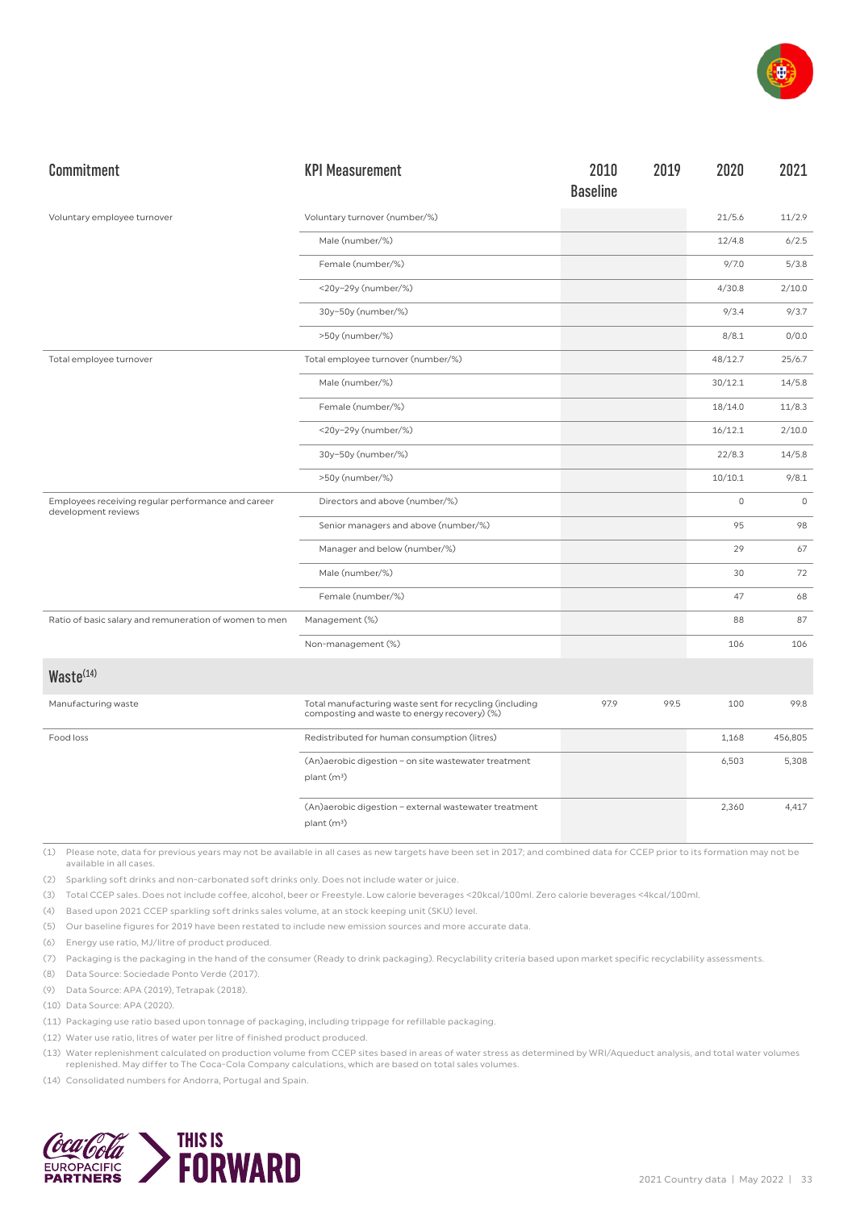

| Commitment                                                                | <b>KPI Measurement</b>                                                                                  | 2010<br><b>Baseline</b> | 2019 | 2020        | 2021        |
|---------------------------------------------------------------------------|---------------------------------------------------------------------------------------------------------|-------------------------|------|-------------|-------------|
| Voluntary employee turnover                                               | Voluntary turnover (number/%)                                                                           |                         |      | 21/5.6      | 11/2.9      |
|                                                                           | Male (number/%)                                                                                         |                         |      | 12/4.8      | 6/2.5       |
|                                                                           | Female (number/%)                                                                                       |                         |      | 9/7.0       | 5/3.8       |
|                                                                           | <20y-29y (number/%)                                                                                     |                         |      | 4/30.8      | 2/10.0      |
|                                                                           | 30y-50y (number/%)                                                                                      |                         |      | 9/3.4       | 9/3.7       |
|                                                                           | >50y (number/%)                                                                                         |                         |      | 8/8.1       | 0/0.0       |
| Total employee turnover                                                   | Total employee turnover (number/%)                                                                      |                         |      | 48/12.7     | 25/6.7      |
|                                                                           | Male (number/%)                                                                                         |                         |      | 30/12.1     | 14/5.8      |
|                                                                           | Female (number/%)                                                                                       |                         |      | 18/14.0     | 11/8.3      |
|                                                                           | <20y-29y (number/%)                                                                                     |                         |      | 16/12.1     | 2/10.0      |
|                                                                           | 30y-50y (number/%)                                                                                      |                         |      | 22/8.3      | 14/5.8      |
|                                                                           | >50y (number/%)                                                                                         |                         |      | 10/10.1     | 9/8.1       |
| Employees receiving regular performance and career<br>development reviews | Directors and above (number/%)                                                                          |                         |      | $\mathbb O$ | $\mathbb O$ |
|                                                                           | Senior managers and above (number/%)                                                                    |                         |      | 95          | 98          |
|                                                                           | Manager and below (number/%)                                                                            |                         |      | 29          | 67          |
|                                                                           | Male (number/%)                                                                                         |                         |      | 30          | 72          |
|                                                                           | Female (number/%)                                                                                       |                         |      | 47          | 68          |
| Ratio of basic salary and remuneration of women to men                    | Management (%)                                                                                          |                         |      | 88          | 87          |
|                                                                           | Non-management (%)                                                                                      |                         |      | 106         | 106         |
| Waste <sup>(14)</sup>                                                     |                                                                                                         |                         |      |             |             |
| Manufacturing waste                                                       | Total manufacturing waste sent for recycling (including<br>composting and waste to energy recovery) (%) | 97.9                    | 99.5 | 100         | 99.8        |
| Food loss                                                                 | Redistributed for human consumption (litres)                                                            |                         |      | 1,168       | 456,805     |
|                                                                           | (An)aerobic digestion - on site wastewater treatment<br>plant (m <sup>3</sup> )                         |                         |      | 6,503       | 5,308       |
|                                                                           | (An)aerobic digestion - external wastewater treatment<br>plant (m <sup>3</sup> )                        |                         |      | 2,360       | 4,417       |

(2) Sparkling soft drinks and non-carbonated soft drinks only. Does not include water or juice.

(3) Total CCEP sales. Does not include coffee, alcohol, beer or Freestyle. Low calorie beverages <20kcal/100ml. Zero calorie beverages <4kcal/100ml.

(4) Based upon 2021 CCEP sparkling soft drinks sales volume, at an stock keeping unit (SKU) level.

(5) Our baseline figures for 2019 have been restated to include new emission sources and more accurate data.

(6) Energy use ratio, MJ/litre of product produced.

(7) Packaging is the packaging in the hand of the consumer (Ready to drink packaging). Recyclability criteria based upon market specific recyclability assessments.

(8) Data Source: Sociedade Ponto Verde (2017).

(9) Data Source: APA (2019), Tetrapak (2018).

(10) Data Source: APA (2020).

(11) Packaging use ratio based upon tonnage of packaging, including trippage for refillable packaging.

(12) Water use ratio, litres of water per litre of finished product produced.

(13) Water replenishment calculated on production volume from CCEP sites based in areas of water stress as determined by WRI/Aqueduct analysis, and total water volumes replenished. May differ to The Coca-Cola Company calculations, which are based on total sales volumes.

(14) Consolidated numbers for Andorra, Portugal and Spain.

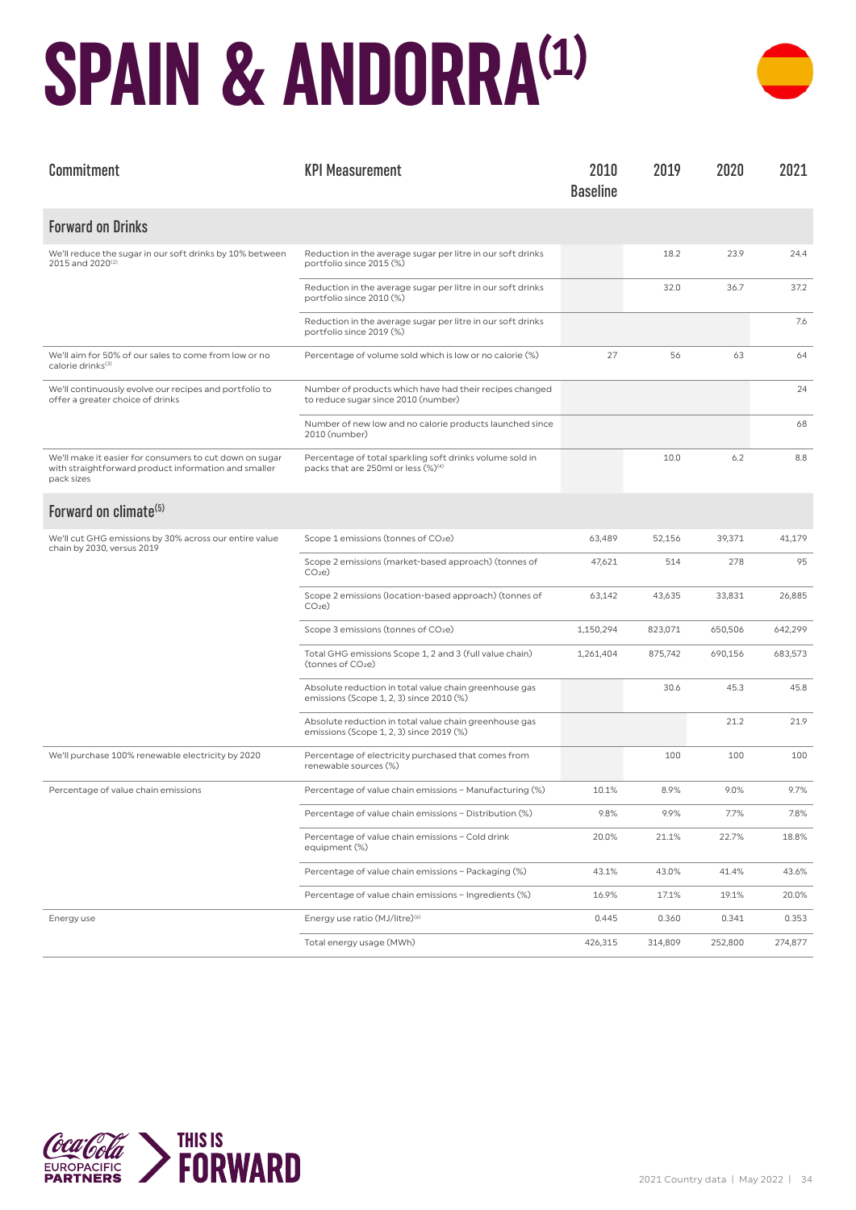## **SPAIN & ANDORRA(1)**



| Commitment                                                                                                                    | <b>KPI Measurement</b>                                                                                      | 2010<br><b>Baseline</b> | 2019    | 2020    | 2021    |
|-------------------------------------------------------------------------------------------------------------------------------|-------------------------------------------------------------------------------------------------------------|-------------------------|---------|---------|---------|
| <b>Forward on Drinks</b>                                                                                                      |                                                                                                             |                         |         |         |         |
| We'll reduce the sugar in our soft drinks by 10% between<br>2015 and 2020 <sup>(2)</sup>                                      | Reduction in the average sugar per litre in our soft drinks<br>portfolio since 2015 (%)                     |                         | 18.2    | 23.9    | 24.4    |
|                                                                                                                               | Reduction in the average sugar per litre in our soft drinks<br>portfolio since 2010 (%)                     |                         | 32.0    | 36.7    | 37.2    |
|                                                                                                                               | Reduction in the average sugar per litre in our soft drinks<br>portfolio since 2019 (%)                     |                         |         |         | 7.6     |
| We'll aim for 50% of our sales to come from low or no<br>calorie drinks <sup>(3)</sup>                                        | Percentage of volume sold which is low or no calorie (%)                                                    | 27                      | 56      | 63      | 64      |
| We'll continuously evolve our recipes and portfolio to<br>offer a greater choice of drinks                                    | Number of products which have had their recipes changed<br>to reduce sugar since 2010 (number)              |                         |         |         | 24      |
|                                                                                                                               | Number of new low and no calorie products launched since<br>2010 (number)                                   |                         |         |         | 68      |
| We'll make it easier for consumers to cut down on sugar<br>with straightforward product information and smaller<br>pack sizes | Percentage of total sparkling soft drinks volume sold in<br>packs that are 250ml or less (%) <sup>(4)</sup> |                         | 10.0    | 6.2     | 8.8     |
| Forward on climate <sup>(5)</sup>                                                                                             |                                                                                                             |                         |         |         |         |
| We'll cut GHG emissions by 30% across our entire value<br>chain by 2030, versus 2019                                          | Scope 1 emissions (tonnes of CO <sub>2</sub> e)                                                             | 63,489                  | 52,156  | 39,371  | 41,179  |
|                                                                                                                               | Scope 2 emissions (market-based approach) (tonnes of<br>CO <sub>2</sub> e                                   | 47,621                  | 514     | 278     | 95      |
|                                                                                                                               | Scope 2 emissions (location-based approach) (tonnes of<br>CO <sub>2</sub> e                                 | 63,142                  | 43,635  | 33,831  | 26,885  |
|                                                                                                                               | Scope 3 emissions (tonnes of CO <sub>2</sub> e)                                                             | 1,150,294               | 823,071 | 650,506 | 642,299 |
|                                                                                                                               | Total GHG emissions Scope 1, 2 and 3 (full value chain)<br>(tonnes of CO <sub>2</sub> e)                    | 1,261,404               | 875,742 | 690,156 | 683,573 |
|                                                                                                                               | Absolute reduction in total value chain greenhouse gas<br>emissions (Scope 1, 2, 3) since 2010 (%)          |                         | 30.6    | 45.3    | 45.8    |
|                                                                                                                               | Absolute reduction in total value chain greenhouse gas<br>emissions (Scope 1, 2, 3) since 2019 (%)          |                         |         | 21.2    | 21.9    |
| We'll purchase 100% renewable electricity by 2020                                                                             | Percentage of electricity purchased that comes from<br>renewable sources (%)                                |                         | 100     | 100     | 100     |
| Percentage of value chain emissions                                                                                           | Percentage of value chain emissions - Manufacturing (%)                                                     | 10.1%                   | 8.9%    | 9.0%    | 9.7%    |
|                                                                                                                               | Percentage of value chain emissions - Distribution (%)                                                      | 9.8%                    | 9.9%    | 7.7%    | 7.8%    |
|                                                                                                                               | Percentage of value chain emissions - Cold drink<br>equipment (%)                                           | 20.0%                   | 21.1%   | 22.7%   | 18.8%   |
|                                                                                                                               | Percentage of value chain emissions - Packaging (%)                                                         | 43.1%                   | 43.0%   | 41.4%   | 43.6%   |
|                                                                                                                               | Percentage of value chain emissions - Ingredients (%)                                                       | 16.9%                   | 17.1%   | 19.1%   | 20.0%   |
| Energy use                                                                                                                    | Energy use ratio (MJ/litre) <sup>(6)</sup>                                                                  | 0.445                   | 0.360   | 0.341   | 0.353   |
|                                                                                                                               | Total energy usage (MWh)                                                                                    | 426,315                 | 314,809 | 252,800 | 274,877 |

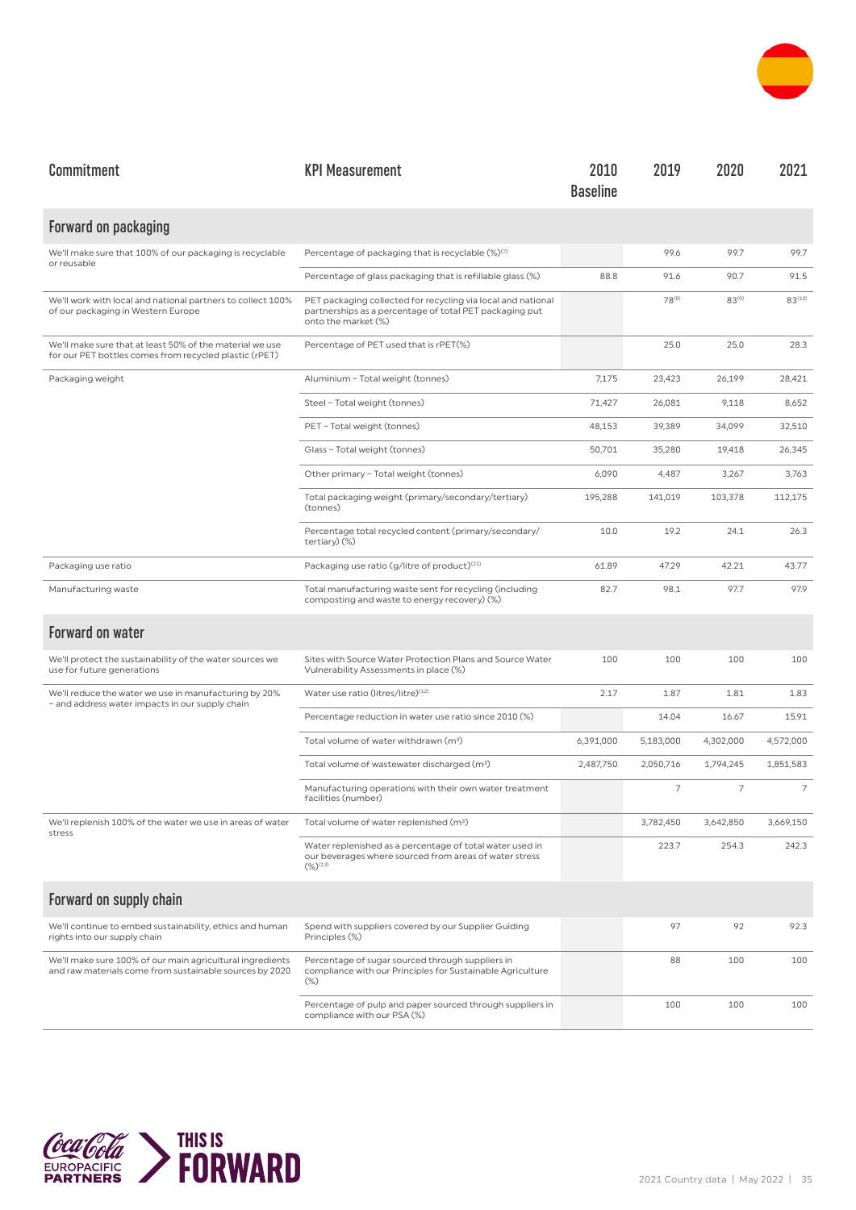

| Commitment                                                                                                           | <b>KPI Measurement</b>                                                                                                                         | 2010<br><b>Baseline</b> | 2019              | 2020           | 2021           |
|----------------------------------------------------------------------------------------------------------------------|------------------------------------------------------------------------------------------------------------------------------------------------|-------------------------|-------------------|----------------|----------------|
| Forward on packaging                                                                                                 |                                                                                                                                                |                         |                   |                |                |
| We'll make sure that 100% of our packaging is recyclable<br>or reusable                                              | Percentage of packaging that is recyclable (%)(7)                                                                                              |                         | 99.6              | 99.7           | 99.7           |
|                                                                                                                      | Percentage of glass packaging that is refillable glass (%)                                                                                     | 88.8                    | 91.6              | 90.7           | 91.5           |
| We'll work with local and national partners to collect 100%<br>of our packaging in Western Europe                    | PET packaging collected for recycling via local and national<br>partnerships as a percentage of total PET packaging put<br>onto the market (%) |                         | 78 <sup>(8)</sup> | $83^{(9)}$     | $83^{(10)}$    |
| We'll make sure that at least 50% of the material we use<br>for our PET bottles comes from recycled plastic (rPET)   | Percentage of PET used that is rPET(%)                                                                                                         |                         | 25.0              | 25.0           | 28.3           |
| Packaging weight                                                                                                     | Aluminium - Total weight (tonnes)                                                                                                              | 7,175                   | 23,423            | 26,199         | 28,421         |
|                                                                                                                      | Steel - Total weight (tonnes)                                                                                                                  | 71,427                  | 26,081            | 9,118          | 8,652          |
|                                                                                                                      | PET - Total weight (tonnes)                                                                                                                    | 48,153                  | 39,389            | 34,099         | 32,510         |
|                                                                                                                      | Glass - Total weight (tonnes)                                                                                                                  | 50,701                  | 35,280            | 19,418         | 26,345         |
|                                                                                                                      | Other primary - Total weight (tonnes)                                                                                                          | 6,090                   | 4,487             | 3,267          | 3,763          |
|                                                                                                                      | Total packaging weight (primary/secondary/tertiary)<br>(tonnes)                                                                                | 195,288                 | 141,019           | 103,378        | 112,175        |
|                                                                                                                      | Percentage total recycled content (primary/secondary/<br>tertiary) (%)                                                                         | 10.0                    | 19.2              | 24.1           | 26.3           |
| Packaging use ratio                                                                                                  | Packaging use ratio (g/litre of product) <sup>(11)</sup>                                                                                       | 61.89                   | 47.29             | 42.21          | 43.77          |
| Manufacturing waste                                                                                                  | Total manufacturing waste sent for recycling (including<br>composting and waste to energy recovery) (%)                                        | 82.7                    | 98.1              | 97.7           | 97.9           |
| <b>Forward on water</b>                                                                                              |                                                                                                                                                |                         |                   |                |                |
| We'll protect the sustainability of the water sources we<br>use for future generations                               | Sites with Source Water Protection Plans and Source Water<br>Vulnerability Assessments in place (%)                                            | 100                     | 100               | 100            | 100            |
| We'll reduce the water we use in manufacturing by 20%<br>- and address water impacts in our supply chain             | Water use ratio (litres/litre) <sup>(12)</sup>                                                                                                 | 2.17                    | 1.87              | 1.81           | 1.83           |
|                                                                                                                      | Percentage reduction in water use ratio since 2010 (%)                                                                                         |                         | 14.04             | 16.67          | 15.91          |
|                                                                                                                      | Total volume of water withdrawn (m <sup>3</sup> )                                                                                              | 6,391,000               | 5,183,000         | 4,302,000      | 4,572,000      |
|                                                                                                                      | Total volume of wastewater discharged (m <sup>3</sup> )                                                                                        | 2,487,750               | 2,050,716         | 1,794,245      | 1,851,583      |
|                                                                                                                      | Manufacturing operations with their own water treatment<br>facilities (number)                                                                 |                         | $\overline{7}$    | $\overline{7}$ | $\overline{7}$ |
| We'll replenish 100% of the water we use in areas of water<br>stress                                                 | Total volume of water replenished (m <sup>3</sup> )                                                                                            |                         | 3,782,450         | 3,642,850      | 3,669,150      |
|                                                                                                                      | Water replenished as a percentage of total water used in<br>our beverages where sourced from areas of water stress<br>$(%)^{(13)}$             |                         | 223.7             | 254.3          | 242.3          |
| Forward on supply chain                                                                                              |                                                                                                                                                |                         |                   |                |                |
| We'll continue to embed sustainability, ethics and human<br>rights into our supply chain                             | Spend with suppliers covered by our Supplier Guiding<br>Principles (%)                                                                         |                         | 97                | 92             | 92.3           |
| We'll make sure 100% of our main agricultural ingredients<br>and raw materials come from sustainable sources by 2020 | Percentage of sugar sourced through suppliers in<br>compliance with our Principles for Sustainable Agriculture<br>$(\%)$                       |                         | 88                | 100            | 100            |
|                                                                                                                      | Percentage of pulp and paper sourced through suppliers in<br>compliance with our PSA (%)                                                       |                         | 100               | 100            | 100            |

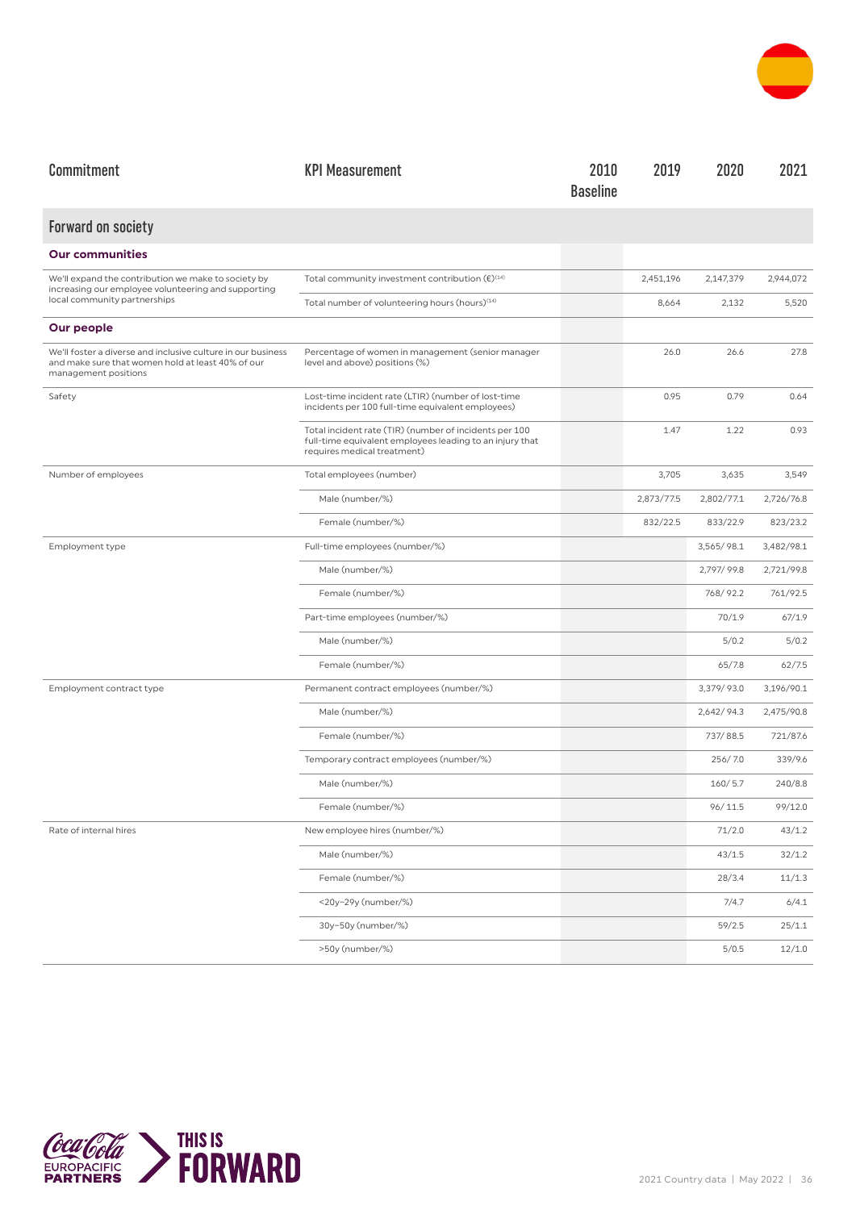

| Commitment                                                                                                                                | <b>KPI Measurement</b>                                                                                                                            | 2010<br><b>Baseline</b> | 2019       | 2020       | 2021       |
|-------------------------------------------------------------------------------------------------------------------------------------------|---------------------------------------------------------------------------------------------------------------------------------------------------|-------------------------|------------|------------|------------|
| <b>Forward on society</b>                                                                                                                 |                                                                                                                                                   |                         |            |            |            |
| <b>Our communities</b>                                                                                                                    |                                                                                                                                                   |                         |            |            |            |
| We'll expand the contribution we make to society by<br>increasing our employee volunteering and supporting                                | Total community investment contribution $(\epsilon)^{\text{\tiny{(14)}}}$                                                                         |                         | 2,451,196  | 2,147,379  | 2,944,072  |
| local community partnerships                                                                                                              | Total number of volunteering hours (hours) <sup>(14)</sup>                                                                                        |                         | 8,664      | 2,132      | 5,520      |
| Our people                                                                                                                                |                                                                                                                                                   |                         |            |            |            |
| We'll foster a diverse and inclusive culture in our business<br>and make sure that women hold at least 40% of our<br>management positions | Percentage of women in management (senior manager<br>level and above) positions (%)                                                               |                         | 26.0       | 26.6       | 27.8       |
| Safety                                                                                                                                    | Lost-time incident rate (LTIR) (number of lost-time<br>incidents per 100 full-time equivalent employees)                                          |                         | 0.95       | 0.79       | 0.64       |
|                                                                                                                                           | Total incident rate (TIR) (number of incidents per 100<br>full-time equivalent employees leading to an injury that<br>requires medical treatment) |                         | 1.47       | 1.22       | 0.93       |
| Number of employees                                                                                                                       | Total employees (number)                                                                                                                          |                         | 3,705      | 3,635      | 3,549      |
|                                                                                                                                           | Male (number/%)                                                                                                                                   |                         | 2,873/77.5 | 2,802/77.1 | 2,726/76.8 |
|                                                                                                                                           | Female (number/%)                                                                                                                                 |                         | 832/22.5   | 833/22.9   | 823/23.2   |
| Employment type                                                                                                                           | Full-time employees (number/%)                                                                                                                    |                         |            | 3,565/98.1 | 3,482/98.1 |
|                                                                                                                                           | Male (number/%)                                                                                                                                   |                         |            | 2,797/99.8 | 2,721/99.8 |
|                                                                                                                                           | Female (number/%)                                                                                                                                 |                         |            | 768/92.2   | 761/92.5   |
|                                                                                                                                           | Part-time employees (number/%)                                                                                                                    |                         |            | 70/1.9     | 67/1.9     |
|                                                                                                                                           | Male (number/%)                                                                                                                                   |                         |            | 5/0.2      | 5/0.2      |
|                                                                                                                                           | Female (number/%)                                                                                                                                 |                         |            | 65/7.8     | 62/7.5     |
| Employment contract type                                                                                                                  | Permanent contract employees (number/%)                                                                                                           |                         |            | 3,379/93.0 | 3,196/90.1 |
|                                                                                                                                           | Male (number/%)                                                                                                                                   |                         |            | 2,642/94.3 | 2,475/90.8 |
|                                                                                                                                           | Female (number/%)                                                                                                                                 |                         |            | 737/88.5   | 721/87.6   |
|                                                                                                                                           | Temporary contract employees (number/%)                                                                                                           |                         |            | 256/7.0    | 339/9.6    |
|                                                                                                                                           | Male (number/%)                                                                                                                                   |                         |            | 160/5.7    | 240/8.8    |
|                                                                                                                                           | Female (number/%)                                                                                                                                 |                         |            | 96/11.5    | 99/12.0    |
| Rate of internal hires                                                                                                                    | New employee hires (number/%)                                                                                                                     |                         |            | 71/2.0     | 43/1.2     |
|                                                                                                                                           | Male (number/%)                                                                                                                                   |                         |            | 43/1.5     | 32/1.2     |
|                                                                                                                                           | Female (number/%)                                                                                                                                 |                         |            | 28/3.4     | 11/1.3     |
|                                                                                                                                           | <20y-29y (number/%)                                                                                                                               |                         |            | 7/4.7      | 6/4.1      |
|                                                                                                                                           | 30y-50y (number/%)                                                                                                                                |                         |            | 59/2.5     | 25/1.1     |
|                                                                                                                                           | >50y (number/%)                                                                                                                                   |                         |            | 5/0.5      | 12/1.0     |

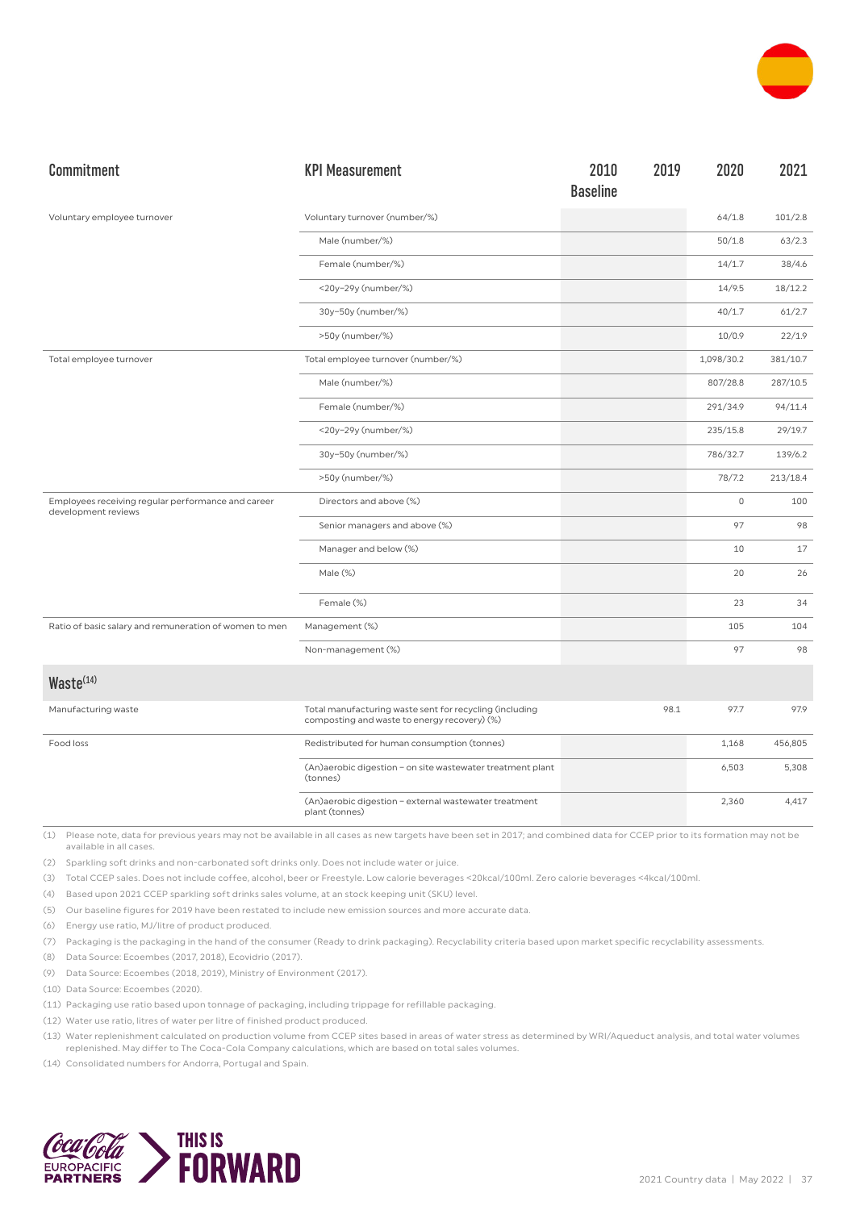

| Commitment                                                                | <b>KPI Measurement</b>                                                                                  | 2010            | 2019 | 2020        | 2021     |
|---------------------------------------------------------------------------|---------------------------------------------------------------------------------------------------------|-----------------|------|-------------|----------|
|                                                                           |                                                                                                         | <b>Baseline</b> |      |             |          |
| Voluntary employee turnover                                               | Voluntary turnover (number/%)                                                                           |                 |      | 64/1.8      | 101/2.8  |
|                                                                           | Male (number/%)                                                                                         |                 |      | 50/1.8      | 63/2.3   |
|                                                                           | Female (number/%)                                                                                       |                 |      | 14/1.7      | 38/4.6   |
|                                                                           | <20y-29y (number/%)                                                                                     |                 |      | 14/9.5      | 18/12.2  |
|                                                                           | 30y-50y (number/%)                                                                                      |                 |      | 40/1.7      | 61/2.7   |
|                                                                           | >50y (number/%)                                                                                         |                 |      | 10/0.9      | 22/1.9   |
| Total employee turnover                                                   | Total employee turnover (number/%)                                                                      |                 |      | 1,098/30.2  | 381/10.7 |
|                                                                           | Male (number/%)                                                                                         |                 |      | 807/28.8    | 287/10.5 |
|                                                                           | Female (number/%)                                                                                       |                 |      | 291/34.9    | 94/11.4  |
|                                                                           | <20y-29y (number/%)                                                                                     |                 |      | 235/15.8    | 29/19.7  |
|                                                                           | 30y-50y (number/%)                                                                                      |                 |      | 786/32.7    | 139/6.2  |
|                                                                           | >50y (number/%)                                                                                         |                 |      | 78/7.2      | 213/18.4 |
| Employees receiving regular performance and career<br>development reviews | Directors and above (%)                                                                                 |                 |      | $\mathbb O$ | 100      |
|                                                                           | Senior managers and above (%)                                                                           |                 |      | 97          | 98       |
|                                                                           | Manager and below (%)                                                                                   |                 |      | 10          | 17       |
|                                                                           | Male (%)                                                                                                |                 |      | 20          | 26       |
|                                                                           | Female (%)                                                                                              |                 |      | 23          | 34       |
| Ratio of basic salary and remuneration of women to men                    | Management (%)                                                                                          |                 |      | 105         | 104      |
|                                                                           | Non-management (%)                                                                                      |                 |      | 97          | 98       |
| Waste <sup>(14)</sup>                                                     |                                                                                                         |                 |      |             |          |
| Manufacturing waste                                                       | Total manufacturing waste sent for recycling (including<br>composting and waste to energy recovery) (%) |                 | 98.1 | 97.7        | 97.9     |
| Food loss                                                                 | Redistributed for human consumption (tonnes)                                                            |                 |      | 1,168       | 456,805  |
|                                                                           | (An)aerobic digestion - on site wastewater treatment plant<br>(tonnes)                                  |                 |      | 6,503       | 5,308    |
|                                                                           | (An)aerobic digestion - external wastewater treatment<br>plant (tonnes)                                 |                 |      | 2,360       | 4,417    |

(2) Sparkling soft drinks and non-carbonated soft drinks only. Does not include water or juice.

(3) Total CCEP sales. Does not include coffee, alcohol, beer or Freestyle. Low calorie beverages <20kcal/100ml. Zero calorie beverages <4kcal/100ml.

(4) Based upon 2021 CCEP sparkling soft drinks sales volume, at an stock keeping unit (SKU) level.

(5) Our baseline figures for 2019 have been restated to include new emission sources and more accurate data.

(6) Energy use ratio, MJ/litre of product produced.

(7) Packaging is the packaging in the hand of the consumer (Ready to drink packaging). Recyclability criteria based upon market specific recyclability assessments.

(8) Data Source: Ecoembes (2017, 2018), Ecovidrio (2017).

(9) Data Source: Ecoembes (2018, 2019), Ministry of Environment (2017).

(10) Data Source: Ecoembes (2020).

(11) Packaging use ratio based upon tonnage of packaging, including trippage for refillable packaging.

(12) Water use ratio, litres of water per litre of finished product produced.

(13) Water replenishment calculated on production volume from CCEP sites based in areas of water stress as determined by WRI/Aqueduct analysis, and total water volumes replenished. May differ to The Coca-Cola Company calculations, which are based on total sales volumes.

(14) Consolidated numbers for Andorra, Portugal and Spain.

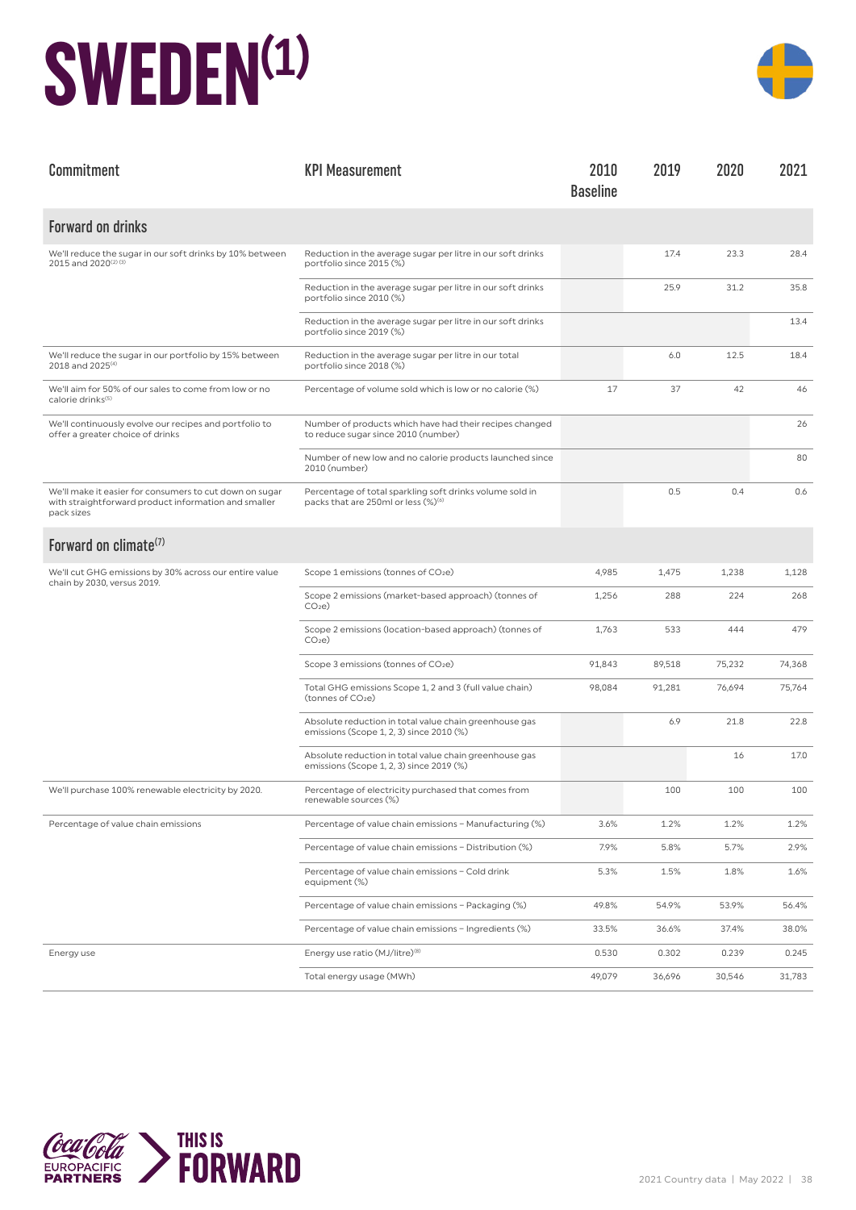#### **SWEDEN(1)**



| Commitment                                                                                                                    | <b>KPI Measurement</b>                                                                                      | 2010<br><b>Baseline</b> | 2019   | 2020   | 2021   |
|-------------------------------------------------------------------------------------------------------------------------------|-------------------------------------------------------------------------------------------------------------|-------------------------|--------|--------|--------|
| <b>Forward on drinks</b>                                                                                                      |                                                                                                             |                         |        |        |        |
| We'll reduce the sugar in our soft drinks by 10% between<br>2015 and 2020(2)(3)                                               | Reduction in the average sugar per litre in our soft drinks<br>portfolio since 2015 (%)                     |                         | 17.4   | 23.3   | 28.4   |
|                                                                                                                               | Reduction in the average sugar per litre in our soft drinks<br>portfolio since 2010 (%)                     |                         | 25.9   | 31.2   | 35.8   |
|                                                                                                                               | Reduction in the average sugar per litre in our soft drinks<br>portfolio since 2019 (%)                     |                         |        |        | 13.4   |
| We'll reduce the sugar in our portfolio by 15% between<br>2018 and 2025 <sup>(4)</sup>                                        | Reduction in the average sugar per litre in our total<br>portfolio since 2018 (%)                           |                         | 6.0    | 12.5   | 18.4   |
| We'll aim for 50% of our sales to come from low or no<br>calorie drinks <sup>(5)</sup>                                        | Percentage of volume sold which is low or no calorie (%)                                                    | 17                      | 37     | 42     | 46     |
| We'll continuously evolve our recipes and portfolio to<br>offer a greater choice of drinks                                    | Number of products which have had their recipes changed<br>to reduce sugar since 2010 (number)              |                         |        |        | 26     |
|                                                                                                                               | Number of new low and no calorie products launched since<br>2010 (number)                                   |                         |        |        | 80     |
| We'll make it easier for consumers to cut down on sugar<br>with straightforward product information and smaller<br>pack sizes | Percentage of total sparkling soft drinks volume sold in<br>packs that are 250ml or less (%) <sup>(6)</sup> |                         | 0.5    | 0.4    | 0.6    |
| Forward on climate <sup>(7)</sup>                                                                                             |                                                                                                             |                         |        |        |        |
| We'll cut GHG emissions by 30% across our entire value<br>chain by 2030, versus 2019.                                         | Scope 1 emissions (tonnes of CO2e)                                                                          | 4,985                   | 1,475  | 1,238  | 1,128  |
|                                                                                                                               | Scope 2 emissions (market-based approach) (tonnes of<br>CO <sub>2</sub> e                                   | 1,256                   | 288    | 224    | 268    |
|                                                                                                                               | Scope 2 emissions (location-based approach) (tonnes of<br>CO <sub>2</sub> e                                 | 1,763                   | 533    | 444    | 479    |
|                                                                                                                               | Scope 3 emissions (tonnes of CO2e)                                                                          | 91,843                  | 89,518 | 75,232 | 74,368 |
|                                                                                                                               | Total GHG emissions Scope 1, 2 and 3 (full value chain)<br>(tonnes of CO <sub>2</sub> e)                    | 98,084                  | 91,281 | 76,694 | 75,764 |
|                                                                                                                               | Absolute reduction in total value chain greenhouse gas<br>emissions (Scope 1, 2, 3) since 2010 (%)          |                         | 6.9    | 21.8   | 22.8   |
|                                                                                                                               | Absolute reduction in total value chain greenhouse gas<br>emissions (Scope 1, 2, 3) since 2019 (%)          |                         |        | 16     | 17.0   |
| We'll purchase 100% renewable electricity by 2020.                                                                            | Percentage of electricity purchased that comes from<br>renewable sources (%)                                |                         | 100    | 100    | 100    |
| Percentage of value chain emissions                                                                                           | Percentage of value chain emissions - Manufacturing (%)                                                     | 3.6%                    | 1.2%   | 1.2%   | 1.2%   |
|                                                                                                                               | Percentage of value chain emissions - Distribution (%)                                                      | 7.9%                    | 5.8%   | 5.7%   | 2.9%   |
|                                                                                                                               | Percentage of value chain emissions - Cold drink<br>equipment (%)                                           | 5.3%                    | 1.5%   | 1.8%   | 1.6%   |
|                                                                                                                               | Percentage of value chain emissions - Packaging (%)                                                         | 49.8%                   | 54.9%  | 53.9%  | 56.4%  |
|                                                                                                                               | Percentage of value chain emissions - Ingredients (%)                                                       | 33.5%                   | 36.6%  | 37.4%  | 38.0%  |
| Energy use                                                                                                                    | Energy use ratio (MJ/litre) <sup>(8)</sup>                                                                  | 0.530                   | 0.302  | 0.239  | 0.245  |
|                                                                                                                               | Total energy usage (MWh)                                                                                    | 49,079                  | 36,696 | 30,546 | 31,783 |

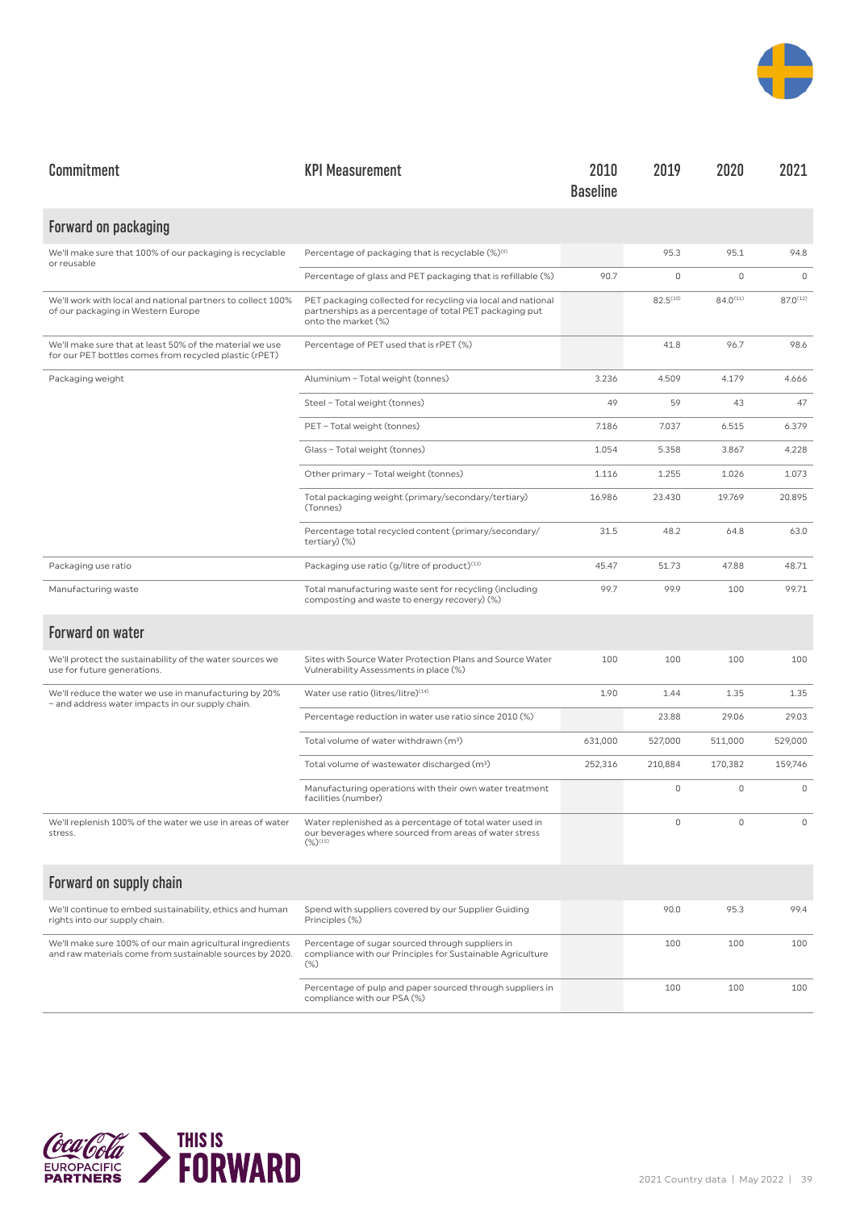

| Commitment                                                                                                            | <b>KPI Measurement</b>                                                                                                                         | 2010<br><b>Baseline</b> | 2019          | 2020          | 2021          |
|-----------------------------------------------------------------------------------------------------------------------|------------------------------------------------------------------------------------------------------------------------------------------------|-------------------------|---------------|---------------|---------------|
| Forward on packaging                                                                                                  |                                                                                                                                                |                         |               |               |               |
| We'll make sure that 100% of our packaging is recyclable<br>or reusable                                               | Percentage of packaging that is recyclable (%) <sup>(9)</sup>                                                                                  |                         | 95.3          | 95.1          | 94.8          |
|                                                                                                                       | Percentage of glass and PET packaging that is refillable (%)                                                                                   | 90.7                    | 0             | $\circ$       | $\circ$       |
| We'll work with local and national partners to collect 100%<br>of our packaging in Western Europe                     | PET packaging collected for recycling via local and national<br>partnerships as a percentage of total PET packaging put<br>onto the market (%) |                         | $82.5^{(10)}$ | $84.0^{(11)}$ | $87.0^{(12)}$ |
| We'll make sure that at least 50% of the material we use<br>for our PET bottles comes from recycled plastic (rPET)    | Percentage of PET used that is rPET (%)                                                                                                        |                         | 41.8          | 96.7          | 98.6          |
| Packaging weight                                                                                                      | Aluminium - Total weight (tonnes)                                                                                                              | 3.236                   | 4.509         | 4.179         | 4.666         |
|                                                                                                                       | Steel - Total weight (tonnes)                                                                                                                  | 49                      | 59            | 43            | 47            |
|                                                                                                                       | PET - Total weight (tonnes)                                                                                                                    | 7.186                   | 7.037         | 6.515         | 6.379         |
|                                                                                                                       | Glass - Total weight (tonnes)                                                                                                                  | 1.054                   | 5.358         | 3.867         | 4.228         |
|                                                                                                                       | Other primary - Total weight (tonnes)                                                                                                          | 1.116                   | 1.255         | 1.026         | 1.073         |
|                                                                                                                       | Total packaging weight (primary/secondary/tertiary)<br>(Tonnes)                                                                                | 16.986                  | 23.430        | 19.769        | 20.895        |
|                                                                                                                       | Percentage total recycled content (primary/secondary/<br>tertiary) (%)                                                                         | 31.5                    | 48.2          | 64.8          | 63.0          |
| Packaging use ratio                                                                                                   | Packaging use ratio (g/litre of product) <sup>(13)</sup>                                                                                       | 45.47                   | 51.73         | 47.88         | 48.71         |
| Manufacturing waste                                                                                                   | Total manufacturing waste sent for recycling (including<br>composting and waste to energy recovery) (%)                                        | 99.7                    | 99.9          | 100           | 99.71         |
| <b>Forward on water</b>                                                                                               |                                                                                                                                                |                         |               |               |               |
| We'll protect the sustainability of the water sources we<br>use for future generations.                               | Sites with Source Water Protection Plans and Source Water<br>Vulnerability Assessments in place (%)                                            | 100                     | 100           | 100           | 100           |
| We'll reduce the water we use in manufacturing by 20%<br>- and address water impacts in our supply chain.             | Water use ratio (litres/litre)(14)                                                                                                             | 1.90                    | 1.44          | 1.35          | 1.35          |
|                                                                                                                       | Percentage reduction in water use ratio since 2010 (%)                                                                                         |                         | 23.88         | 29.06         | 29.03         |
|                                                                                                                       | Total volume of water withdrawn (m <sup>3</sup> )                                                                                              | 631,000                 | 527,000       | 511,000       | 529,000       |
|                                                                                                                       | Total volume of wastewater discharged (m <sup>3</sup> )                                                                                        | 252,316                 | 210,884       | 170,382       | 159,746       |
|                                                                                                                       | Manufacturing operations with their own water treatment<br>facilities (number)                                                                 |                         | 0             | $\mathbf 0$   | $\mathbf 0$   |
| We'll replenish 100% of the water we use in areas of water<br>stress.                                                 | Water replenished as a percentage of total water used in<br>our beverages where sourced from areas of water stress<br>$(\%)^{(15)}$            |                         | 0             | $\Omega$      | $\Omega$      |
| Forward on supply chain                                                                                               |                                                                                                                                                |                         |               |               |               |
| We'll continue to embed sustainability, ethics and human<br>rights into our supply chain.                             | Spend with suppliers covered by our Supplier Guiding<br>Principles (%)                                                                         |                         | 90.0          | 95.3          | 99.4          |
| We'll make sure 100% of our main agricultural ingredients<br>and raw materials come from sustainable sources by 2020. | Percentage of sugar sourced through suppliers in<br>compliance with our Principles for Sustainable Agriculture<br>$(\%)$                       |                         | 100           | 100           | 100           |
|                                                                                                                       | Percentage of pulp and paper sourced through suppliers in<br>compliance with our PSA (%)                                                       |                         | 100           | 100           | 100           |

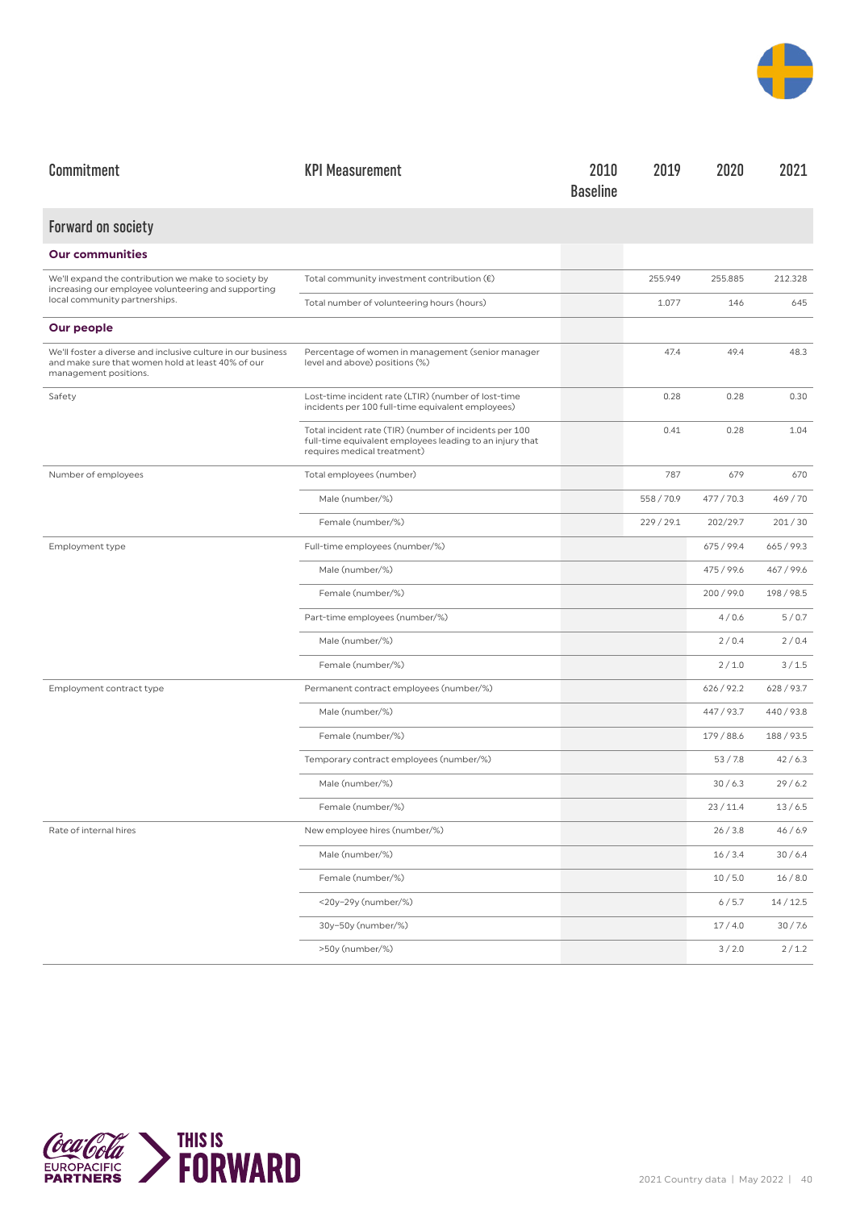

| Commitment                                                                                                                                 | <b>KPI Measurement</b>                                                                                                                            | 2010<br><b>Baseline</b> | 2019       | 2020       | 2021       |
|--------------------------------------------------------------------------------------------------------------------------------------------|---------------------------------------------------------------------------------------------------------------------------------------------------|-------------------------|------------|------------|------------|
| <b>Forward on society</b>                                                                                                                  |                                                                                                                                                   |                         |            |            |            |
| <b>Our communities</b>                                                                                                                     |                                                                                                                                                   |                         |            |            |            |
| We'll expand the contribution we make to society by<br>increasing our employee volunteering and supporting                                 | Total community investment contribution $(\epsilon)$                                                                                              |                         | 255.949    | 255.885    | 212.328    |
| local community partnerships.                                                                                                              | Total number of volunteering hours (hours)                                                                                                        |                         | 1.077      | 146        | 645        |
| Our people                                                                                                                                 |                                                                                                                                                   |                         |            |            |            |
| We'll foster a diverse and inclusive culture in our business<br>and make sure that women hold at least 40% of our<br>management positions. | Percentage of women in management (senior manager<br>level and above) positions (%)                                                               |                         | 47.4       | 49.4       | 48.3       |
| Safety                                                                                                                                     | Lost-time incident rate (LTIR) (number of lost-time<br>incidents per 100 full-time equivalent employees)                                          |                         | 0.28       | 0.28       | 0.30       |
|                                                                                                                                            | Total incident rate (TIR) (number of incidents per 100<br>full-time equivalent employees leading to an injury that<br>requires medical treatment) |                         | 0.41       | 0.28       | 1.04       |
| Number of employees                                                                                                                        | Total employees (number)                                                                                                                          |                         | 787        | 679        | 670        |
|                                                                                                                                            | Male (number/%)                                                                                                                                   |                         | 558 / 70.9 | 477/70.3   | 469/70     |
|                                                                                                                                            | Female (number/%)                                                                                                                                 |                         | 229 / 29.1 | 202/29.7   | 201/30     |
| Employment type                                                                                                                            | Full-time employees (number/%)                                                                                                                    |                         |            | 675 / 99.4 | 665/99.3   |
|                                                                                                                                            | Male (number/%)                                                                                                                                   |                         |            | 475 / 99.6 | 467 / 99.6 |
|                                                                                                                                            | Female (number/%)                                                                                                                                 |                         |            | 200/99.0   | 198 / 98.5 |
|                                                                                                                                            | Part-time employees (number/%)                                                                                                                    |                         |            | 4/0.6      | 5/0.7      |
|                                                                                                                                            | Male (number/%)                                                                                                                                   |                         |            | 2/0.4      | 2/0.4      |
|                                                                                                                                            | Female (number/%)                                                                                                                                 |                         |            | 2/1.0      | 3/1.5      |
| Employment contract type                                                                                                                   | Permanent contract employees (number/%)                                                                                                           |                         |            | 626/92.2   | 628/93.7   |
|                                                                                                                                            | Male (number/%)                                                                                                                                   |                         |            | 447 / 93.7 | 440 / 93.8 |
|                                                                                                                                            | Female (number/%)                                                                                                                                 |                         |            | 179 / 88.6 | 188/93.5   |
|                                                                                                                                            | Temporary contract employees (number/%)                                                                                                           |                         |            | 53/7.8     | 42/6.3     |
|                                                                                                                                            | Male (number/%)                                                                                                                                   |                         |            | 30/6.3     | 29/6.2     |
|                                                                                                                                            | Female (number/%)                                                                                                                                 |                         |            | 23/11.4    | 13/6.5     |
| Rate of internal hires                                                                                                                     | New employee hires (number/%)                                                                                                                     |                         |            | 26/3.8     | 46/6.9     |
|                                                                                                                                            | Male (number/%)                                                                                                                                   |                         |            | 16/3.4     | 30/6.4     |
|                                                                                                                                            | Female (number/%)                                                                                                                                 |                         |            | 10/5.0     | 16/8.0     |
|                                                                                                                                            | <20y-29y (number/%)                                                                                                                               |                         |            | 6/5.7      | 14/12.5    |
|                                                                                                                                            | 30y-50y (number/%)                                                                                                                                |                         |            | 17/4.0     | 30/7.6     |
|                                                                                                                                            | >50y (number/%)                                                                                                                                   |                         |            | 3/2.0      | 2/1.2      |

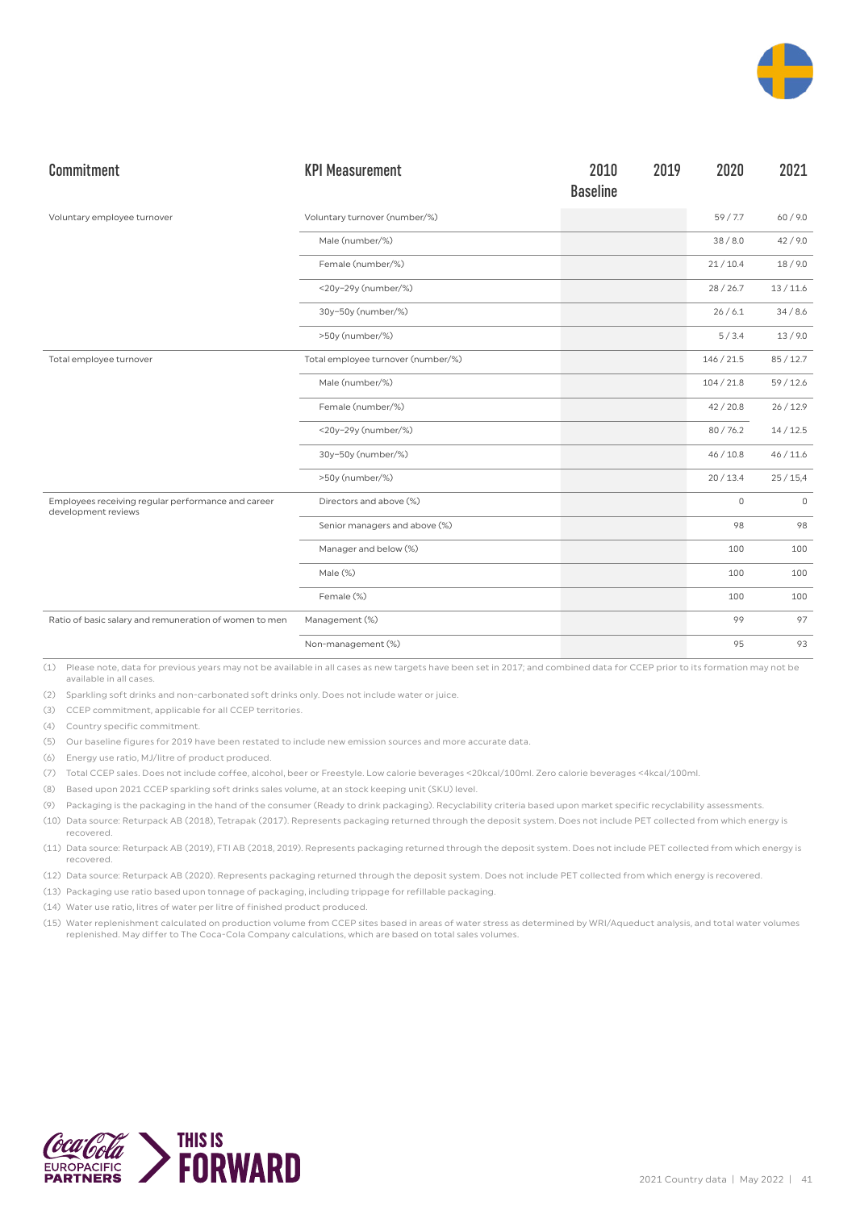

| Commitment                                                                | <b>KPI Measurement</b>             | 2010<br><b>Baseline</b> | 2019 | 2020       | 2021        |
|---------------------------------------------------------------------------|------------------------------------|-------------------------|------|------------|-------------|
| Voluntary employee turnover                                               | Voluntary turnover (number/%)      |                         |      | 59/7.7     | 60/9.0      |
|                                                                           | Male (number/%)                    |                         |      | 38/8.0     | 42/9.0      |
|                                                                           | Female (number/%)                  |                         |      | 21/10.4    | 18/9.0      |
|                                                                           | <20y-29y (number/%)                |                         |      | 28/26.7    | 13/11.6     |
|                                                                           | 30y-50y (number/%)                 |                         |      | 26/6.1     | 34/8.6      |
|                                                                           | >50y (number/%)                    |                         |      | 5/3.4      | 13/9.0      |
| Total employee turnover                                                   | Total employee turnover (number/%) |                         |      | 146 / 21.5 | 85/12.7     |
|                                                                           | Male (number/%)                    |                         |      | 104/21.8   | 59/12.6     |
|                                                                           | Female (number/%)                  |                         |      | 42/20.8    | 26/12.9     |
|                                                                           | <20y-29y (number/%)                |                         |      | 80/76.2    | 14/12.5     |
|                                                                           | 30y-50y (number/%)                 |                         |      | 46/10.8    | 46/11.6     |
|                                                                           | >50y (number/%)                    |                         |      | 20/13.4    | 25/15,4     |
| Employees receiving regular performance and career<br>development reviews | Directors and above (%)            |                         |      | 0          | $\mathbf 0$ |
|                                                                           | Senior managers and above (%)      |                         |      | 98         | 98          |
|                                                                           | Manager and below (%)              |                         |      | 100        | 100         |
|                                                                           | Male (%)                           |                         |      | 100        | 100         |
|                                                                           | Female (%)                         |                         |      | 100        | 100         |
| Ratio of basic salary and remuneration of women to men                    | Management (%)                     |                         |      | 99         | 97          |
|                                                                           | Non-management (%)                 |                         |      | 95         | 93          |

(2) Sparkling soft drinks and non-carbonated soft drinks only. Does not include water or juice.

(3) CCEP commitment, applicable for all CCEP territories.

(4) Country specific commitment.

(5) Our baseline figures for 2019 have been restated to include new emission sources and more accurate data.

(6) Energy use ratio, MJ/litre of product produced.

(7) Total CCEP sales. Does not include coffee, alcohol, beer or Freestyle. Low calorie beverages <20kcal/100ml. Zero calorie beverages <4kcal/100ml.

(8) Based upon 2021 CCEP sparkling soft drinks sales volume, at an stock keeping unit (SKU) level.

(9) Packaging is the packaging in the hand of the consumer (Ready to drink packaging). Recyclability criteria based upon market specific recyclability assessments.

(10) Data source: Returpack AB (2018), Tetrapak (2017). Represents packaging returned through the deposit system. Does not include PET collected from which energy is recovered.

(11) Data source: Returpack AB (2019), FTI AB (2018, 2019). Represents packaging returned through the deposit system. Does not include PET collected from which energy is recovered.

(12) Data source: Returpack AB (2020). Represents packaging returned through the deposit system. Does not include PET collected from which energy is recovered.

(13) Packaging use ratio based upon tonnage of packaging, including trippage for refillable packaging.

(14) Water use ratio, litres of water per litre of finished product produced.

(15) Water replenishment calculated on production volume from CCEP sites based in areas of water stress as determined by WRI/Aqueduct analysis, and total water volumes replenished. May differ to The Coca-Cola Company calculations, which are based on total sales volumes.

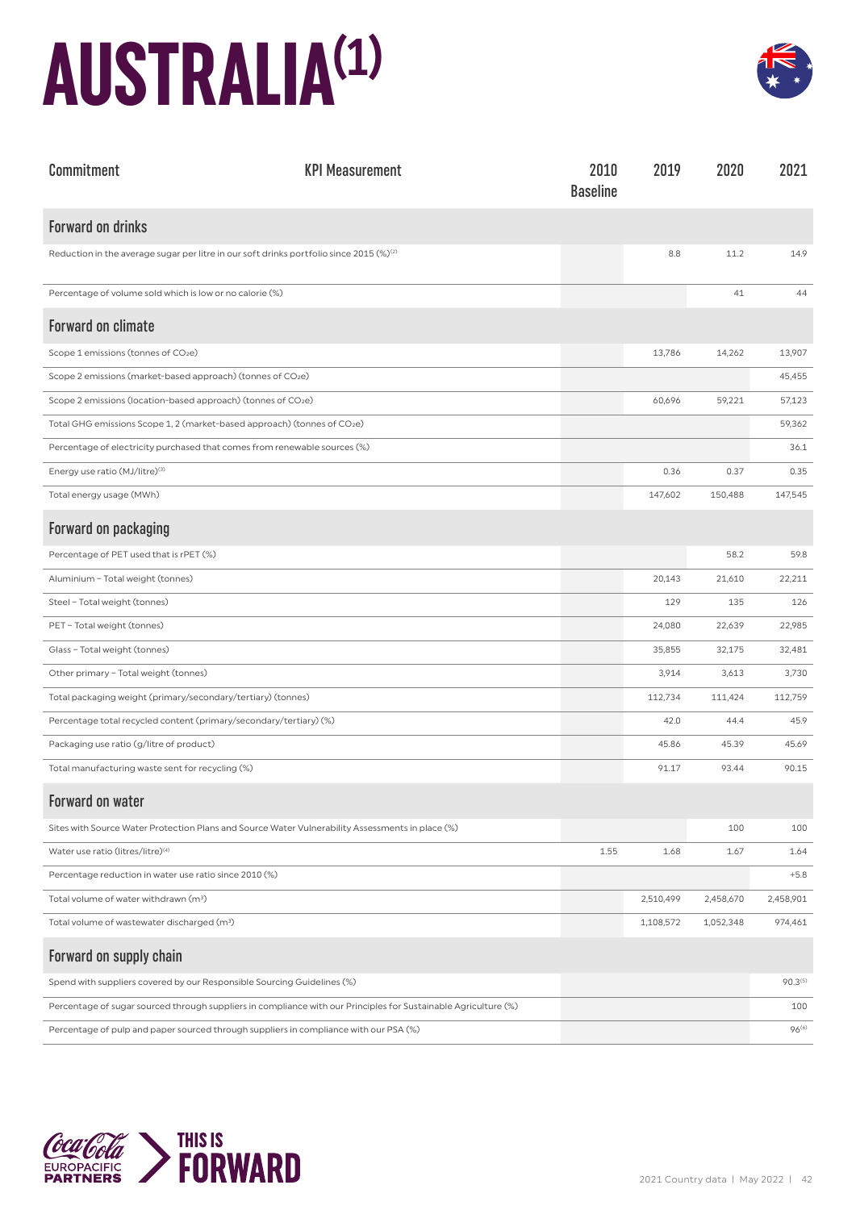## **AUSTRALIA(1)**



| Commitment                                                                                                      | <b>KPI Measurement</b> | 2010<br><b>Baseline</b> | 2019      | 2020      | 2021                |
|-----------------------------------------------------------------------------------------------------------------|------------------------|-------------------------|-----------|-----------|---------------------|
| <b>Forward on drinks</b>                                                                                        |                        |                         |           |           |                     |
| Reduction in the average sugar per litre in our soft drinks portfolio since 2015 $(\%)^{(2)}$                   |                        |                         | 8.8       | 11.2      | 14.9                |
| Percentage of volume sold which is low or no calorie (%)                                                        |                        |                         |           | 41        | 44                  |
| <b>Forward on climate</b>                                                                                       |                        |                         |           |           |                     |
| Scope 1 emissions (tonnes of CO2e)                                                                              |                        |                         | 13,786    | 14,262    | 13,907              |
| Scope 2 emissions (market-based approach) (tonnes of CO2e)                                                      |                        |                         |           |           | 45,455              |
| Scope 2 emissions (location-based approach) (tonnes of CO2e)                                                    |                        |                         | 60,696    | 59,221    | 57,123              |
| Total GHG emissions Scope 1, 2 (market-based approach) (tonnes of CO2e)                                         |                        |                         |           |           | 59,362              |
| Percentage of electricity purchased that comes from renewable sources (%)                                       |                        |                         |           |           | 36.1                |
| Energy use ratio (MJ/litre) <sup>(3)</sup>                                                                      |                        |                         | 0.36      | 0.37      | 0.35                |
| Total energy usage (MWh)                                                                                        |                        |                         | 147,602   | 150,488   | 147,545             |
| Forward on packaging                                                                                            |                        |                         |           |           |                     |
| Percentage of PET used that is rPET (%)                                                                         |                        |                         |           | 58.2      | 59.8                |
| Aluminium - Total weight (tonnes)                                                                               |                        |                         | 20,143    | 21,610    | 22,211              |
| Steel - Total weight (tonnes)                                                                                   |                        |                         | 129       | 135       | 126                 |
| PET - Total weight (tonnes)                                                                                     |                        |                         | 24,080    | 22,639    | 22,985              |
| Glass - Total weight (tonnes)                                                                                   |                        |                         | 35,855    | 32,175    | 32,481              |
| Other primary - Total weight (tonnes)                                                                           |                        |                         | 3,914     | 3,613     | 3,730               |
| Total packaging weight (primary/secondary/tertiary) (tonnes)                                                    |                        |                         | 112,734   | 111,424   | 112,759             |
| Percentage total recycled content (primary/secondary/tertiary) (%)                                              |                        |                         | 42.0      | 44.4      | 45.9                |
| Packaging use ratio (g/litre of product)                                                                        |                        |                         | 45.86     | 45.39     | 45.69               |
| Total manufacturing waste sent for recycling (%)                                                                |                        |                         | 91.17     | 93.44     | 90.15               |
| Forward on water                                                                                                |                        |                         |           |           |                     |
| Sites with Source Water Protection Plans and Source Water Vulnerability Assessments in place (%)                |                        |                         |           | 100       | 100                 |
| Water use ratio (litres/litre) <sup>(4)</sup>                                                                   |                        | 1.55                    | 1.68      | 1.67      | 1.64                |
| Percentage reduction in water use ratio since 2010 (%)                                                          |                        |                         |           |           | $+5.8$              |
| Total volume of water withdrawn (m <sup>3</sup> )                                                               |                        |                         | 2,510,499 | 2,458,670 | 2,458,901           |
| Total volume of wastewater discharged (m <sup>3</sup> )                                                         |                        |                         | 1,108,572 | 1,052,348 | 974,461             |
| Forward on supply chain                                                                                         |                        |                         |           |           |                     |
| Spend with suppliers covered by our Responsible Sourcing Guidelines (%)                                         |                        |                         |           |           | 90.3 <sup>(5)</sup> |
| Percentage of sugar sourced through suppliers in compliance with our Principles for Sustainable Agriculture (%) |                        |                         |           |           | 100                 |
| Percentage of pulp and paper sourced through suppliers in compliance with our PSA (%)                           |                        |                         |           |           | 96 <sup>(6)</sup>   |

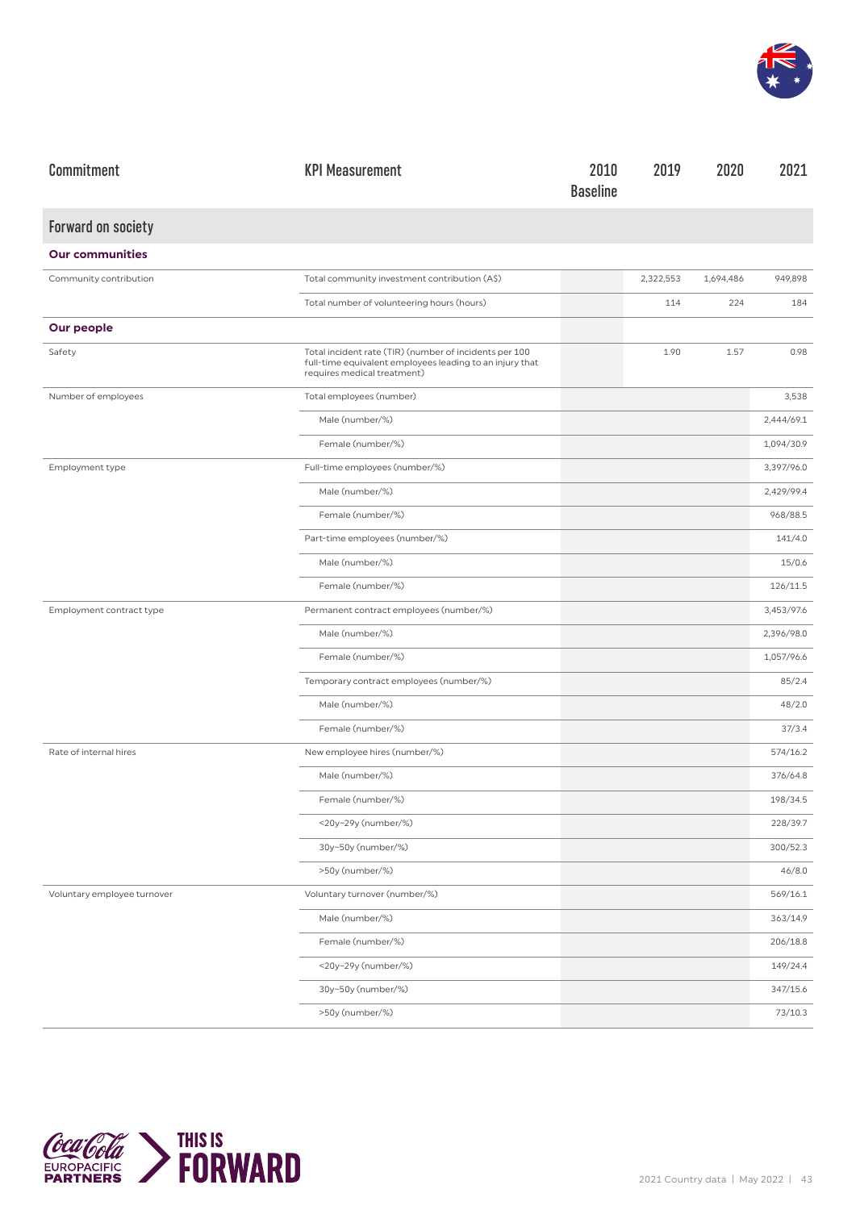

| Commitment                  | <b>KPI Measurement</b>                                                                                                                            | 2010<br><b>Baseline</b> | 2019      | 2020      | 2021       |
|-----------------------------|---------------------------------------------------------------------------------------------------------------------------------------------------|-------------------------|-----------|-----------|------------|
| Forward on society          |                                                                                                                                                   |                         |           |           |            |
| <b>Our communities</b>      |                                                                                                                                                   |                         |           |           |            |
| Community contribution      | Total community investment contribution (A\$)                                                                                                     |                         | 2,322,553 | 1,694,486 | 949,898    |
|                             | Total number of volunteering hours (hours)                                                                                                        |                         | 114       | 224       | 184        |
| Our people                  |                                                                                                                                                   |                         |           |           |            |
| Safety                      | Total incident rate (TIR) (number of incidents per 100<br>full-time equivalent employees leading to an injury that<br>requires medical treatment) |                         | 1.90      | 1.57      | 0.98       |
| Number of employees         | Total employees (number)                                                                                                                          |                         |           |           | 3,538      |
|                             | Male (number/%)                                                                                                                                   |                         |           |           | 2,444/69.1 |
|                             | Female (number/%)                                                                                                                                 |                         |           |           | 1,094/30.9 |
| Employment type             | Full-time employees (number/%)                                                                                                                    |                         |           |           | 3,397/96.0 |
|                             | Male (number/%)                                                                                                                                   |                         |           |           | 2,429/99.4 |
|                             | Female (number/%)                                                                                                                                 |                         |           |           | 968/88.5   |
|                             | Part-time employees (number/%)                                                                                                                    |                         |           |           | 141/4.0    |
|                             | Male (number/%)                                                                                                                                   |                         |           |           | 15/0.6     |
|                             | Female (number/%)                                                                                                                                 |                         |           |           | 126/11.5   |
| Employment contract type    | Permanent contract employees (number/%)                                                                                                           |                         |           |           | 3,453/97.6 |
|                             | Male (number/%)                                                                                                                                   |                         |           |           | 2,396/98.0 |
|                             | Female (number/%)                                                                                                                                 |                         |           |           | 1,057/96.6 |
|                             | Temporary contract employees (number/%)                                                                                                           |                         |           |           | 85/2.4     |
|                             | Male (number/%)                                                                                                                                   |                         |           |           | 48/2.0     |
|                             | Female (number/%)                                                                                                                                 |                         |           |           | 37/3.4     |
| Rate of internal hires      | New employee hires (number/%)                                                                                                                     |                         |           |           | 574/16.2   |
|                             | Male (number/%)                                                                                                                                   |                         |           |           | 376/64.8   |
|                             | Female (number/%)                                                                                                                                 |                         |           |           | 198/34.5   |
|                             | <20y-29y (number/%)                                                                                                                               |                         |           |           | 228/39.7   |
|                             | 30y-50y (number/%)                                                                                                                                |                         |           |           | 300/52.3   |
|                             | >50y (number/%)                                                                                                                                   |                         |           |           | 46/8.0     |
| Voluntary employee turnover | Voluntary turnover (number/%)                                                                                                                     |                         |           |           | 569/16.1   |
|                             | Male (number/%)                                                                                                                                   |                         |           |           | 363/14.9   |
|                             | Female (number/%)                                                                                                                                 |                         |           |           | 206/18.8   |
|                             | <20y-29y (number/%)                                                                                                                               |                         |           |           | 149/24.4   |
|                             | 30y-50y (number/%)                                                                                                                                |                         |           |           | 347/15.6   |
|                             | >50y (number/%)                                                                                                                                   |                         |           |           | 73/10.3    |

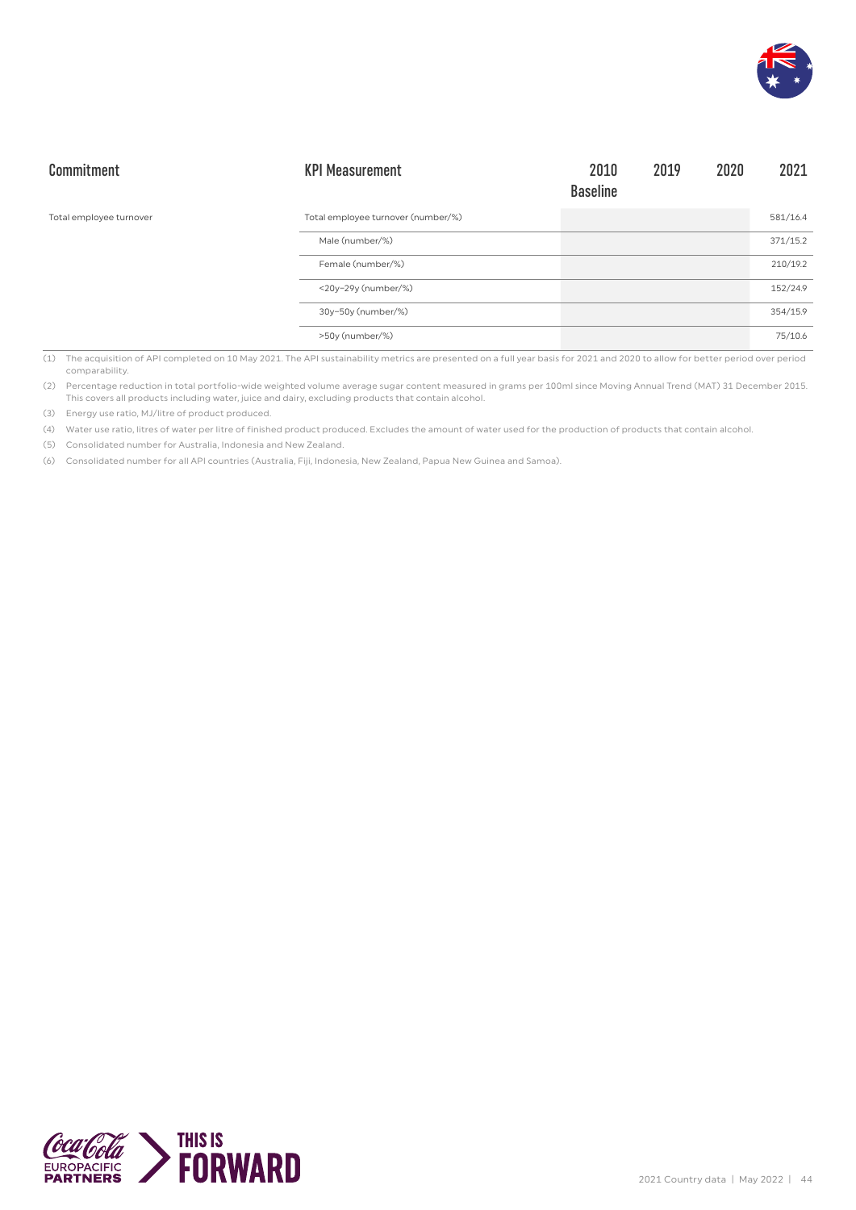

| Commitment              | <b>KPI Measurement</b>             | 2010<br><b>Baseline</b> | 2019 | 2020 | 2021     |
|-------------------------|------------------------------------|-------------------------|------|------|----------|
| Total employee turnover | Total employee turnover (number/%) |                         |      |      | 581/16.4 |
|                         | Male (number/%)                    |                         |      |      | 371/15.2 |
|                         | Female (number/%)                  |                         |      |      | 210/19.2 |
|                         | <20y-29y (number/%)                |                         |      |      | 152/24.9 |
|                         | 30y-50y (number/%)                 |                         |      |      | 354/15.9 |
|                         | >50y (number/%)                    |                         |      |      | 75/10.6  |

(1) The acquisition of API completed on 10 May 2021. The API sustainability metrics are presented on a full year basis for 2021 and 2020 to allow for better period over period comparability.

(2) Percentage reduction in total portfolio-wide weighted volume average sugar content measured in grams per 100ml since Moving Annual Trend (MAT) 31 December 2015. This covers all products including water, juice and dairy, excluding products that contain alcohol.

(3) Energy use ratio, MJ/litre of product produced.

(4) Water use ratio, litres of water per litre of finished product produced. Excludes the amount of water used for the production of products that contain alcohol.

(5) Consolidated number for Australia, Indonesia and New Zealand.

(6) Consolidated number for all API countries (Australia, Fiji, Indonesia, New Zealand, Papua New Guinea and Samoa).

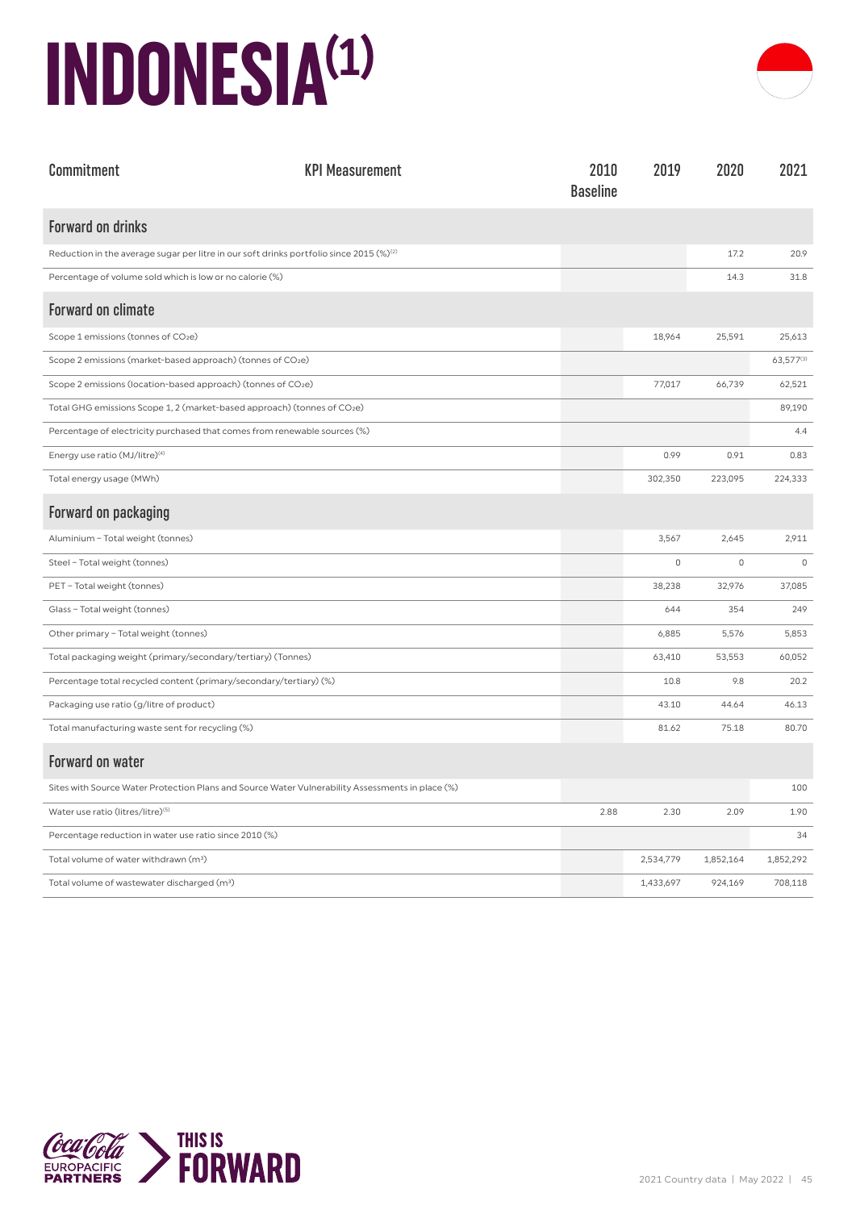### **INDONESIA(1)**



| Commitment                                                                                          | <b>KPI Measurement</b> | 2010<br><b>Baseline</b> | 2019      | 2020        | 2021      |
|-----------------------------------------------------------------------------------------------------|------------------------|-------------------------|-----------|-------------|-----------|
| <b>Forward on drinks</b>                                                                            |                        |                         |           |             |           |
| Reduction in the average sugar per litre in our soft drinks portfolio since 2015 (%) <sup>(2)</sup> |                        |                         |           | 17.2        | 20.9      |
| Percentage of volume sold which is low or no calorie (%)                                            |                        |                         |           | 14.3        | 31.8      |
| <b>Forward on climate</b>                                                                           |                        |                         |           |             |           |
| Scope 1 emissions (tonnes of CO2e)                                                                  |                        |                         | 18,964    | 25,591      | 25,613    |
| Scope 2 emissions (market-based approach) (tonnes of CO2e)                                          |                        |                         |           |             | 63,577(3) |
| Scope 2 emissions (location-based approach) (tonnes of CO2e)                                        |                        |                         | 77,017    | 66,739      | 62,521    |
| Total GHG emissions Scope 1, 2 (market-based approach) (tonnes of CO2e)                             |                        |                         |           |             | 89,190    |
| Percentage of electricity purchased that comes from renewable sources (%)                           |                        |                         |           |             | 4.4       |
| Energy use ratio (MJ/litre) <sup>(4)</sup>                                                          |                        |                         | 0.99      | 0.91        | 0.83      |
| Total energy usage (MWh)                                                                            |                        |                         | 302,350   | 223,095     | 224,333   |
| Forward on packaging                                                                                |                        |                         |           |             |           |
| Aluminium - Total weight (tonnes)                                                                   |                        |                         | 3,567     | 2,645       | 2,911     |
| Steel - Total weight (tonnes)                                                                       |                        |                         | $\circ$   | $\mathbb O$ | $\circ$   |
| PET - Total weight (tonnes)                                                                         |                        |                         | 38,238    | 32,976      | 37,085    |
| Glass - Total weight (tonnes)                                                                       |                        |                         | 644       | 354         | 249       |
| Other primary - Total weight (tonnes)                                                               |                        |                         | 6,885     | 5,576       | 5,853     |
| Total packaging weight (primary/secondary/tertiary) (Tonnes)                                        |                        |                         | 63,410    | 53,553      | 60,052    |
| Percentage total recycled content (primary/secondary/tertiary) (%)                                  |                        |                         | 10.8      | 9.8         | 20.2      |
| Packaging use ratio (g/litre of product)                                                            |                        |                         | 43.10     | 44.64       | 46.13     |
| Total manufacturing waste sent for recycling (%)                                                    |                        |                         | 81.62     | 75.18       | 80.70     |
| <b>Forward on water</b>                                                                             |                        |                         |           |             |           |
| Sites with Source Water Protection Plans and Source Water Vulnerability Assessments in place (%)    |                        |                         |           |             | 100       |
| Water use ratio (litres/litre)(5)                                                                   |                        | 2.88                    | 2.30      | 2.09        | 1.90      |
| Percentage reduction in water use ratio since 2010 (%)                                              |                        |                         |           |             | 34        |
| Total volume of water withdrawn (m <sup>3</sup> )                                                   |                        |                         | 2,534,779 | 1,852,164   | 1,852,292 |
| Total volume of wastewater discharged (m <sup>3</sup> )                                             |                        |                         | 1,433,697 | 924,169     | 708,118   |

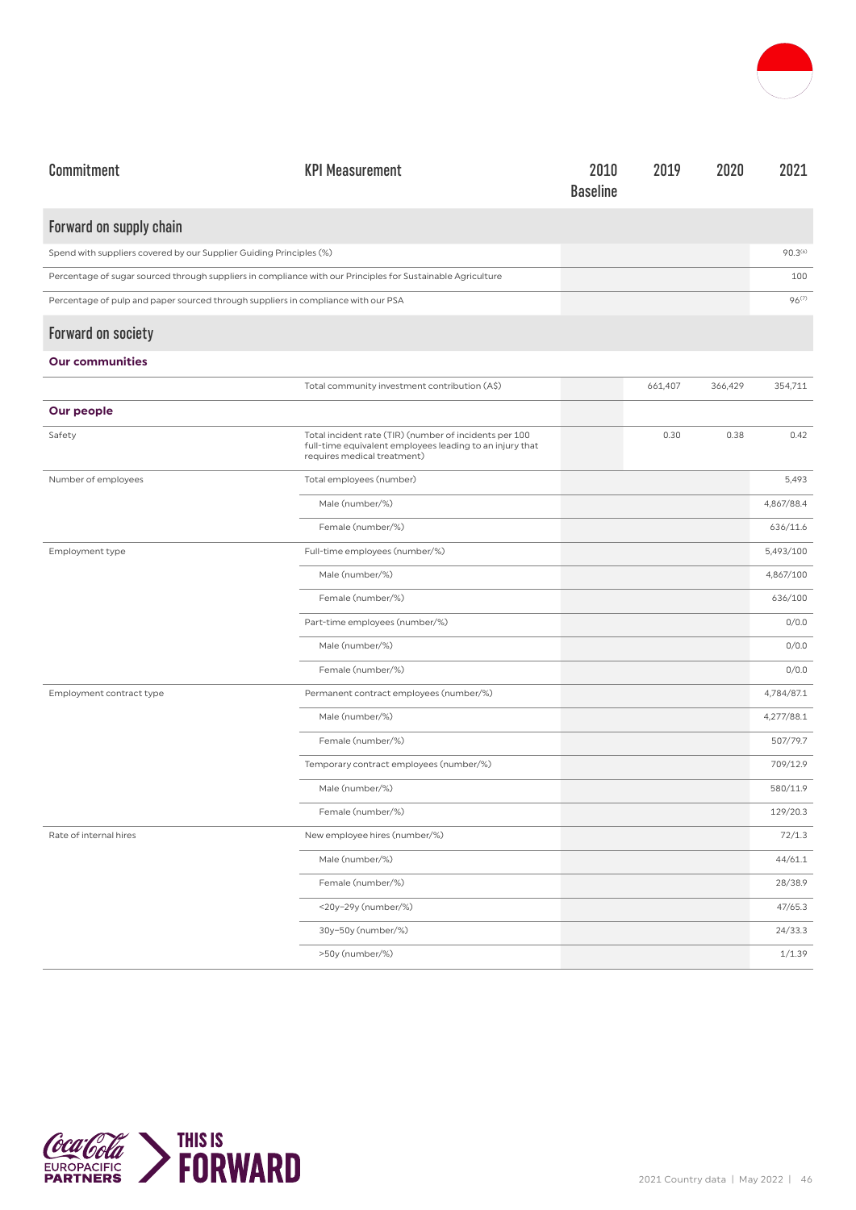

| Commitment                                                                                                  | <b>KPI Measurement</b>                                                                                                                            | 2010<br><b>Baseline</b> | 2019    | 2020    | 2021              |
|-------------------------------------------------------------------------------------------------------------|---------------------------------------------------------------------------------------------------------------------------------------------------|-------------------------|---------|---------|-------------------|
| Forward on supply chain                                                                                     |                                                                                                                                                   |                         |         |         |                   |
| Spend with suppliers covered by our Supplier Guiding Principles (%)                                         |                                                                                                                                                   |                         |         |         | $90.3^{(6)}$      |
| Percentage of sugar sourced through suppliers in compliance with our Principles for Sustainable Agriculture |                                                                                                                                                   |                         |         |         | 100               |
| Percentage of pulp and paper sourced through suppliers in compliance with our PSA                           |                                                                                                                                                   |                         |         |         | 96 <sup>(7)</sup> |
| <b>Forward on society</b>                                                                                   |                                                                                                                                                   |                         |         |         |                   |
| <b>Our communities</b>                                                                                      |                                                                                                                                                   |                         |         |         |                   |
|                                                                                                             | Total community investment contribution (A\$)                                                                                                     |                         | 661,407 | 366,429 | 354,711           |
| Our people                                                                                                  |                                                                                                                                                   |                         |         |         |                   |
| Safety                                                                                                      | Total incident rate (TIR) (number of incidents per 100<br>full-time equivalent employees leading to an injury that<br>requires medical treatment) |                         | 0.30    | 0.38    | 0.42              |
| Number of employees                                                                                         | Total employees (number)                                                                                                                          |                         |         |         | 5,493             |
|                                                                                                             | Male (number/%)                                                                                                                                   |                         |         |         | 4,867/88.4        |
|                                                                                                             | Female (number/%)                                                                                                                                 |                         |         |         | 636/11.6          |
| Employment type                                                                                             | Full-time employees (number/%)                                                                                                                    |                         |         |         | 5,493/100         |
|                                                                                                             | Male (number/%)                                                                                                                                   |                         |         |         | 4,867/100         |
|                                                                                                             | Female (number/%)                                                                                                                                 |                         |         |         | 636/100           |
|                                                                                                             | Part-time employees (number/%)                                                                                                                    |                         |         |         | 0/0.0             |
|                                                                                                             | Male (number/%)                                                                                                                                   |                         |         |         | 0/0.0             |
|                                                                                                             | Female (number/%)                                                                                                                                 |                         |         |         | 0/0.0             |
| Employment contract type                                                                                    | Permanent contract employees (number/%)                                                                                                           |                         |         |         | 4,784/87.1        |
|                                                                                                             | Male (number/%)                                                                                                                                   |                         |         |         | 4,277/88.1        |
|                                                                                                             | Female (number/%)                                                                                                                                 |                         |         |         | 507/79.7          |
|                                                                                                             | Temporary contract employees (number/%)                                                                                                           |                         |         |         | 709/12.9          |
|                                                                                                             | Male (number/%)                                                                                                                                   |                         |         |         | 580/11.9          |
|                                                                                                             | Female (number/%)                                                                                                                                 |                         |         |         | 129/20.3          |
| Rate of internal hires                                                                                      | New employee hires (number/%)                                                                                                                     |                         |         |         | 72/1.3            |
|                                                                                                             | Male (number/%)                                                                                                                                   |                         |         |         | 44/61.1           |
|                                                                                                             | Female (number/%)                                                                                                                                 |                         |         |         | 28/38.9           |
|                                                                                                             | <20y-29y (number/%)                                                                                                                               |                         |         |         | 47/65.3           |
|                                                                                                             | 30y-50y (number/%)                                                                                                                                |                         |         |         | 24/33.3           |
|                                                                                                             | >50y (number/%)                                                                                                                                   |                         |         |         | 1/1.39            |

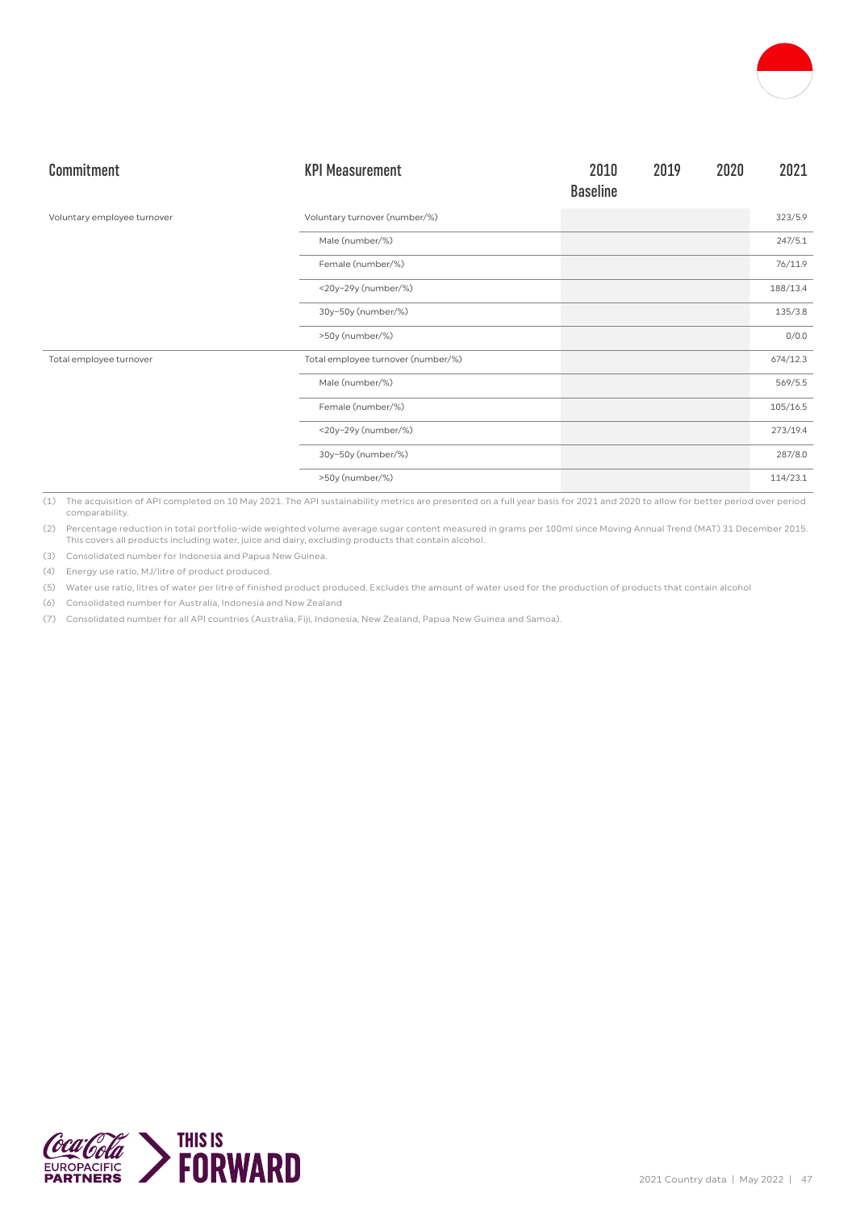

| Commitment                  | <b>KPI Measurement</b>             | 2010<br><b>Baseline</b> | 2019 | 2020 | 2021     |
|-----------------------------|------------------------------------|-------------------------|------|------|----------|
| Voluntary employee turnover | Voluntary turnover (number/%)      |                         |      |      | 323/5.9  |
|                             | Male (number/%)                    |                         |      |      | 247/5.1  |
|                             | Female (number/%)                  |                         |      |      | 76/11.9  |
|                             | <20y-29y (number/%)                |                         |      |      | 188/13.4 |
|                             | 30y-50y (number/%)                 |                         |      |      | 135/3.8  |
|                             | >50y (number/%)                    |                         |      |      | 0/0.0    |
| Total employee turnover     | Total employee turnover (number/%) |                         |      |      | 674/12.3 |
|                             | Male (number/%)                    |                         |      |      | 569/5.5  |
|                             | Female (number/%)                  |                         |      |      | 105/16.5 |
|                             | <20y-29y (number/%)                |                         |      |      | 273/19.4 |
|                             | 30y-50y (number/%)                 |                         |      |      | 287/8.0  |
|                             | >50y (number/%)                    |                         |      |      | 114/23.1 |

(1) The acquisition of API completed on 10 May 2021. The API sustainability metrics are presented on a full year basis for 2021 and 2020 to allow for better period over period comparability.

(2) Percentage reduction in total portfolio-wide weighted volume average sugar content measured in grams per 100ml since Moving Annual Trend (MAT) 31 December 2015. This covers all products including water, juice and dairy, excluding products that contain alcohol.

(3) Consolidated number for Indonesia and Papua New Guinea.

(4) Energy use ratio, MJ/litre of product produced.

(5) Water use ratio, litres of water per litre of finished product produced. Excludes the amount of water used for the production of products that contain alcohol

(6) Consolidated number for Australia, Indonesia and New Zealand

(7) Consolidated number for all API countries (Australia, Fiji, Indonesia, New Zealand, Papua New Guinea and Samoa).

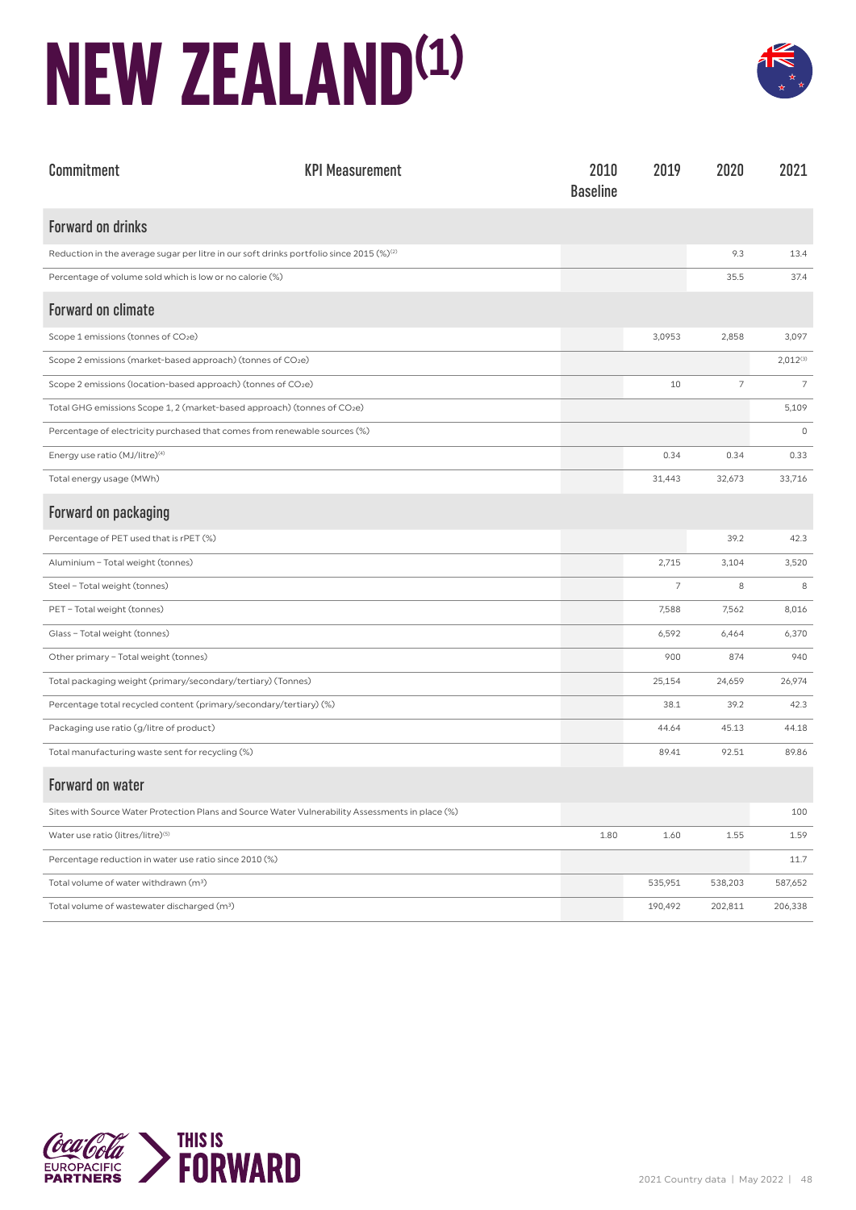### **NEW ZEALAND(1)**



| Commitment                                                                                       | <b>KPI Measurement</b> | 2010<br><b>Baseline</b> | 2019    | 2020           | 2021           |
|--------------------------------------------------------------------------------------------------|------------------------|-------------------------|---------|----------------|----------------|
| <b>Forward on drinks</b>                                                                         |                        |                         |         |                |                |
| Reduction in the average sugar per litre in our soft drinks portfolio since 2015 $(\%)^2$        |                        |                         |         | 9.3            | 13.4           |
| Percentage of volume sold which is low or no calorie (%)                                         |                        |                         |         | 35.5           | 37.4           |
| <b>Forward on climate</b>                                                                        |                        |                         |         |                |                |
| Scope 1 emissions (tonnes of CO <sub>2</sub> e)                                                  |                        |                         | 3,0953  | 2,858          | 3,097          |
| Scope 2 emissions (market-based approach) (tonnes of CO2e)                                       |                        |                         |         |                | $2,012^{(3)}$  |
| Scope 2 emissions (location-based approach) (tonnes of CO2e)                                     |                        |                         | 10      | $\overline{7}$ | $\overline{7}$ |
| Total GHG emissions Scope 1, 2 (market-based approach) (tonnes of CO2e)                          |                        |                         |         |                | 5,109          |
| Percentage of electricity purchased that comes from renewable sources (%)                        |                        |                         |         |                | $\mathbb O$    |
| Energy use ratio (MJ/litre) <sup>(4)</sup>                                                       |                        |                         | 0.34    | 0.34           | 0.33           |
| Total energy usage (MWh)                                                                         |                        |                         | 31,443  | 32,673         | 33,716         |
| Forward on packaging                                                                             |                        |                         |         |                |                |
| Percentage of PET used that is rPET (%)                                                          |                        |                         |         | 39.2           | 42.3           |
| Aluminium - Total weight (tonnes)                                                                |                        |                         | 2,715   | 3,104          | 3,520          |
| Steel - Total weight (tonnes)                                                                    |                        |                         | 7       | 8              | 8              |
| PET - Total weight (tonnes)                                                                      |                        |                         | 7,588   | 7,562          | 8,016          |
| Glass - Total weight (tonnes)                                                                    |                        |                         | 6,592   | 6,464          | 6,370          |
| Other primary - Total weight (tonnes)                                                            |                        |                         | 900     | 874            | 940            |
| Total packaging weight (primary/secondary/tertiary) (Tonnes)                                     |                        |                         | 25,154  | 24,659         | 26,974         |
| Percentage total recycled content (primary/secondary/tertiary) (%)                               |                        |                         | 38.1    | 39.2           | 42.3           |
| Packaging use ratio (g/litre of product)                                                         |                        |                         | 44.64   | 45.13          | 44.18          |
| Total manufacturing waste sent for recycling (%)                                                 |                        |                         | 89.41   | 92.51          | 89.86          |
| <b>Forward on water</b>                                                                          |                        |                         |         |                |                |
| Sites with Source Water Protection Plans and Source Water Vulnerability Assessments in place (%) |                        |                         |         |                | 100            |
| Water use ratio (litres/litre) <sup>(5)</sup>                                                    |                        | 1.80                    | 1.60    | 1.55           | 1.59           |
| Percentage reduction in water use ratio since 2010 (%)                                           |                        |                         |         |                | 11.7           |
| Total volume of water withdrawn (m <sup>3</sup> )                                                |                        |                         | 535,951 | 538,203        | 587,652        |
| Total volume of wastewater discharged (m <sup>3</sup> )                                          |                        |                         | 190,492 | 202,811        | 206,338        |

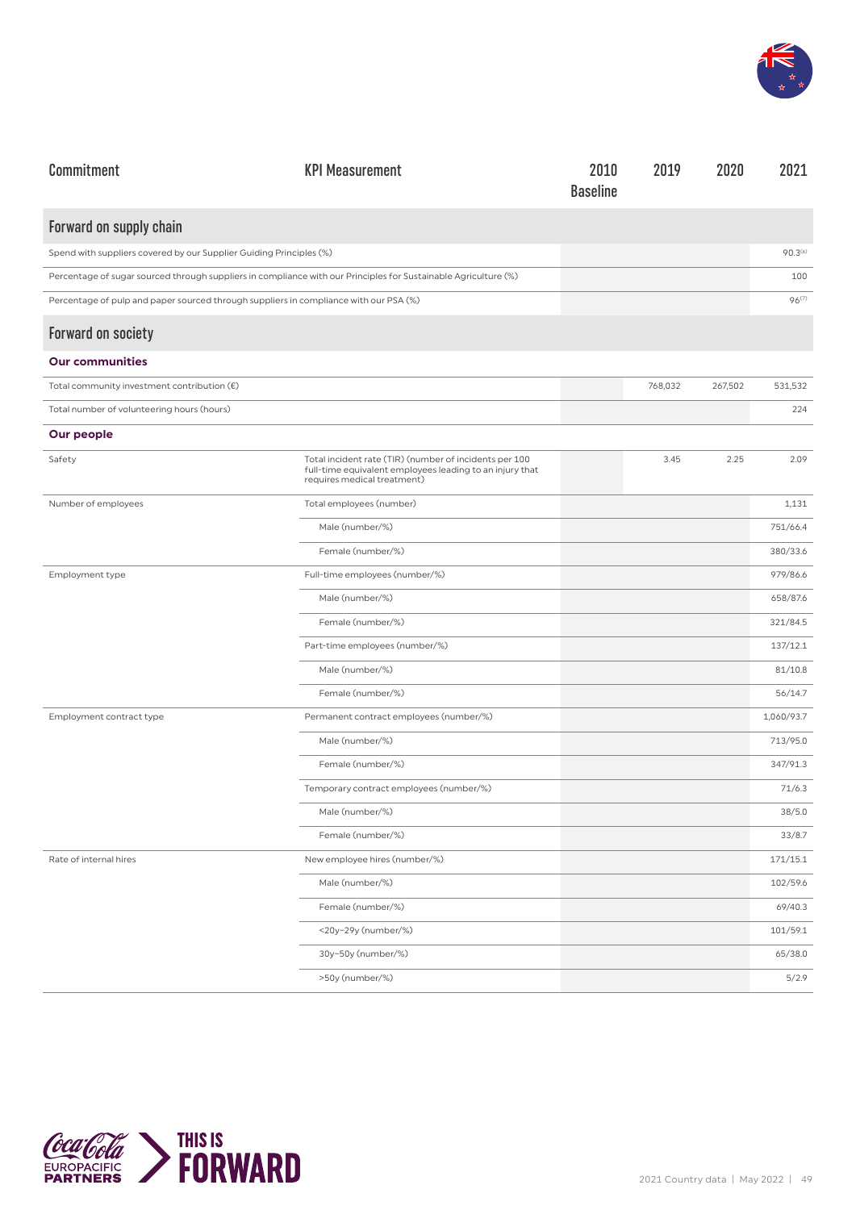

| Commitment                                                                                                      | <b>KPI Measurement</b>                                                                                                                            | 2010<br><b>Baseline</b> | 2019    | 2020    | 2021                |
|-----------------------------------------------------------------------------------------------------------------|---------------------------------------------------------------------------------------------------------------------------------------------------|-------------------------|---------|---------|---------------------|
| Forward on supply chain                                                                                         |                                                                                                                                                   |                         |         |         |                     |
| Spend with suppliers covered by our Supplier Guiding Principles (%)                                             |                                                                                                                                                   |                         |         |         | 90.3 <sup>(6)</sup> |
| Percentage of sugar sourced through suppliers in compliance with our Principles for Sustainable Agriculture (%) |                                                                                                                                                   |                         |         |         | 100                 |
| Percentage of pulp and paper sourced through suppliers in compliance with our PSA (%)                           |                                                                                                                                                   |                         |         |         | 96 <sup>(7)</sup>   |
| <b>Forward on society</b>                                                                                       |                                                                                                                                                   |                         |         |         |                     |
| <b>Our communities</b>                                                                                          |                                                                                                                                                   |                         |         |         |                     |
| Total community investment contribution $(\epsilon)$                                                            |                                                                                                                                                   |                         | 768,032 | 267,502 | 531,532             |
| Total number of volunteering hours (hours)                                                                      |                                                                                                                                                   |                         |         |         | 224                 |
| Our people                                                                                                      |                                                                                                                                                   |                         |         |         |                     |
| Safety                                                                                                          | Total incident rate (TIR) (number of incidents per 100<br>full-time equivalent employees leading to an injury that<br>requires medical treatment) |                         | 3.45    | 2.25    | 2.09                |
| Number of employees                                                                                             | Total employees (number)                                                                                                                          |                         |         |         | 1,131               |
|                                                                                                                 | Male (number/%)                                                                                                                                   |                         |         |         | 751/66.4            |
|                                                                                                                 | Female (number/%)                                                                                                                                 |                         |         |         | 380/33.6            |
| Employment type                                                                                                 | Full-time employees (number/%)                                                                                                                    |                         |         |         | 979/86.6            |
|                                                                                                                 | Male (number/%)                                                                                                                                   |                         |         |         | 658/87.6            |
|                                                                                                                 | Female (number/%)                                                                                                                                 |                         |         |         | 321/84.5            |
|                                                                                                                 | Part-time employees (number/%)                                                                                                                    |                         |         |         | 137/12.1            |
|                                                                                                                 | Male (number/%)                                                                                                                                   |                         |         |         | 81/10.8             |
|                                                                                                                 | Female (number/%)                                                                                                                                 |                         |         |         | 56/14.7             |
| Employment contract type                                                                                        | Permanent contract employees (number/%)                                                                                                           |                         |         |         | 1,060/93.7          |
|                                                                                                                 | Male (number/%)                                                                                                                                   |                         |         |         | 713/95.0            |
|                                                                                                                 | Female (number/%)                                                                                                                                 |                         |         |         | 347/91.3            |
|                                                                                                                 | Temporary contract employees (number/%)                                                                                                           |                         |         |         | 71/6.3              |
|                                                                                                                 | Male (number/%)                                                                                                                                   |                         |         |         | 38/5.0              |
|                                                                                                                 | Female (number/%)                                                                                                                                 |                         |         |         | 33/8.7              |
| Rate of internal hires                                                                                          | New employee hires (number/%)                                                                                                                     |                         |         |         | 171/15.1            |
|                                                                                                                 | Male (number/%)                                                                                                                                   |                         |         |         | 102/59.6            |
|                                                                                                                 | Female (number/%)                                                                                                                                 |                         |         |         | 69/40.3             |
|                                                                                                                 | <20y-29y (number/%)                                                                                                                               |                         |         |         | 101/59.1            |
|                                                                                                                 | 30y-50y (number/%)                                                                                                                                |                         |         |         | 65/38.0             |
|                                                                                                                 | >50y (number/%)                                                                                                                                   |                         |         |         | 5/2.9               |

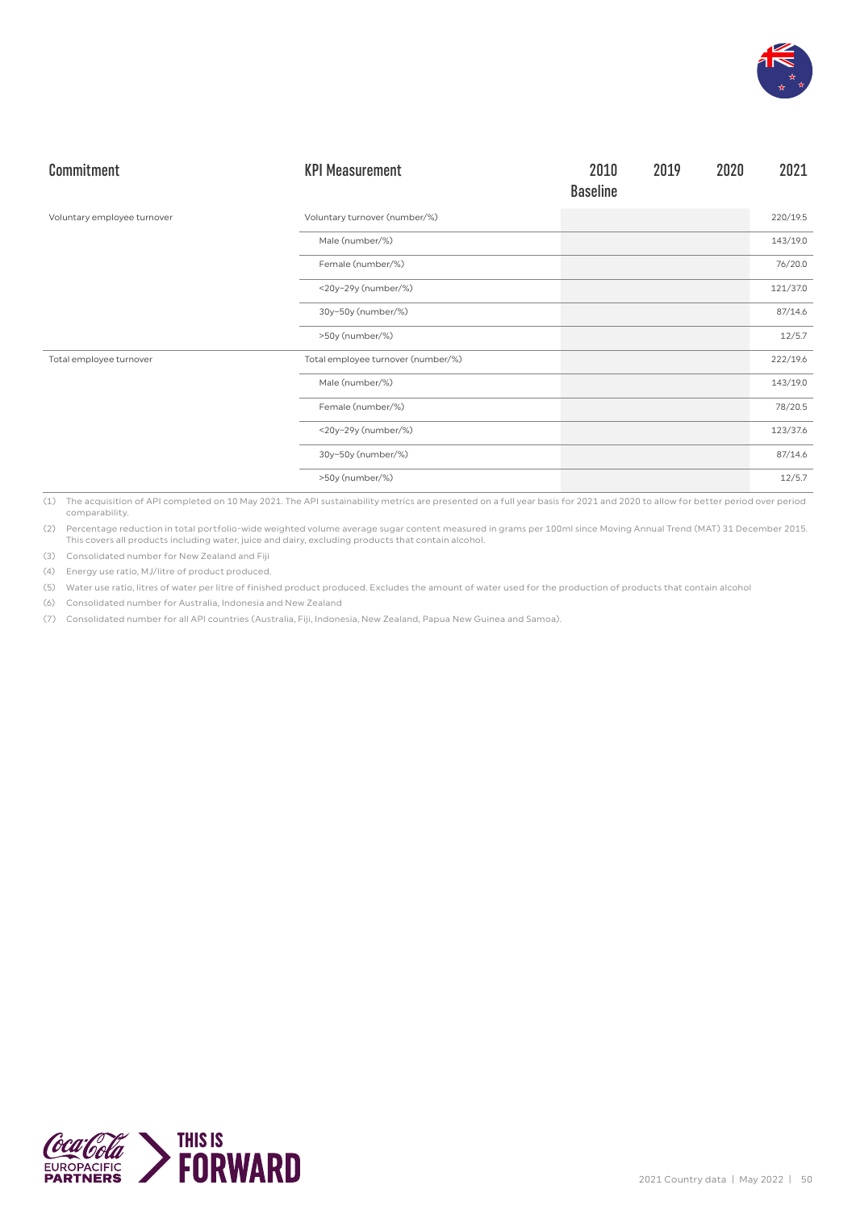

| Commitment                  | <b>KPI Measurement</b>             | 2010<br><b>Baseline</b> | 2019 | 2020 | 2021     |
|-----------------------------|------------------------------------|-------------------------|------|------|----------|
| Voluntary employee turnover | Voluntary turnover (number/%)      |                         |      |      | 220/19.5 |
|                             | Male (number/%)                    |                         |      |      | 143/19.0 |
|                             | Female (number/%)                  |                         |      |      | 76/20.0  |
|                             | <20y-29y (number/%)                |                         |      |      | 121/37.0 |
|                             | 30y-50y (number/%)                 |                         |      |      | 87/14.6  |
|                             | >50y (number/%)                    |                         |      |      | 12/5.7   |
| Total employee turnover     | Total employee turnover (number/%) |                         |      |      | 222/19.6 |
|                             | Male (number/%)                    |                         |      |      | 143/19.0 |
|                             | Female (number/%)                  |                         |      |      | 78/20.5  |
|                             | <20y-29y (number/%)                |                         |      |      | 123/37.6 |
|                             | 30y-50y (number/%)                 |                         |      |      | 87/14.6  |
|                             | >50y (number/%)                    |                         |      |      | 12/5.7   |

(1) The acquisition of API completed on 10 May 2021. The API sustainability metrics are presented on a full year basis for 2021 and 2020 to allow for better period over period comparability.

(2) Percentage reduction in total portfolio-wide weighted volume average sugar content measured in grams per 100ml since Moving Annual Trend (MAT) 31 December 2015. This covers all products including water, juice and dairy, excluding products that contain alcohol.

(3) Consolidated number for New Zealand and Fiji

(4) Energy use ratio, MJ/litre of product produced.

(5) Water use ratio, litres of water per litre of finished product produced. Excludes the amount of water used for the production of products that contain alcohol

(6) Consolidated number for Australia, Indonesia and New Zealand

(7) Consolidated number for all API countries (Australia, Fiji, Indonesia, New Zealand, Papua New Guinea and Samoa).

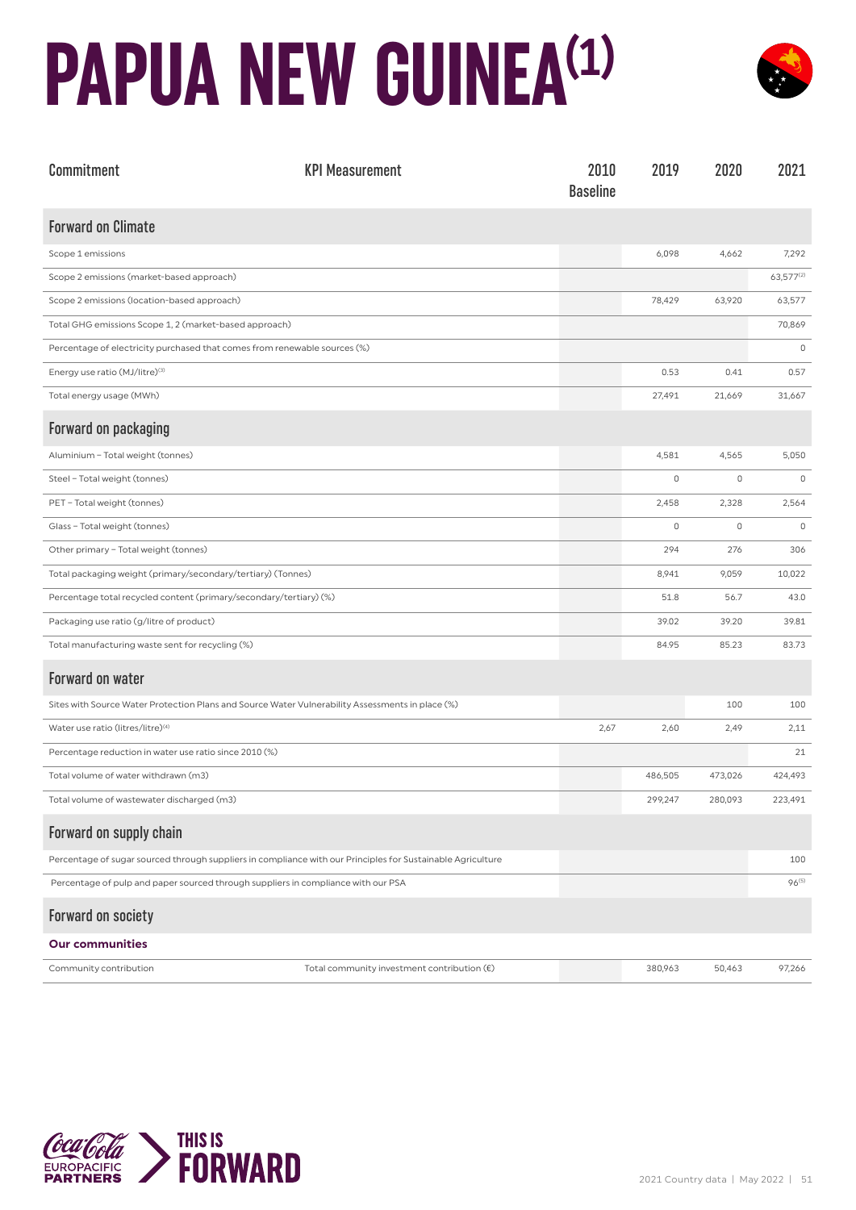## **PAPUA NEW GUINEA(1)**



| Commitment                                                                                                  | <b>KPI Measurement</b>                               | 2010<br><b>Baseline</b> | 2019    | 2020    | 2021              |
|-------------------------------------------------------------------------------------------------------------|------------------------------------------------------|-------------------------|---------|---------|-------------------|
| <b>Forward on Climate</b>                                                                                   |                                                      |                         |         |         |                   |
| Scope 1 emissions                                                                                           |                                                      |                         | 6,098   | 4,662   | 7,292             |
| Scope 2 emissions (market-based approach)                                                                   |                                                      |                         |         |         | 63,577(2)         |
| Scope 2 emissions (location-based approach)                                                                 |                                                      |                         | 78,429  | 63,920  | 63,577            |
| Total GHG emissions Scope 1, 2 (market-based approach)                                                      |                                                      |                         |         |         | 70,869            |
| Percentage of electricity purchased that comes from renewable sources (%)                                   |                                                      |                         |         |         | $\mathbb O$       |
| Energy use ratio (MJ/litre) <sup>(3)</sup>                                                                  |                                                      |                         | 0.53    | 0.41    | 0.57              |
| Total energy usage (MWh)                                                                                    |                                                      |                         | 27,491  | 21,669  | 31,667            |
| Forward on packaging                                                                                        |                                                      |                         |         |         |                   |
| Aluminium - Total weight (tonnes)                                                                           |                                                      |                         | 4,581   | 4,565   | 5,050             |
| Steel - Total weight (tonnes)                                                                               |                                                      |                         | 0       | 0       | 0                 |
| PET - Total weight (tonnes)                                                                                 |                                                      |                         | 2,458   | 2,328   | 2,564             |
| Glass - Total weight (tonnes)                                                                               |                                                      |                         | $\circ$ | 0       | $\mathbb O$       |
| Other primary - Total weight (tonnes)                                                                       |                                                      |                         | 294     | 276     | 306               |
| Total packaging weight (primary/secondary/tertiary) (Tonnes)                                                |                                                      |                         | 8,941   | 9,059   | 10,022            |
| Percentage total recycled content (primary/secondary/tertiary) (%)                                          |                                                      |                         | 51.8    | 56.7    | 43.0              |
| Packaging use ratio (g/litre of product)                                                                    |                                                      |                         | 39.02   | 39.20   | 39.81             |
| Total manufacturing waste sent for recycling (%)                                                            |                                                      |                         | 84.95   | 85.23   | 83.73             |
| Forward on water                                                                                            |                                                      |                         |         |         |                   |
| Sites with Source Water Protection Plans and Source Water Vulnerability Assessments in place (%)            |                                                      |                         |         | 100     | 100               |
| Water use ratio (litres/litre) <sup>(4)</sup>                                                               |                                                      | 2,67                    | 2,60    | 2,49    | 2,11              |
| Percentage reduction in water use ratio since 2010 (%)                                                      |                                                      |                         |         |         | 21                |
| Total volume of water withdrawn (m3)                                                                        |                                                      |                         | 486,505 | 473,026 | 424,493           |
| Total volume of wastewater discharged (m3)                                                                  |                                                      |                         | 299,247 | 280,093 | 223,491           |
| Forward on supply chain                                                                                     |                                                      |                         |         |         |                   |
| Percentage of sugar sourced through suppliers in compliance with our Principles for Sustainable Agriculture |                                                      |                         |         |         | 100               |
| Percentage of pulp and paper sourced through suppliers in compliance with our PSA                           |                                                      |                         |         |         | 96 <sup>(5)</sup> |
| Forward on society                                                                                          |                                                      |                         |         |         |                   |
| <b>Our communities</b>                                                                                      |                                                      |                         |         |         |                   |
| Community contribution                                                                                      | Total community investment contribution $(\epsilon)$ |                         | 380,963 | 50,463  | 97,266            |

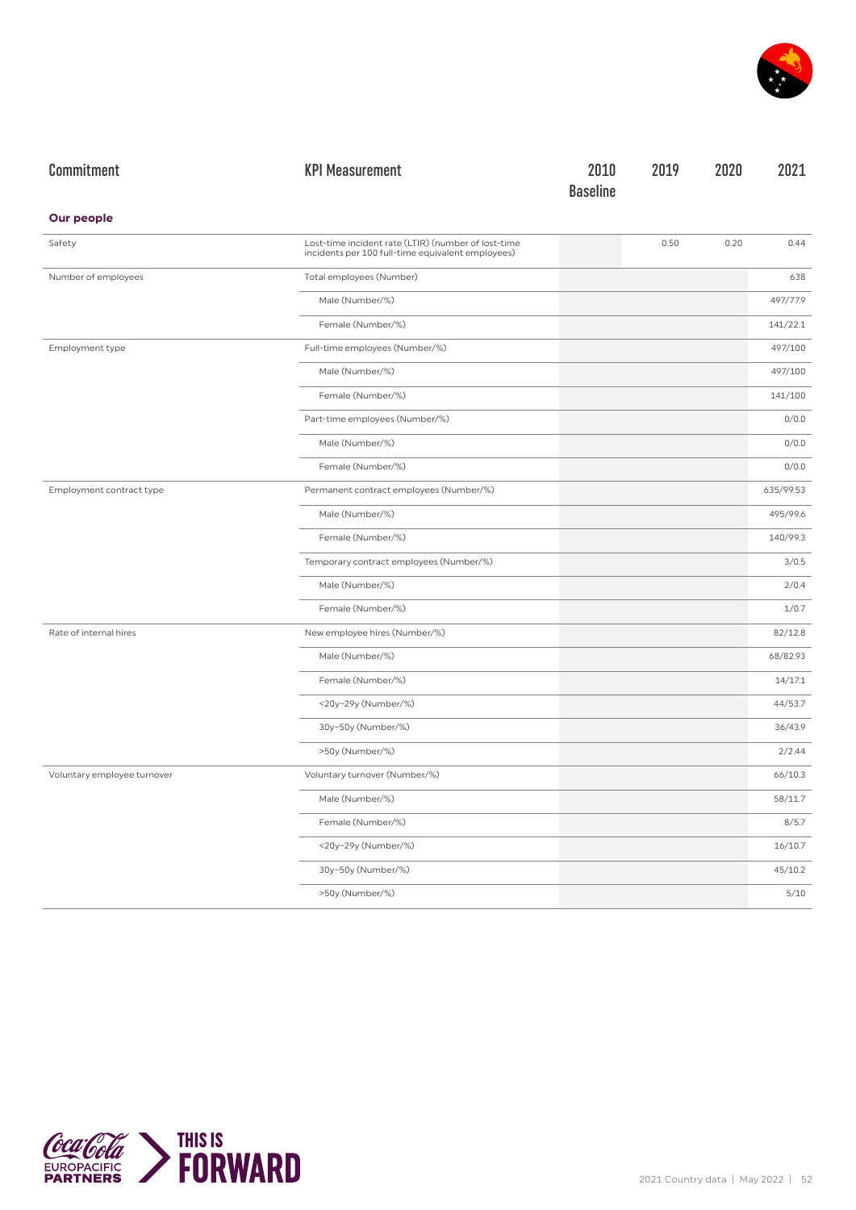

| Commitment                  | <b>KPI Measurement</b>                                                                                   | 2010            | 2019 | 2020 | 2021      |
|-----------------------------|----------------------------------------------------------------------------------------------------------|-----------------|------|------|-----------|
|                             |                                                                                                          | <b>Baseline</b> |      |      |           |
| <b>Our people</b>           |                                                                                                          |                 |      |      |           |
| Safety                      | Lost-time incident rate (LTIR) (number of lost-time<br>incidents per 100 full-time equivalent employees) |                 | 0.50 | 0.20 | 0.44      |
| Number of employees         | Total employees (Number)                                                                                 |                 |      |      | 638       |
|                             | Male (Number/%)                                                                                          |                 |      |      | 497/77.9  |
|                             | Female (Number/%)                                                                                        |                 |      |      | 141/22.1  |
| Employment type             | Full-time employees (Number/%)                                                                           |                 |      |      | 497/100   |
|                             | Male (Number/%)                                                                                          |                 |      |      | 497/100   |
|                             | Female (Number/%)                                                                                        |                 |      |      | 141/100   |
|                             | Part-time employees (Number/%)                                                                           |                 |      |      | 0/0.0     |
|                             | Male (Number/%)                                                                                          |                 |      |      | 0/0.0     |
|                             | Female (Number/%)                                                                                        |                 |      |      | 0/0.0     |
| Employment contract type    | Permanent contract employees (Number/%)                                                                  |                 |      |      | 635/99.53 |
|                             | Male (Number/%)                                                                                          |                 |      |      | 495/99.6  |
|                             | Female (Number/%)                                                                                        |                 |      |      | 140/99.3  |
|                             | Temporary contract employees (Number/%)                                                                  |                 |      |      | 3/0.5     |
|                             | Male (Number/%)                                                                                          |                 |      |      | 2/0.4     |
|                             | Female (Number/%)                                                                                        |                 |      |      | 1/0.7     |
| Rate of internal hires      | New employee hires (Number/%)                                                                            |                 |      |      | 82/12.8   |
|                             | Male (Number/%)                                                                                          |                 |      |      | 68/82.93  |
|                             | Female (Number/%)                                                                                        |                 |      |      | 14/17.1   |
|                             | <20y-29y (Number/%)                                                                                      |                 |      |      | 44/53.7   |
|                             | 30y-50y (Number/%)                                                                                       |                 |      |      | 36/43.9   |
|                             | >50y (Number/%)                                                                                          |                 |      |      | 2/2.44    |
| Voluntary employee turnover | Voluntary turnover (Number/%)                                                                            |                 |      |      | 66/10.3   |
|                             | Male (Number/%)                                                                                          |                 |      |      | 58/11.7   |
|                             | Female (Number/%)                                                                                        |                 |      |      | 8/5.7     |
|                             | <20y-29y (Number/%)                                                                                      |                 |      |      | 16/10.7   |
|                             | 30y-50y (Number/%)                                                                                       |                 |      |      | 45/10.2   |
|                             | >50y (Number/%)                                                                                          |                 |      |      | 5/10      |